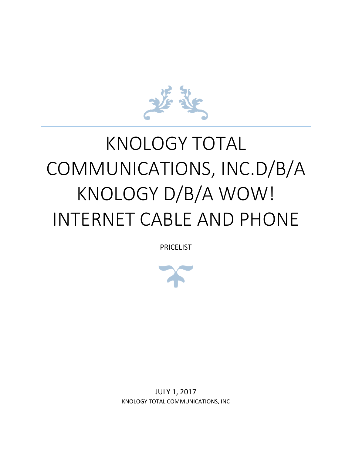

# KNOLOGY TOTAL COMMUNICATIONS, INC.D/B/A KNOLOGY D/B/A WOW! INTERNET CABLE AND PHONE

PRICELIST



JULY 1, 2017 KNOLOGY TOTAL COMMUNICATIONS, INC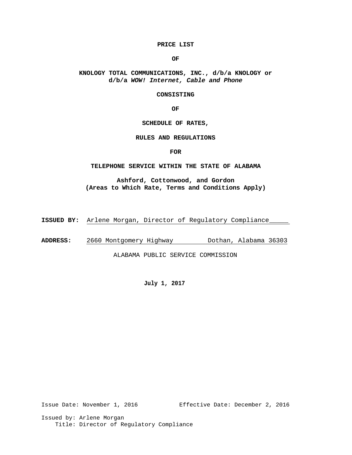# **PRICE LIST**

**OF**

# **KNOLOGY TOTAL COMMUNICATIONS, INC., d/b/a KNOLOGY or d/b/a** *WOW! Internet, Cable and Phone*

# **CONSISTING**

**OF**

# **SCHEDULE OF RATES,**

#### **RULES AND REGULATIONS**

## **FOR**

## **TELEPHONE SERVICE WITHIN THE STATE OF ALABAMA**

# **Ashford, Cottonwood, and Gordon (Areas to Which Rate, Terms and Conditions Apply)**

**ISSUED BY:** Arlene Morgan, Director of Regulatory Compliance\_\_\_\_\_

**ADDRESS:** 2660 Montgomery Highway Dothan, Alabama 36303

ALABAMA PUBLIC SERVICE COMMISSION

**July 1, 2017**

Issue Date: November 1, 2016 Effective Date: December 2, 2016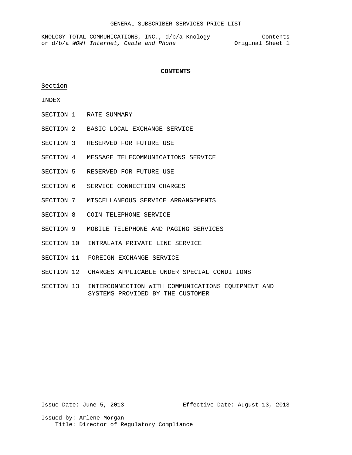KNOLOGY TOTAL COMMUNICATIONS, INC., d/b/a Knology Contents or d/b/a *WOW!* Internet, Cable and Phone **Original** Sheet 1

#### **CONTENTS**

Section

INDEX

- SECTION 1 RATE SUMMARY
- SECTION 2 BASIC LOCAL EXCHANGE SERVICE
- SECTION 3 RESERVED FOR FUTURE USE
- SECTION 4 MESSAGE TELECOMMUNICATIONS SERVICE
- SECTION 5 RESERVED FOR FUTURE USE
- SECTION 6 SERVICE CONNECTION CHARGES
- SECTION 7 MISCELLANEOUS SERVICE ARRANGEMENTS
- SECTION 8 COIN TELEPHONE SERVICE
- SECTION 9 MOBILE TELEPHONE AND PAGING SERVICES
- SECTION 10 INTRALATA PRIVATE LINE SERVICE
- SECTION 11 FOREIGN EXCHANGE SERVICE
- SECTION 12 CHARGES APPLICABLE UNDER SPECIAL CONDITIONS
- SECTION 13 INTERCONNECTION WITH COMMUNICATIONS EQUIPMENT AND SYSTEMS PROVIDED BY THE CUSTOMER

Issue Date: June 5, 2013 Effective Date: August 13, 2013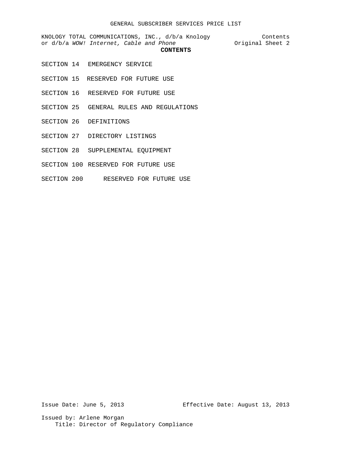KNOLOGY TOTAL COMMUNICATIONS, INC., d/b/a Knology Contents or d/b/a *WOW!* Internet, Cable and Phone **Original** Sheet 2 **CONTENTS**

# SECTION 14 EMERGENCY SERVICE

- SECTION 15 RESERVED FOR FUTURE USE
- SECTION 16 RESERVED FOR FUTURE USE
- SECTION 25 GENERAL RULES AND REGULATIONS
- SECTION 26 DEFINITIONS
- SECTION 27 DIRECTORY LISTINGS
- SECTION 28 SUPPLEMENTAL EQUIPMENT
- SECTION 100 RESERVED FOR FUTURE USE
- SECTION 200 RESERVED FOR FUTURE USE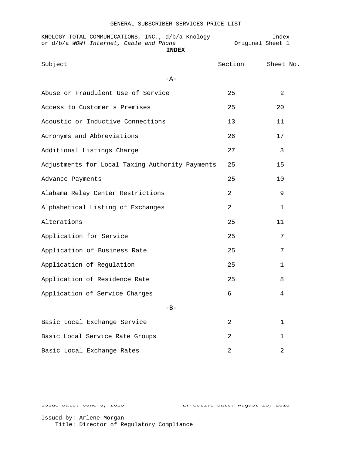| KNOLOGY TOTAL COMMUNICATIONS, INC., d/b/a Knology<br>or d/b/a WOW! Internet, Cable and Phone<br><b>INDEX</b> | Original Sheet 1 | Index        |
|--------------------------------------------------------------------------------------------------------------|------------------|--------------|
| Subject                                                                                                      | Section          | Sheet No.    |
| $-A-$                                                                                                        |                  |              |
| Abuse or Fraudulent Use of Service                                                                           | 25               | 2            |
| Access to Customer's Premises                                                                                | 25               | 20           |
| Acoustic or Inductive Connections                                                                            | 13               | 11           |
| Acronyms and Abbreviations                                                                                   | 26               | 17           |
| Additional Listings Charge                                                                                   | 27               | 3            |
| Adjustments for Local Taxing Authority Payments                                                              | 25               | 15           |
| Advance Payments                                                                                             | 25               | 10           |
| Alabama Relay Center Restrictions                                                                            | 2                | 9            |
| Alphabetical Listing of Exchanges                                                                            | 2                | $\mathbf{1}$ |
| Alterations                                                                                                  | 25               | 11           |
| Application for Service                                                                                      | 25               | 7            |
| Application of Business Rate                                                                                 | 25               | 7            |
| Application of Regulation                                                                                    | 25               | 1            |
| Application of Residence Rate                                                                                | 25               | 8            |
| Application of Service Charges                                                                               | 6                | 4            |
| $-B-$                                                                                                        |                  |              |
| Basic Local Exchange Service                                                                                 | 2                | 1            |
| Basic Local Service Rate Groups                                                                              | 2                | 1            |
| Basic Local Exchange Rates                                                                                   | 2                | 2            |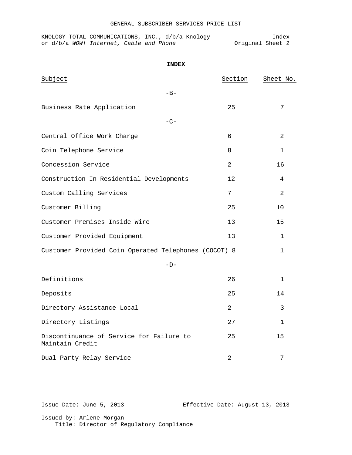|  | KNOLOGY TOTAL COMMUNICATIONS, INC., d/b/a Knology |  |  |                  | Index |  |
|--|---------------------------------------------------|--|--|------------------|-------|--|
|  | or d/b/a WOW! Internet, Cable and Phone           |  |  | Original Sheet 2 |       |  |

| <b>INDEX</b>                                                |                |                |
|-------------------------------------------------------------|----------------|----------------|
| Subject                                                     | Section        | Sheet No.      |
| $-B-$                                                       |                |                |
| Business Rate Application                                   | 25             | 7              |
| $-C-$                                                       |                |                |
| Central Office Work Charge                                  | 6              | $\overline{a}$ |
| Coin Telephone Service                                      | 8              | $\mathbf{1}$   |
| Concession Service                                          | $\overline{2}$ | 16             |
| Construction In Residential Developments                    | 12             | 4              |
| Custom Calling Services                                     | 7              | 2              |
| Customer Billing                                            | 25             | 10             |
| Customer Premises Inside Wire                               | 13             | 15             |
| Customer Provided Equipment                                 | 13             | 1              |
| Customer Provided Coin Operated Telephones (COCOT) 8        |                | 1              |
| $-D-$                                                       |                |                |
| Definitions                                                 | 26             | $\mathbf{1}$   |
| Deposits                                                    | 25             | 14             |
| Directory Assistance Local                                  | $\overline{2}$ | 3              |
| Directory Listings                                          | 27             | 1              |
| Discontinuance of Service for Failure to<br>Maintain Credit | 25             | 15             |

Dual Party Relay Service 2 2 7

Issue Date: June 5, 2013 Effective Date: August 13, 2013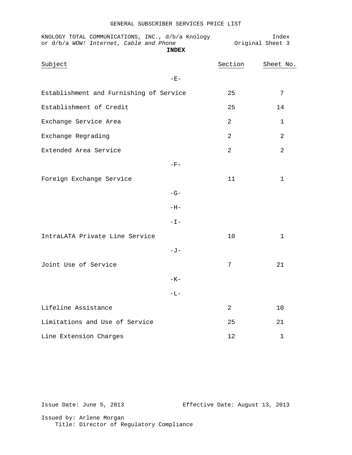| KNOLOGY TOTAL COMMUNICATIONS, INC., d/b/a Knology<br>or d/b/a WOW! Internet, Cable and Phone | <b>INDEX</b> |                | Index<br>Original Sheet 3 |
|----------------------------------------------------------------------------------------------|--------------|----------------|---------------------------|
| Subject                                                                                      |              | Section        | Sheet No.                 |
|                                                                                              | $-E-$        |                |                           |
| Establishment and Furnishing of Service                                                      |              | 25             | 7                         |
| Establishment of Credit                                                                      |              | 25             | 14                        |
| Exchange Service Area                                                                        |              | $\overline{2}$ | 1                         |
| Exchange Regrading                                                                           |              | 2              | 2                         |
| Extended Area Service                                                                        |              | $\overline{2}$ | 2                         |
|                                                                                              | $-{\rm F}-$  |                |                           |
| Foreign Exchange Service                                                                     |              | 11             | $\mathbf 1$               |
|                                                                                              | $-G-$        |                |                           |
|                                                                                              | $-H-$        |                |                           |
|                                                                                              | $-I-$        |                |                           |
| IntraLATA Private Line Service                                                               |              | 10             | $\mathbf{1}$              |
|                                                                                              | $-J-$        |                |                           |
| Joint Use of Service                                                                         |              | 7              | 21                        |
|                                                                                              | $-K-$        |                |                           |
|                                                                                              | $-L-$        |                |                           |
| Lifeline Assistance                                                                          |              | $\overline{a}$ | 10                        |
| Limitations and Use of Service                                                               |              | 25             | 21                        |
| Line Extension Charges                                                                       |              | 12             | 1                         |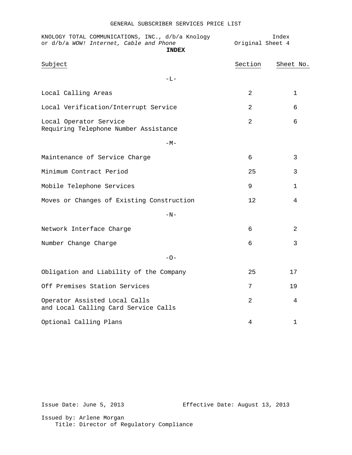| KNOLOGY TOTAL COMMUNICATIONS, INC., d/b/a Knology<br>or d/b/a WOW! Internet, Cable and Phone<br><b>INDEX</b> | Original Sheet 4 | Index        |
|--------------------------------------------------------------------------------------------------------------|------------------|--------------|
| Subject                                                                                                      | Section          | Sheet No.    |
| $-L-$                                                                                                        |                  |              |
| Local Calling Areas                                                                                          | 2                | $\mathbf{1}$ |
| Local Verification/Interrupt Service                                                                         | 2                | 6            |
| Local Operator Service<br>Requiring Telephone Number Assistance                                              | 2                | 6            |
| $-M-$                                                                                                        |                  |              |
| Maintenance of Service Charge                                                                                | 6                | 3            |
| Minimum Contract Period                                                                                      | 25               | 3            |
| Mobile Telephone Services                                                                                    | 9                | 1            |
| Moves or Changes of Existing Construction                                                                    | 12               | 4            |
| $-N-$                                                                                                        |                  |              |
| Network Interface Charge                                                                                     | 6                | 2            |
| Number Change Charge                                                                                         | 6                | 3            |
| $-0-$                                                                                                        |                  |              |
| Obligation and Liability of the Company                                                                      | 25               | 17           |
| Off Premises Station Services                                                                                | 7                | 19           |
| Operator Assisted Local Calls<br>and Local Calling Card Service Calls                                        | 2                | 4            |
| Optional Calling Plans                                                                                       | 4                | 1            |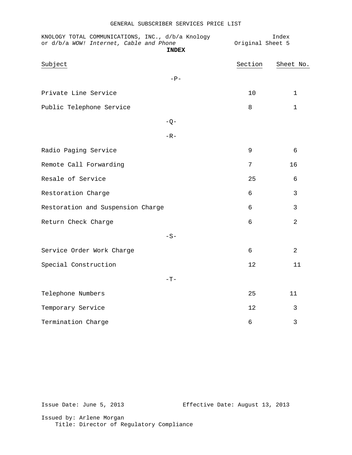| KNOLOGY TOTAL COMMUNICATIONS, INC., d/b/a Knology<br>or d/b/a WOW! Internet, Cable and Phone<br><b>INDEX</b> |       | Original Sheet 5 | Index          |  |
|--------------------------------------------------------------------------------------------------------------|-------|------------------|----------------|--|
| Subject                                                                                                      |       | Section          | Sheet No.      |  |
|                                                                                                              | $-P-$ |                  |                |  |
| Private Line Service                                                                                         |       | 10               | 1              |  |
| Public Telephone Service                                                                                     |       | 8                | $\mathbf{1}$   |  |
|                                                                                                              | $-Q-$ |                  |                |  |
|                                                                                                              | $-R-$ |                  |                |  |
| Radio Paging Service                                                                                         |       | 9                | 6              |  |
| Remote Call Forwarding                                                                                       |       | 7                | 16             |  |
| Resale of Service                                                                                            |       | 25               | 6              |  |
| Restoration Charge                                                                                           |       | 6                | $\mathsf{3}$   |  |
| Restoration and Suspension Charge                                                                            |       | 6                | $\mathsf{3}$   |  |
| Return Check Charge                                                                                          |       | 6                | $\overline{a}$ |  |
|                                                                                                              | $-S-$ |                  |                |  |
| Service Order Work Charge                                                                                    |       | 6                | 2              |  |
| Special Construction                                                                                         |       | 12               | 11             |  |
|                                                                                                              | $-T-$ |                  |                |  |
| Telephone Numbers                                                                                            |       | 25               | 11             |  |
| Temporary Service                                                                                            |       | 12               | 3              |  |
| Termination Charge                                                                                           |       | 6                | 3              |  |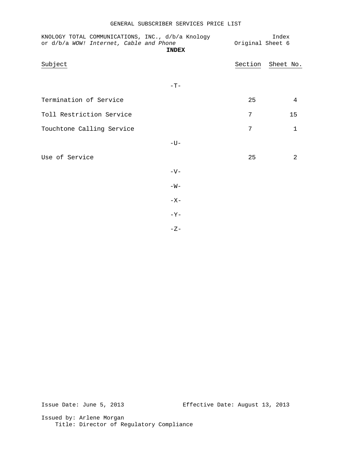| KNOLOGY TOTAL COMMUNICATIONS, INC., d/b/a Knology<br>or d/b/a WOW! Internet, Cable and Phone | <b>INDEX</b> | Original Sheet 6 | Index          |
|----------------------------------------------------------------------------------------------|--------------|------------------|----------------|
| Subject                                                                                      |              | Section          | Sheet No.      |
|                                                                                              | $-T-$        |                  |                |
| Termination of Service                                                                       |              | 25               | 4              |
| Toll Restriction Service                                                                     |              | 7                | 15             |
| Touchtone Calling Service                                                                    |              | 7                | 1              |
|                                                                                              | $-U-$        |                  |                |
| Use of Service                                                                               |              | 25               | $\overline{2}$ |
|                                                                                              | $-V-$        |                  |                |
|                                                                                              | $-W-$        |                  |                |
|                                                                                              | $-X-$        |                  |                |
|                                                                                              | $-Y-$        |                  |                |
|                                                                                              | $-Z-$        |                  |                |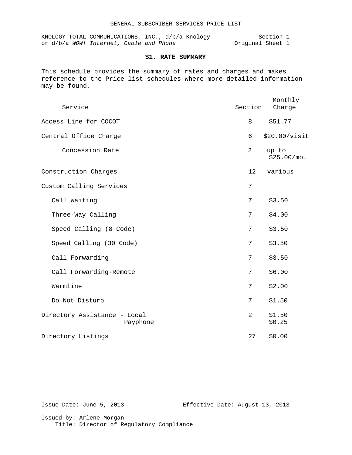KNOLOGY TOTAL COMMUNICATIONS, INC., d/b/a Knology Section 1 or d/b/a *WOW!* Internet, Cable and Phone **Original** Sheet 1

# **S1. RATE SUMMARY**

This schedule provides the summary of rates and charges and makes reference to the Price list schedules where more detailed information may be found.

| Service                                  | Section | Monthly<br>Charge    |
|------------------------------------------|---------|----------------------|
| Access Line for COCOT                    | 8       | \$51.77              |
| Central Office Charge                    | 6       | \$20.00/vist         |
| Concession Rate                          | 2       | up to<br>\$25.00/m0. |
| Construction Charges                     | 12      | various              |
| Custom Calling Services                  | 7       |                      |
| Call Waiting                             | 7       | \$3.50               |
| Three-Way Calling                        | 7       | \$4.00               |
| Speed Calling (8 Code)                   | 7       | \$3.50               |
| Speed Calling (30 Code)                  | 7       | \$3.50               |
| Call Forwarding                          | 7       | \$3.50               |
| Call Forwarding-Remote                   | 7       | \$6.00               |
| Warmline                                 | 7       | \$2.00               |
| Do Not Disturb                           | 7       | \$1.50               |
| Directory Assistance - Local<br>Payphone | 2       | \$1.50<br>\$0.25     |
| Directory Listings                       | 27      | \$0.00               |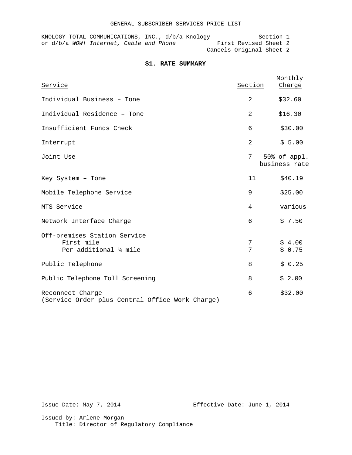## GENERAL SUBSCRIBER SERVICES PRICE LIST

KNOLOGY TOTAL COMMUNICATIONS, INC., d/b/a Knology Section 1 or d/b/a *WOW! Internet, Cable and Phone* First Revised Sheet 2 Cancels Original Sheet 2

# **S1. RATE SUMMARY**

| Service                                                               | Section        | Monthly<br>Charge             |
|-----------------------------------------------------------------------|----------------|-------------------------------|
| Individual Business - Tone                                            | 2              | \$32.60                       |
| Individual Residence - Tone                                           | 2              | \$16.30                       |
| Insufficient Funds Check                                              | 6              | \$30.00                       |
| Interrupt                                                             | $\mathfrak{D}$ | \$5.00                        |
| Joint Use                                                             | 7              | 50% of appl.<br>business rate |
| Key System - Tone                                                     | 11             | \$40.19                       |
| Mobile Telephone Service                                              | 9              | \$25.00                       |
| MTS Service                                                           | 4              | various                       |
| Network Interface Charge                                              | 6              | \$7.50                        |
| Off-premises Station Service<br>First mile<br>Per additional 1/4 mile | 7<br>7         | \$4.00<br>\$0.75              |
| Public Telephone                                                      | 8              | \$0.25                        |
| Public Telephone Toll Screening                                       | 8              | \$2.00                        |
| Reconnect Charge<br>(Service Order plus Central Office Work Charge)   | 6              | \$32.00                       |

Issue Date: May 7, 2014 Effective Date: June 1, 2014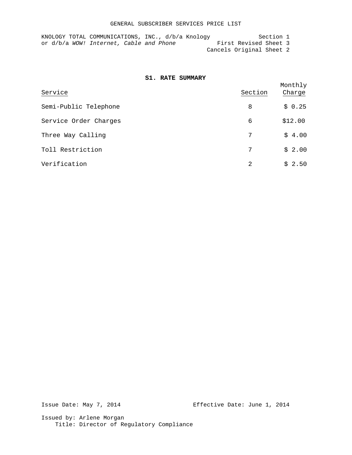|  | KNOLOGY TOTAL COMMUNICATIONS, INC., d/b/a Knology |  |  |                          | Section 1 |  |
|--|---------------------------------------------------|--|--|--------------------------|-----------|--|
|  | or d/b/a WOW! Internet, Cable and Phone           |  |  | First Revised Sheet 3    |           |  |
|  |                                                   |  |  | Cancels Original Sheet 2 |           |  |

## **S1. RATE SUMMARY**

| Service               | Section | Monthly<br>Charge |
|-----------------------|---------|-------------------|
| Semi-Public Telephone | 8       | \$0.25            |
| Service Order Charges | 6       | \$12.00           |
| Three Way Calling     | 7       | \$4.00            |
| Toll Restriction      | 7       | \$2.00            |
| Verification          | 2       | \$2.50            |

Issue Date: May 7, 2014 Effective Date: June 1, 2014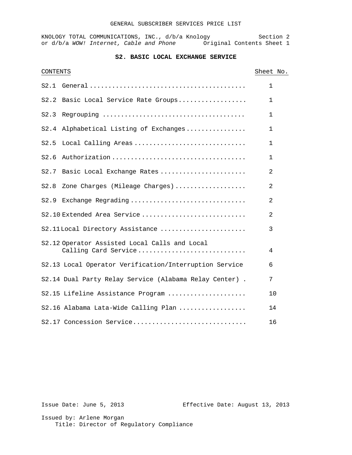## GENERAL SUBSCRIBER SERVICES PRICE LIST

KNOLOGY TOTAL COMMUNICATIONS, INC., d/b/a Knology Section 2 or d/b/a WOW! Internet, Cable and Phone **Original Contents Sheet 1** 

# **S2. BASIC LOCAL EXCHANGE SERVICE**

| <b>CONTENTS</b> |                                                                       | Sheet No. |
|-----------------|-----------------------------------------------------------------------|-----------|
| S2.1            |                                                                       | 1         |
| S2.2            | Basic Local Service Rate Groups                                       | 1         |
| S2.3            |                                                                       | 1         |
| S2.4            | Alphabetical Listing of Exchanges                                     | 1         |
| S2.5            | Local Calling Areas                                                   | 1         |
| S2.6            |                                                                       | 1         |
|                 | S2.7 Basic Local Exchange Rates                                       | 2         |
| S2.8            | Zone Charges (Mileage Charges)                                        | 2         |
| S2.9            | Exchange Regrading                                                    | 2         |
|                 | S2.10 Extended Area Service                                           | 2         |
|                 | S2.11Local Directory Assistance                                       | 3         |
|                 | S2.12 Operator Assisted Local Calls and Local<br>Calling Card Service | 4         |
|                 | S2.13 Local Operator Verification/Interruption Service                | 6         |
|                 | S2.14 Dual Party Relay Service (Alabama Relay Center) .               | 7         |
|                 | S2.15 Lifeline Assistance Program                                     | 10        |
|                 | S2.16 Alabama Lata-Wide Calling Plan                                  | 14        |
|                 | S2.17 Concession Service                                              | 16        |

Issue Date: June 5, 2013 Effective Date: August 13, 2013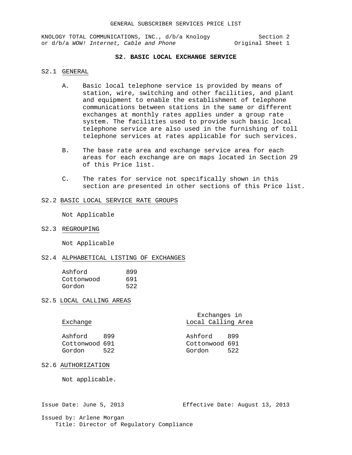KNOLOGY TOTAL COMMUNICATIONS, INC., d/b/a Knology Section 2<br>or d/b/a WOW! Internet, Cable and Phone or d/b/a WOW! Internet, Cable and Phone or d/b/a WOW! Internet, Cable and Phone

## **S2. BASIC LOCAL EXCHANGE SERVICE**

## S2.1 GENERAL

- A. Basic local telephone service is provided by means of station, wire, switching and other facilities, and plant and equipment to enable the establishment of telephone communications between stations in the same or different exchanges at monthly rates applies under a group rate system. The facilities used to provide such basic local telephone service are also used in the furnishing of toll telephone services at rates applicable for such services.
- B. The base rate area and exchange service area for each areas for each exchange are on maps located in Section 29 of this Price list.
- C. The rates for service not specifically shown in this section are presented in other sections of this Price list.

#### S2.2 BASIC LOCAL SERVICE RATE GROUPS

Not Applicable

S2.3 REGROUPING

Not Applicable

## S2.4 ALPHABETICAL LISTING OF EXCHANGES

| Ashford    | 899 |
|------------|-----|
| Cottonwood | 691 |
| Gordon     | 522 |

S2.5 LOCAL CALLING AREAS

| Exchange                            |            | Exchanges in<br>Local Calling Area  |            |
|-------------------------------------|------------|-------------------------------------|------------|
| Ashford<br>Cottonwood 691<br>Gordon | 899<br>522 | Ashford<br>Cottonwood 691<br>Gordon | 899<br>522 |

#### S2.6 AUTHORIZATION

Not applicable.

Issue Date: June 5, 2013 Effective Date: August 13, 2013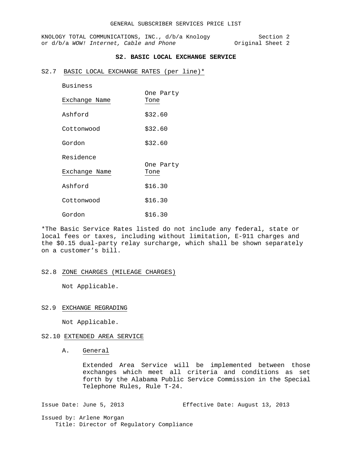KNOLOGY TOTAL COMMUNICATIONS, INC., d/b/a Knology Section 2 or d/b/a *WOW!* Internet, Cable and Phone **Original** Sheet 2

# **S2. BASIC LOCAL EXCHANGE SERVICE**

#### S2.7 BASIC LOCAL EXCHANGE RATES (per line)\*

| Business      |                   |
|---------------|-------------------|
| Exchange Name | One Party<br>Tone |
| Ashford       | \$32.60           |
| Cottonwood    | \$32.60           |
| Gordon        | \$32.60           |
| Residence     |                   |
| Exchange Name | One Party<br>Tone |
| Ashford       | \$16.30           |
| Cottonwood    | \$16.30           |
| Gordon        | \$16.30           |

\*The Basic Service Rates listed do not include any federal, state or local fees or taxes, including without limitation, E-911 charges and the \$0.15 dual-party relay surcharge, which shall be shown separately on a customer's bill.

## S2.8 ZONE CHARGES (MILEAGE CHARGES)

Not Applicable.

#### S2.9 EXCHANGE REGRADING

Not Applicable.

## S2.10 EXTENDED AREA SERVICE

#### A. General

Extended Area Service will be implemented between those exchanges which meet all criteria and conditions as set forth by the Alabama Public Service Commission in the Special Telephone Rules, Rule T-24.

Issue Date: June 5, 2013 Effective Date: August 13, 2013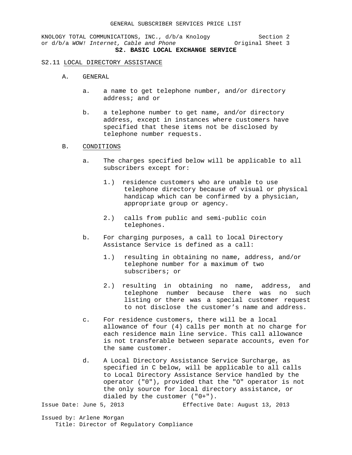KNOLOGY TOTAL COMMUNICATIONS, INC., d/b/a Knology Section 2<br>or d/b/a WOW! Internet, Cable and Phone (2013) Since S or d/b/a WOW! Internet, Cable and Phone **S2. BASIC LOCAL EXCHANGE SERVICE**

## S2.11 LOCAL DIRECTORY ASSISTANCE

- A. GENERAL
	- a. a name to get telephone number, and/or directory address; and or
	- b. a telephone number to get name, and/or directory address, except in instances where customers have specified that these items not be disclosed by telephone number requests.

# B. CONDITIONS

- a. The charges specified below will be applicable to all subscribers except for:
	- 1.) residence customers who are unable to use telephone directory because of visual or physical handicap which can be confirmed by a physician, appropriate group or agency.
	- 2.) calls from public and semi-public coin telephones.
- b. For charging purposes, a call to local Directory Assistance Service is defined as a call:
	- 1.) resulting in obtaining no name, address, and/or telephone number for a maximum of two subscribers; or
	- 2.) resulting in obtaining no name, address, and telephone number because there was no such listing or there was a special customer request to not disclose the customer's name and address.
- c. For residence customers, there will be a local allowance of four (4) calls per month at no charge for each residence main line service. This call allowance is not transferable between separate accounts, even for the same customer.
- d. A Local Directory Assistance Service Surcharge, as specified in C below, will be applicable to all calls to Local Directory Assistance Service handled by the operator ("0"), provided that the "O" operator is not the only source for local directory assistance, or dialed by the customer ("0+").

Issue Date: June 5, 2013 Effective Date: August 13, 2013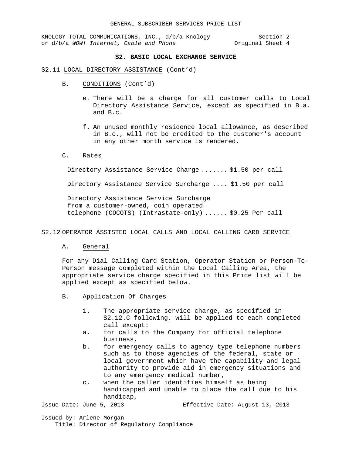KNOLOGY TOTAL COMMUNICATIONS, INC., d/b/a Knology Section 2<br>or d/b/a WOW! Internet, Cable and Phone (2013) Sincet 4 or d/b/a WOW! Internet, Cable and Phone

# **S2. BASIC LOCAL EXCHANGE SERVICE**

#### S2.11 LOCAL DIRECTORY ASSISTANCE (Cont'd)

- B. CONDITIONS (Cont'd)
	- e. There will be a charge for all customer calls to Local Directory Assistance Service, except as specified in B.a. and B.c.
	- f. An unused monthly residence local allowance, as described in B.c., will not be credited to the customer's account in any other month service is rendered.

## C. Rates

Directory Assistance Service Charge ....... \$1.50 per call

Directory Assistance Service Surcharge .... \$1.50 per call

Directory Assistance Service Surcharge from a customer-owned, coin operated telephone (COCOTS) (Intrastate-only) ...... \$0.25 Per call

## S2.12 OPERATOR ASSISTED LOCAL CALLS AND LOCAL CALLING CARD SERVICE

A. General

For any Dial Calling Card Station, Operator Station or Person-To-Person message completed within the Local Calling Area, the appropriate service charge specified in this Price list will be applied except as specified below.

- B. Application Of Charges
	- 1. The appropriate service charge, as specified in S2.12.C following, will be applied to each completed call except:
	- a. for calls to the Company for official telephone business,
	- b. for emergency calls to agency type telephone numbers such as to those agencies of the federal, state or local government which have the capability and legal authority to provide aid in emergency situations and to any emergency medical number,
	- c. when the caller identifies himself as being handicapped and unable to place the call due to his handicap,

Issue Date: June 5, 2013 Effective Date: August 13, 2013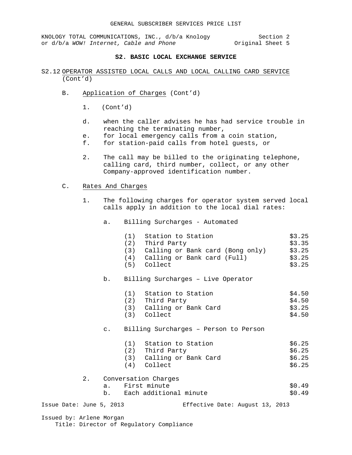KNOLOGY TOTAL COMMUNICATIONS, INC., d/b/a Knology Section 2<br>or d/b/a WOW! Internet, Cable and Phone (2013) Sincet 5 or d/b/a WOW! Internet, Cable and Phone

# **S2. BASIC LOCAL EXCHANGE SERVICE**

- S2.12 OPERATOR ASSISTED LOCAL CALLS AND LOCAL CALLING CARD SERVICE (Cont'd)
	- B. Application of Charges (Cont'd)
		- 1. (Cont'd)
		- d. when the caller advises he has had service trouble in reaching the terminating number,
		- e. for local emergency calls from a coin station,<br>f. for station-paid calls from hotel quests, or
		- for station-paid calls from hotel guests, or
		- 2. The call may be billed to the originating telephone, calling card, third number, collect, or any other Company-approved identification number.
	- C. Rates And Charges
		- 1. The following charges for operator system served local calls apply in addition to the local dial rates:
			- a. Billing Surcharges Automated

|  | Station to Station |  | \$3.25 |
|--|--------------------|--|--------|
|--|--------------------|--|--------|

- (2) Third Party (2) \$3.35<br>(3) Calling or Bank card (Bong only) \$3.25
- (3) Calling or Bank card (Bong only) \$3.25<br>(4) Calling or Bank card (Full) \$3.25
- (4) Calling or Bank card (Full)  $$3.25$ <br>(5) Collect  $$3.25$ (5) Collect

# b. Billing Surcharges – Live Operator

|  | Station to Station |  |  |  | \$4.50 |
|--|--------------------|--|--|--|--------|
|--|--------------------|--|--|--|--------|

- (2) Third Party<br>(3) Calling or Bank Card (3) S3.25
	- (3) Calling or Bank Card \$3.25<br>(3) Collect \$4.50  $(3)$  Collect

## c. Billing Surcharges – Person to Person

|                          |    | (1) | Station to Station     |                                 |  | \$6.25 |
|--------------------------|----|-----|------------------------|---------------------------------|--|--------|
|                          |    | (2) | Third Party            |                                 |  | \$6.25 |
|                          |    | (3) | Calling or Bank Card   |                                 |  | \$6.25 |
|                          |    | (4) | Collect                |                                 |  | \$6.25 |
|                          | 2. |     | Conversation Charges   |                                 |  |        |
|                          |    | a.  | First minute           |                                 |  | \$0.49 |
|                          |    | b.  | Each additional minute |                                 |  | \$0.49 |
| Issue Date: June 5, 2013 |    |     |                        | Effective Date: August 13, 2013 |  |        |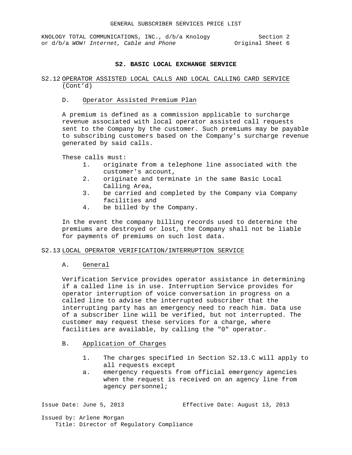KNOLOGY TOTAL COMMUNICATIONS, INC., d/b/a Knology Section 2<br>or d/b/a WOW! Internet, Cable and Phone or d/b/a WOW! Internet, Cable and Phone or d/b/a WOW! Internet, Cable and Phone

### **S2. BASIC LOCAL EXCHANGE SERVICE**

# S2.12 OPERATOR ASSISTED LOCAL CALLS AND LOCAL CALLING CARD SERVICE (Cont'd)

## D. Operator Assisted Premium Plan

A premium is defined as a commission applicable to surcharge revenue associated with local operator assisted call requests sent to the Company by the customer. Such premiums may be payable to subscribing customers based on the Company's surcharge revenue generated by said calls.

These calls must:

- 1. originate from a telephone line associated with the customer's account,
- 2. originate and terminate in the same Basic Local Calling Area,
- 3. be carried and completed by the Company via Company facilities and
- 4. be billed by the Company.

In the event the company billing records used to determine the premiums are destroyed or lost, the Company shall not be liable for payments of premiums on such lost data.

## S2.13 LOCAL OPERATOR VERIFICATION/INTERRUPTION SERVICE

## A. General

Verification Service provides operator assistance in determining if a called line is in use. Interruption Service provides for operator interruption of voice conversation in progress on a called line to advise the interrupted subscriber that the interrupting party has an emergency need to reach him. Data use of a subscriber line will be verified, but not interrupted. The customer may request these services for a charge, where facilities are available, by calling the "0" operator.

#### B. Application of Charges

- 1. The charges specified in Section S2.13.C will apply to all requests except
- a. emergency requests from official emergency agencies when the request is received on an agency line from agency personnel;

Issue Date: June 5, 2013 Effective Date: August 13, 2013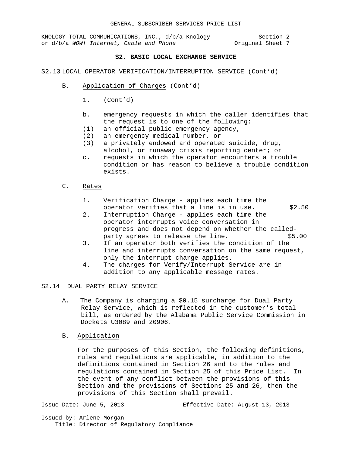KNOLOGY TOTAL COMMUNICATIONS, INC., d/b/a Knology Section 2<br>or d/b/a WOW! Internet, Cable and Phone (2013) Singles Original Sheet 7 or d/b/a WOW! Internet, Cable and Phone

## **S2. BASIC LOCAL EXCHANGE SERVICE**

#### S2.13 LOCAL OPERATOR VERIFICATION/INTERRUPTION SERVICE (Cont'd)

- B. Application of Charges (Cont'd)
	- 1. (Cont'd)
	- b. emergency requests in which the caller identifies that the request is to one of the following:
	- (1) an official public emergency agency,<br>(2) an emergency medical number, or
	- (2) an emergency medical number, or<br>(3) a privately endowed and operate
	- a privately endowed and operated suicide, drug, alcohol, or runaway crisis reporting center; or
	- c. requests in which the operator encounters a trouble condition or has reason to believe a trouble condition exists.
- C. Rates
	- 1. Verification Charge applies each time the operator verifies that a line is in use.  $$2.50$
	- 2. Interruption Charge applies each time the operator interrupts voice conversation in progress and does not depend on whether the called-<br>party agrees to release the line.  $$5.00$ party agrees to release the line.
	- 3. If an operator both verifies the condition of the line and interrupts conversation on the same request, only the interrupt charge applies.
	- 4. The charges for Verify/Interrupt Service are in addition to any applicable message rates.

## S2.14 DUAL PARTY RELAY SERVICE

- A. The Company is charging a \$0.15 surcharge for Dual Party Relay Service, which is reflected in the customer's total bill, as ordered by the Alabama Public Service Commission in Dockets U3089 and 20906.
- B. Application

For the purposes of this Section, the following definitions, rules and regulations are applicable, in addition to the definitions contained in Section 26 and to the rules and regulations contained in Section 25 of this Price List. In the event of any conflict between the provisions of this Section and the provisions of Sections 25 and 26, then the provisions of this Section shall prevail.

Issue Date: June 5, 2013 Effective Date: August 13, 2013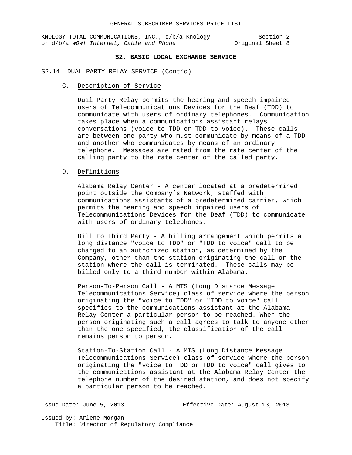KNOLOGY TOTAL COMMUNICATIONS, INC., d/b/a Knology Section 2<br>or d/b/a WOW! Internet, Cable and Phone (2013) Sincet 8 or d/b/a WOW! Internet, Cable and Phone

# **S2. BASIC LOCAL EXCHANGE SERVICE**

#### S2.14 DUAL PARTY RELAY SERVICE (Cont'd)

C. Description of Service

Dual Party Relay permits the hearing and speech impaired users of Telecommunications Devices for the Deaf (TDD) to communicate with users of ordinary telephones. Communication takes place when a communications assistant relays conversations (voice to TDD or TDD to voice). These calls are between one party who must communicate by means of a TDD and another who communicates by means of an ordinary telephone. Messages are rated from the rate center of the calling party to the rate center of the called party.

## D. Definitions

Alabama Relay Center - A center located at a predetermined point outside the Company's Network, staffed with communications assistants of a predetermined carrier, which permits the hearing and speech impaired users of Telecommunications Devices for the Deaf (TDD) to communicate with users of ordinary telephones.

Bill to Third Party - A billing arrangement which permits a long distance "voice to TDD" or "TDD to voice" call to be charged to an authorized station, as determined by the Company, other than the station originating the call or the station where the call is terminated. These calls may be billed only to a third number within Alabama.

Person-To-Person Call - A MTS (Long Distance Message Telecommunications Service) class of service where the person originating the "voice to TDD" or "TDD to voice" call specifies to the communications assistant at the Alabama Relay Center a particular person to be reached. When the person originating such a call agrees to talk to anyone other than the one specified, the classification of the call remains person to person.

Station-To-Station Call - A MTS (Long Distance Message Telecommunications Service) class of service where the person originating the "voice to TDD or TDD to voice" call gives to the communications assistant at the Alabama Relay Center the telephone number of the desired station, and does not specify a particular person to be reached.

Issue Date: June 5, 2013 Effective Date: August 13, 2013 Issued by: Arlene Morgan Title: Director of Regulatory Compliance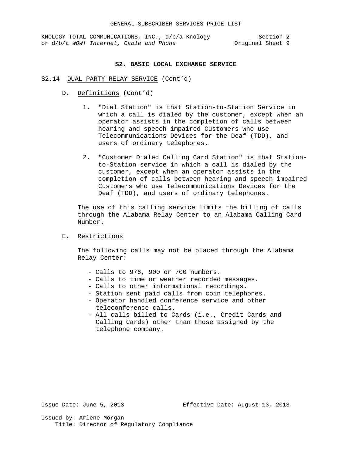KNOLOGY TOTAL COMMUNICATIONS, INC., d/b/a Knology Section 2 or d/b/a *WOW!* Internet, Cable and Phone **Original** Sheet 9

#### **S2. BASIC LOCAL EXCHANGE SERVICE**

- S2.14 DUAL PARTY RELAY SERVICE (Cont'd)
	- D. Definitions (Cont'd)
		- 1. "Dial Station" is that Station-to-Station Service in which a call is dialed by the customer, except when an operator assists in the completion of calls between hearing and speech impaired Customers who use Telecommunications Devices for the Deaf (TDD), and users of ordinary telephones.
		- 2. "Customer Dialed Calling Card Station" is that Stationto-Station service in which a call is dialed by the customer, except when an operator assists in the completion of calls between hearing and speech impaired Customers who use Telecommunications Devices for the Deaf (TDD), and users of ordinary telephones.

The use of this calling service limits the billing of calls through the Alabama Relay Center to an Alabama Calling Card Number.

# E. Restrictions

The following calls may not be placed through the Alabama Relay Center:

- Calls to 976, 900 or 700 numbers.
- Calls to time or weather recorded messages.
- Calls to other informational recordings.
- Station sent paid calls from coin telephones.
- Operator handled conference service and other teleconference calls.
- All calls billed to Cards (i.e., Credit Cards and Calling Cards) other than those assigned by the telephone company.

Issue Date: June 5, 2013 Effective Date: August 13, 2013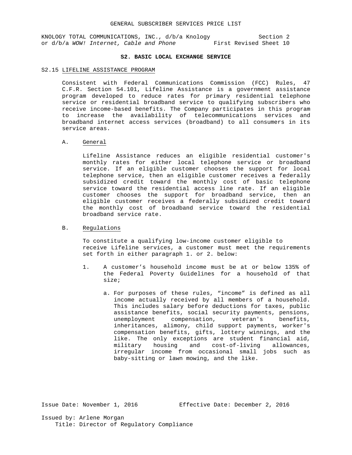KNOLOGY TOTAL COMMUNICATIONS, INC., d/b/a Knology section 2<br>or d/b/a WOW! Internet, Cable and Phone First Revised Sheet 10 or d/b/a WOW! Internet, Cable and Phone

## **S2. BASIC LOCAL EXCHANGE SERVICE**

#### S2.15 LIFELINE ASSISTANCE PROGRAM

Consistent with Federal Communications Commission (FCC) Rules, 47 C.F.R. Section 54.101, Lifeline Assistance is a government assistance program developed to reduce rates for primary residential telephone service or residential broadband service to qualifying subscribers who receive income-based benefits. The Company participates in this program to increase the availability of telecommunications services and broadband internet access services (broadband) to all consumers in its service areas.

#### A. General

Lifeline Assistance reduces an eligible residential customer's monthly rates for either local telephone service or broadband service. If an eligible customer chooses the support for local telephone service, then an eligible customer receives a federally subsidized credit toward the monthly cost of basic telephone service toward the residential access line rate. If an eligible customer chooses the support for broadband service, then an eligible customer receives a federally subsidized credit toward the monthly cost of broadband service toward the residential broadband service rate.

## B. Regulations

To constitute a qualifying low-income customer eligible to receive Lifeline services, a customer must meet the requirements set forth in either paragraph 1. or 2. below:

- 1. A customer's household income must be at or below 135% of the Federal Poverty Guidelines for a household of that size;
	- a. For purposes of these rules, "income" is defined as all income actually received by all members of a household. This includes salary before deductions for taxes, public assistance benefits, social security payments, pensions, unemployment compensation, veteran's benefits, unemployment compensation, veteran's inheritances, alimony, child support payments, worker's compensation benefits, gifts, lottery winnings, and the like. The only exceptions are student financial aid, military housing and cost-of-living allowances, irregular income from occasional small jobs such as baby-sitting or lawn mowing, and the like.

Issue Date: November 1, 2016 Effective Date: December 2, 2016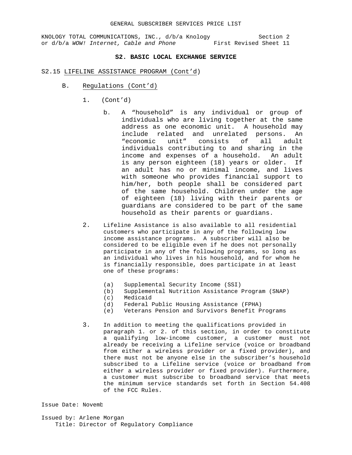KNOLOGY TOTAL COMMUNICATIONS, INC., d/b/a Knology section 2<br>or d/b/a WOW! Internet, Cable and Phone First Revised Sheet 11 or d/b/a WOW! Internet, Cable and Phone

# **S2. BASIC LOCAL EXCHANGE SERVICE**

#### S2.15 LIFELINE ASSISTANCE PROGRAM (Cont'd)

- B. Regulations (Cont'd)
	- 1. (Cont'd)
		- b. A "household" is any individual or group of individuals who are living together at the same address as one economic unit. A household may<br>include related and unrelated persons. An include related and unrelated persons. An<br>"economic unit" consists of all adult "economic unit" consists of individuals contributing to and sharing in the income and expenses of a household. An adult is any person eighteen (18) years or older. If an adult has no or minimal income, and lives with someone who provides financial support to him/her, both people shall be considered part of the same household. Children under the age of eighteen (18) living with their parents or guardians are considered to be part of the same household as their parents or guardians.
	- 2. Lifeline Assistance is also available to all residential customers who participate in any of the following low income assistance programs. A subscriber will also be considered to be eligible even if he does not personally participate in any of the following programs, so long as an individual who lives in his household, and for whom he is financially responsible, does participate in at least one of these programs:
		- (a) Supplemental Security Income (SSI)<br>(b) Supplemental Nutrition Assistance 1
		- (b) Supplemental Nutrition Assistance Program (SNAP)
		- Medicaid
		- (d) Federal Public Housing Assistance (FPHA)
		- (e) Veterans Pension and Survivors Benefit Programs
	- 3. In addition to meeting the qualifications provided in paragraph 1. or 2. of this section, in order to constitute a qualifying low-income customer, a customer must not already be receiving a Lifeline service (voice or broadband from either a wireless provider or a fixed provider), and there must not be anyone else in the subscriber's household subscribed to a Lifeline service (voice or broadband from either a wireless provider or fixed provider). Furthermore, a customer must subscribe to broadband service that meets the minimum service standards set forth in Section 54.408 of the FCC Rules.

Issue Date: Novemb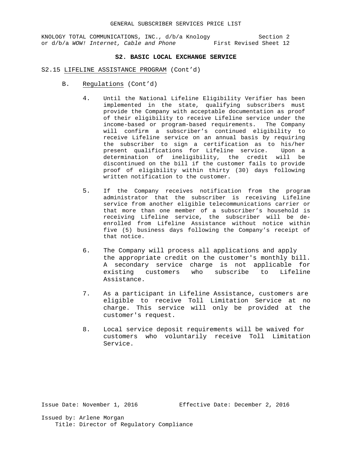KNOLOGY TOTAL COMMUNICATIONS, INC., d/b/a Knology Section 2 or d/b/a *WOW! Internet, Cable and Phone* First Revised Sheet 12

# **S2. BASIC LOCAL EXCHANGE SERVICE**

#### S2.15 LIFELINE ASSISTANCE PROGRAM (Cont'd)

- B. Regulations (Cont'd)
	- 4. Until the National Lifeline Eligibility Verifier has been implemented in the state, qualifying subscribers must provide the Company with acceptable documentation as proof of their eligibility to receive Lifeline service under the income-based or program-based requirements. The Company will confirm a subscriber's continued eligibility to receive Lifeline service on an annual basis by requiring the subscriber to sign a certification as to his/her present qualifications for Lifeline service. Upon a determination of ineligibility, the credit will be discontinued on the bill if the customer fails to provide proof of eligibility within thirty (30) days following written notification to the customer.
	- 5. If the Company receives notification from the program administrator that the subscriber is receiving Lifeline service from another eligible telecommunications carrier or that more than one member of a subscriber's household is receiving Lifeline service, the subscriber will be deenrolled from Lifeline Assistance without notice within five (5) business days following the Company's receipt of that notice.
	- 6. The Company will process all applications and apply the appropriate credit on the customer's monthly bill. A secondary service charge is not applicable for<br>existing customers who subscribe to Lifeline existing customers who subscribe to Assistance.
	- 7. As a participant in Lifeline Assistance, customers are eligible to receive Toll Limitation Service at no charge. This service will only be provided at the customer's request.
	- 8. Local service deposit requirements will be waived for customers who voluntarily receive Toll Limitation Service.

Issued by: Arlene Morgan

Title: Director of Regulatory Compliance

Issue Date: November 1, 2016 Effective Date: December 2, 2016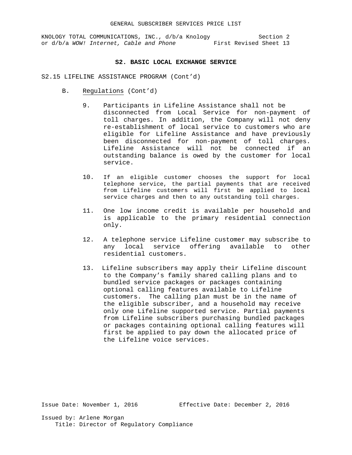KNOLOGY TOTAL COMMUNICATIONS, INC., d/b/a Knology Section 2<br>or d/b/a WOW! Internet, Cable and Phone First Revised Sheet 13 or d/b/a WOW! Internet, Cable and Phone

#### **S2. BASIC LOCAL EXCHANGE SERVICE**

- S2.15 LIFELINE ASSISTANCE PROGRAM (Cont'd)
	- B. Regulations (Cont'd)
		- 9. Participants in Lifeline Assistance shall not be disconnected from Local Service for non-payment of toll charges. In addition, the Company will not deny re-establishment of local service to customers who are eligible for Lifeline Assistance and have previously been disconnected for non-payment of toll charges. Lifeline Assistance will not be connected if an outstanding balance is owed by the customer for local service.
		- 10. If an eligible customer chooses the support for local telephone service, the partial payments that are received from Lifeline customers will first be applied to local service charges and then to any outstanding toll charges.
		- 11. One low income credit is available per household and is applicable to the primary residential connection only.
		- 12. A telephone service Lifeline customer may subscribe to any local service offering available to other residential customers.
		- 13. Lifeline subscribers may apply their Lifeline discount to the Company's family shared calling plans and to bundled service packages or packages containing optional calling features available to Lifeline customers. The calling plan must be in the name of the eligible subscriber, and a household may receive only one Lifeline supported service. Partial payments from Lifeline subscribers purchasing bundled packages or packages containing optional calling features will first be applied to pay down the allocated price of the Lifeline voice services.

Issue Date: November 1, 2016 Effective Date: December 2, 2016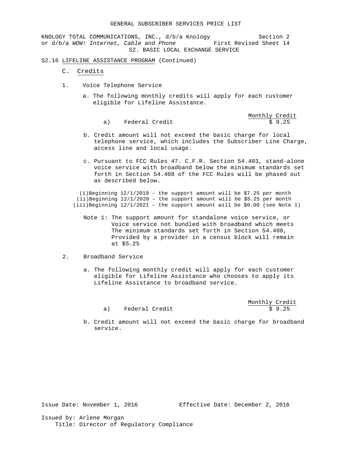KNOLOGY TOTAL COMMUNICATIONS, INC., d/b/a Knology Section 2<br>or d/b/a WOW! Internet, Cable and Phone First Revised Sheet 14 or d/b/a WOW! Internet, Cable and Phone S2. BASIC LOCAL EXCHANGE SERVICE

- S2.16 LIFELINE ASSISTANCE PROGRAM (Continued)
	- C. Credits
	- 1. Voice Telephone Service
		- a. The following monthly credits will apply for each customer eligible for Lifeline Assistance.

```
Monthly Credit<br>$9.25
a) Federal Credit
```
- b. Credit amount will not exceed the basic charge for local telephone service, which includes the Subscriber Line Charge, access line and local usage.
- c. Pursuant to FCC Rules 47. C.F.R. Section 54.403, stand-alone voice service with broadband below the minimum standards set forth in Section 54.408 of the FCC Rules will be phased out as described below.

(i)Beginning  $12/1/2019$  - the support amount will be \$7.25 per month (ii)Beginning 12/1/2020 – the support amount will be \$5.25 per month (iii)Beginning 12/1/2021 – the support amount will be \$0.00 (see Note 1)

 Note 1: The support amount for standalone voice service, or Voice service not bundled with broadband which meets The minimum standards set forth in Section 54.408, Provided by a provider in a census block will remain at \$5.25

#### 2. Broadband Service

service.

 a. The following monthly credit will apply for each customer eligible for Lifeline Assistance who chooses to apply its Lifeline Assistance to broadband service.

|                | Monthly Credit |
|----------------|----------------|
| Federal Credit | \$9.25         |

a) Federal Credit

b. Credit amount will not exceed the basic charge for broadband

Issue Date: November 1, 2016 Fifective Date: December 2, 2016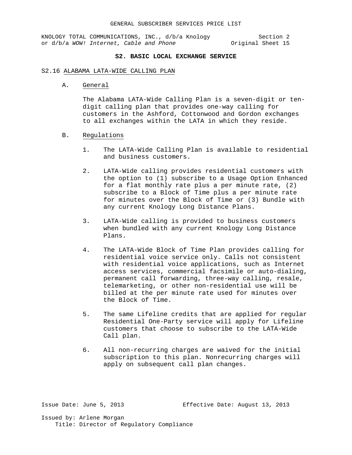KNOLOGY TOTAL COMMUNICATIONS, INC., d/b/a Knology Section 2<br>or d/b/a WOW! Internet, Cable and Phone or iginal Sheet 15 or d/b/a WOW! Internet, Cable and Phone

## **S2. BASIC LOCAL EXCHANGE SERVICE**

#### S2.16 ALABAMA LATA-WIDE CALLING PLAN

A. General

The Alabama LATA-Wide Calling Plan is a seven-digit or tendigit calling plan that provides one-way calling for customers in the Ashford, Cottonwood and Gordon exchanges to all exchanges within the LATA in which they reside.

- B. Regulations
	- 1. The LATA-Wide Calling Plan is available to residential and business customers.
	- 2. LATA-Wide calling provides residential customers with the option to (1) subscribe to a Usage Option Enhanced for a flat monthly rate plus a per minute rate, (2) subscribe to a Block of Time plus a per minute rate for minutes over the Block of Time or (3) Bundle with any current Knology Long Distance Plans.
	- 3. LATA-Wide calling is provided to business customers when bundled with any current Knology Long Distance Plans.
	- 4. The LATA-Wide Block of Time Plan provides calling for residential voice service only. Calls not consistent with residential voice applications, such as Internet access services, commercial facsimile or auto-dialing, permanent call forwarding, three-way calling, resale, telemarketing, or other non-residential use will be billed at the per minute rate used for minutes over the Block of Time.
	- 5. The same Lifeline credits that are applied for regular Residential One-Party service will apply for Lifeline customers that choose to subscribe to the LATA-Wide Call plan.
	- 6. All non-recurring charges are waived for the initial subscription to this plan. Nonrecurring charges will apply on subsequent call plan changes.

Issue Date: June 5, 2013 Effective Date: August 13, 2013 Issued by: Arlene Morgan Title: Director of Regulatory Compliance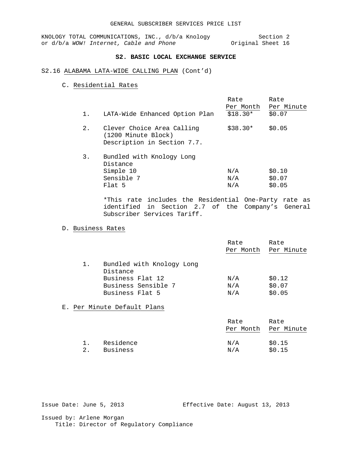KNOLOGY TOTAL COMMUNICATIONS, INC., d/b/a Knology Section 2 or d/b/a *WOW!* Internet, Cable and Phone **Original** Sheet 16

# **S2. BASIC LOCAL EXCHANGE SERVICE**

## S2.16 ALABAMA LATA-WIDE CALLING PLAN (Cont'd)

C. Residential Rates

|    |                                                                                  | Rate<br>Per Month | Rate<br>Per Minute         |
|----|----------------------------------------------------------------------------------|-------------------|----------------------------|
| 1. | LATA-Wide Enhanced Option Plan                                                   | $$18.30*$         | \$0.07                     |
| 2. | Clever Choice Area Calling<br>(1200 Minute Block)<br>Description in Section 7.7. | $$38.30*$         | \$0.05                     |
| 3. | Bundled with Knology Long<br>Distance<br>Simple 10<br>Sensible 7<br>Flat 5       | N/A<br>N/A<br>N/A | \$0.10<br>\$0.07<br>\$0.05 |

\*This rate includes the Residential One-Party rate as identified in Section 2.7 of the Company's General Subscriber Services Tariff.

D. Business Rates

|                                                                                                     | Rate<br>Per Month | Rate<br>Per Minute         |
|-----------------------------------------------------------------------------------------------------|-------------------|----------------------------|
| Bundled with Knology Long<br>Distance<br>Business Flat 12<br>Business Sensible 7<br>Business Flat 5 | N/A<br>N/A<br>N/A | \$0.12<br>\$0.07<br>\$0.05 |

# E. Per Minute Default Plans

|    |           | Rate | Rate<br>Per Month Per Minute |  |
|----|-----------|------|------------------------------|--|
| 1. | Residence | N/A  | \$0.15                       |  |
| 2. | Business  | N/A  | \$0.15                       |  |

Issue Date: June 5, 2013 Effective Date: August 13, 2013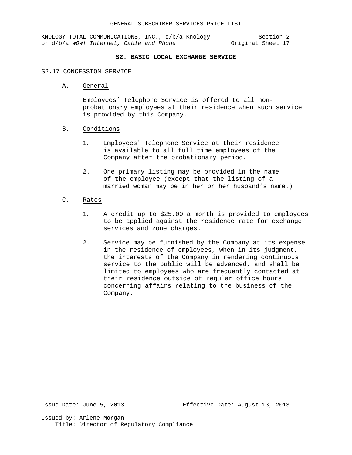KNOLOGY TOTAL COMMUNICATIONS, INC., d/b/a Knology Section 2<br>or d/b/a WOW! Internet, Cable and Phone or iginal Sheet 17 or d/b/a WOW! Internet, Cable and Phone

# **S2. BASIC LOCAL EXCHANGE SERVICE**

#### S2.17 CONCESSION SERVICE

A. General

Employees' Telephone Service is offered to all nonprobationary employees at their residence when such service is provided by this Company.

# B. Conditions

- 1. Employees' Telephone Service at their residence is available to all full time employees of the Company after the probationary period.
- 2. One primary listing may be provided in the name of the employee (except that the listing of a married woman may be in her or her husband's name.)

## C. Rates

- 1. A credit up to \$25.00 a month is provided to employees to be applied against the residence rate for exchange services and zone charges.
- 2. Service may be furnished by the Company at its expense in the residence of employees, when in its judgment, the interests of the Company in rendering continuous service to the public will be advanced, and shall be limited to employees who are frequently contacted at their residence outside of regular office hours concerning affairs relating to the business of the Company.

Issue Date: June 5, 2013 Effective Date: August 13, 2013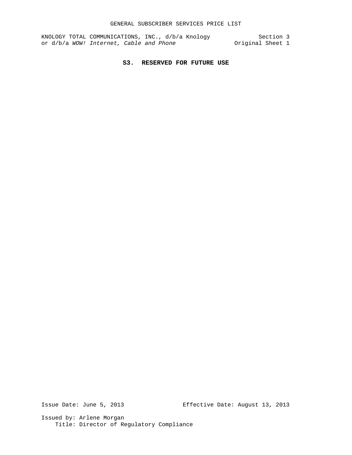KNOLOGY TOTAL COMMUNICATIONS, INC., d/b/a Knology Section 3 or d/b/a *WOW!* Internet, Cable and Phone **Original** Sheet 1

# **S3. RESERVED FOR FUTURE USE**

Issue Date: June 5, 2013 Effective Date: August 13, 2013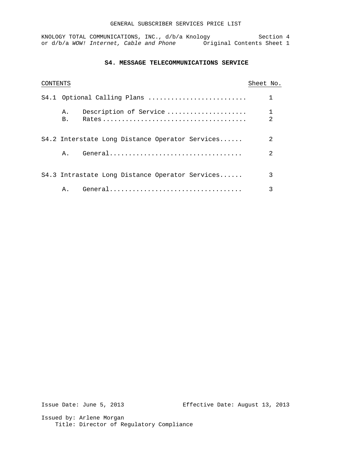## GENERAL SUBSCRIBER SERVICES PRICE LIST

KNOLOGY TOTAL COMMUNICATIONS, INC., d/b/a Knology Section 4 or d/b/a WOW! Internet, Cable and Phone **Original Contents Sheet 1** 

# **S4. MESSAGE TELECOMMUNICATIONS SERVICE**

| CONTENTS |                 |                                                 | Sheet No. |                               |
|----------|-----------------|-------------------------------------------------|-----------|-------------------------------|
|          |                 | S4.1 Optional Calling Plans                     |           |                               |
|          | Α.<br><b>B.</b> | Description of Service                          |           | $\mathbf 1$<br>$\mathfrak{D}$ |
|          |                 | S4.2 Interstate Long Distance Operator Services |           | $\mathfrak{D}$                |
|          | $\mathsf{A}$ .  |                                                 |           | 2                             |
|          |                 | S4.3 Intrastate Long Distance Operator Services |           | 3                             |
|          | Ά.              |                                                 |           |                               |

Issue Date: June 5, 2013 Effective Date: August 13, 2013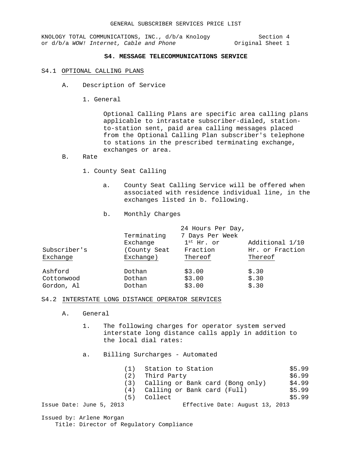KNOLOGY TOTAL COMMUNICATIONS, INC., d/b/a Knology Section 4<br>or d/b/a WOW! Internet, Cable and Phone (2013) Sincet 1 or d/b/a WOW! Internet, Cable and Phone

# **S4. MESSAGE TELECOMMUNICATIONS SERVICE**

#### S4.1 OPTIONAL CALLING PLANS

- A. Description of Service
	- 1. General

Optional Calling Plans are specific area calling plans applicable to intrastate subscriber-dialed, stationto-station sent, paid area calling messages placed from the Optional Calling Plan subscriber's telephone to stations in the prescribed terminating exchange, exchanges or area.

- B. Rate
	- 1. County Seat Calling
		- a. County Seat Calling Service will be offered when associated with residence individual line, in the exchanges listed in b. following.
		- b. Monthly Charges

| 24 Hours Per Day,      |                 |  |
|------------------------|-----------------|--|
| 7 Days Per Week        |                 |  |
| $1^{\text{st}}$ Hr. or | Additional 1/10 |  |
| Fraction               | Hr. or Fraction |  |
| Thereof                | Thereof         |  |
| \$3.00                 | \$.30           |  |
| \$3.00                 | \$.30           |  |
| \$3.00                 | \$.30           |  |
|                        |                 |  |

S4.2 INTERSTATE LONG DISTANCE OPERATOR SERVICES

- A. General
	- 1. The following charges for operator system served interstate long distance calls apply in addition to the local dial rates:
	- a. Billing Surcharges Automated

| (1)                      | Station to Station               | \$5.99 |
|--------------------------|----------------------------------|--------|
| (2)                      | Third Party                      | \$6.99 |
| (3)                      | Calling or Bank card (Bong only) | \$4.99 |
| (4)                      | Calling or Bank card (Full)      | \$5.99 |
| ' 5 )                    | Collect                          | \$5.99 |
| Issue Date: June 5, 2013 | Effective Date: August 13, 2013  |        |
| Issued by: Arlene Morgan |                                  |        |

Title: Director of Regulatory Compliance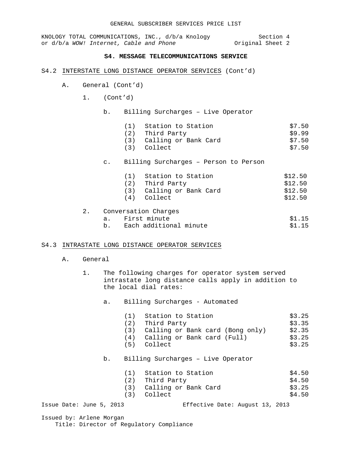KNOLOGY TOTAL COMMUNICATIONS, INC., d/b/a Knology Section 4 or d/b/a *WOW!* Internet, Cable and Phone **Original** Sheet 2

# **S4. MESSAGE TELECOMMUNICATIONS SERVICE**

#### S4.2 INTERSTATE LONG DISTANCE OPERATOR SERVICES (Cont'd)

- A. General (Cont'd)
	- 1. (Cont'd)

# b. Billing Surcharges – Live Operator

| (1) Station to Station | \$7.50             |
|------------------------|--------------------|
| maind possess          | $A \cap \cap \cap$ |

- (2) Third Party \$9.99
- (3) Calling or Bank Card \$7.50<br>(3) Collect \$7.50 (3) Collect

## c. Billing Surcharges – Person to Person

| (1) Station to Station   | \$12.50 |
|--------------------------|---------|
| (2) Third Party          | \$12.50 |
| (3) Calling or Bank Card | \$12.50 |
| (4) Collect              | \$12.50 |
|                          |         |

# 2. Conversation Charges a. First minute<br>b. Each additional minute  $$1.15$ Each additional minute

# S4.3 INTRASTATE LONG DISTANCE OPERATOR SERVICES

## A. General

- 1. The following charges for operator system served intrastate long distance calls apply in addition to the local dial rates:
	- a. Billing Surcharges Automated

|     | (1) Station to Station               | \$3.25 |
|-----|--------------------------------------|--------|
| (2) | Third Party                          | \$3.35 |
|     | (3) Calling or Bank card (Bong only) | \$2.35 |
|     | (4) Calling or Bank card (Full)      | \$3.25 |
|     | (5) Collect                          | \$3.25 |
|     |                                      |        |

## b. Billing Surcharges – Live Operator

| (1) Station to Station                                  | \$4.50 |
|---------------------------------------------------------|--------|
| (2) Third Party                                         | \$4.50 |
| $\sim$ $\sim$ $\sim$ $\sim$ $\sim$ $\sim$ $\sim$ $\sim$ | 20 OF  |

- (3) Calling or Bank Card \$3.25<br>(3) Collect \$4.50
- $(3)$  Collect

Issue Date: June 5, 2013 Effective Date: August 13, 2013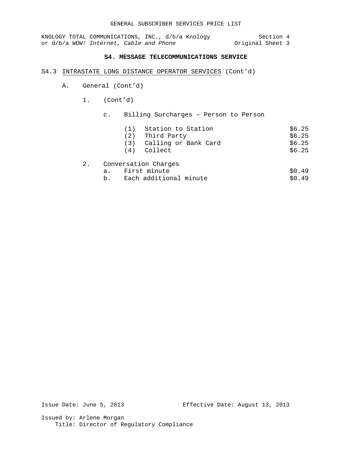KNOLOGY TOTAL COMMUNICATIONS, INC., d/b/a Knology Section 4 or d/b/a *WOW!* Internet, Cable and Phone **Original** Sheet 3

# **S4. MESSAGE TELECOMMUNICATIONS SERVICE**

# S4.3 INTRASTATE LONG DISTANCE OPERATOR SERVICES (Cont'd)

- A. General (Cont'd)
	- 1. (Cont'd)

## c. Billing Surcharges – Person to Person

|    | (1)                                     | Station to Station<br>(2) Third Party<br>(3) Calling or Bank Card<br>(4) Collect | \$6.25<br>\$6.25<br>\$6.25<br>\$6.25 |
|----|-----------------------------------------|----------------------------------------------------------------------------------|--------------------------------------|
| 2. | Conversation Charges<br>a. First minute |                                                                                  | \$0.49                               |

b. Each additional minute  $$0.49$ 

Issue Date: June 5, 2013 Effective Date: August 13, 2013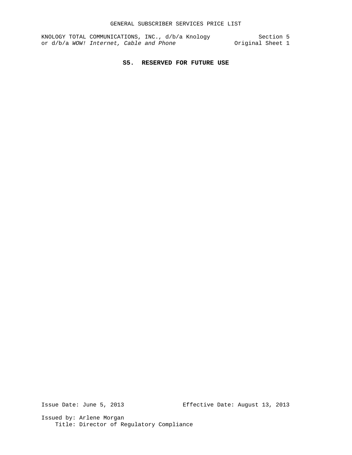# **S5. RESERVED FOR FUTURE USE**

Issue Date: June 5, 2013 Effective Date: August 13, 2013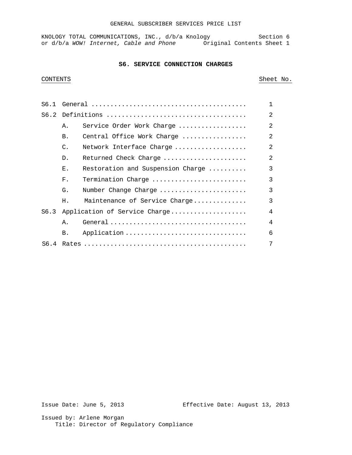## GENERAL SUBSCRIBER SERVICES PRICE LIST

KNOLOGY TOTAL COMMUNICATIONS, INC., d/b/a Knology Section 6 or d/b/a WOW! Internet, Cable and Phone **Original Contents Sheet 1** 

## **S6. SERVICE CONNECTION CHARGES**

# CONTENTS Sheet No.

|      |                 |                                   | 2              |
|------|-----------------|-----------------------------------|----------------|
|      | Α.              | Service Order Work Charge         | 2              |
|      | <b>B.</b>       | Central Office Work Charge        | 2              |
|      | $\mathcal{C}$ . | Network Interface Charge          | $\mathfrak{D}$ |
|      | D.              | Returned Check Charge             | 2              |
|      | Ε.              | Restoration and Suspension Charge | 3              |
|      | F.              | Termination Charge                | 3              |
|      | G.              | Number Change Charge              | 3              |
|      | Η.              | Maintenance of Service Charge     | 3              |
| S6.3 |                 | Application of Service Charge     | $\overline{4}$ |
|      | Ά.              |                                   | $\overline{4}$ |
|      | <b>B.</b>       | Application                       | 6              |
|      |                 |                                   | 7              |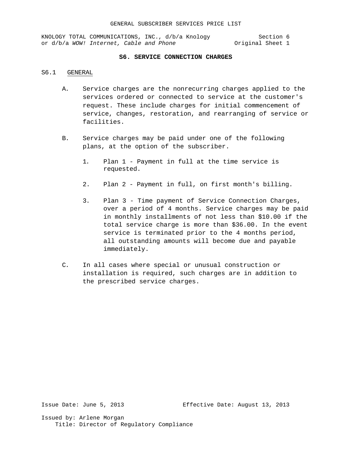KNOLOGY TOTAL COMMUNICATIONS, INC.,  $d/b/a$  Knology  $d/b/a$  WOW! Internet, Cable and Phone  $0$ riginal Sheet 1 or d/b/a WOW! Internet, Cable and Phone

# **S6. SERVICE CONNECTION CHARGES**

# S6.1 GENERAL

- A. Service charges are the nonrecurring charges applied to the services ordered or connected to service at the customer's request. These include charges for initial commencement of service, changes, restoration, and rearranging of service or facilities.
- B. Service charges may be paid under one of the following plans, at the option of the subscriber.
	- 1. Plan 1 Payment in full at the time service is requested.
	- 2. Plan 2 Payment in full, on first month's billing.
	- 3. Plan 3 Time payment of Service Connection Charges, over a period of 4 months. Service charges may be paid in monthly installments of not less than \$10.00 if the total service charge is more than \$36.00. In the event service is terminated prior to the 4 months period, all outstanding amounts will become due and payable immediately.
- C. In all cases where special or unusual construction or installation is required, such charges are in addition to the prescribed service charges.

Issue Date: June 5, 2013 Effective Date: August 13, 2013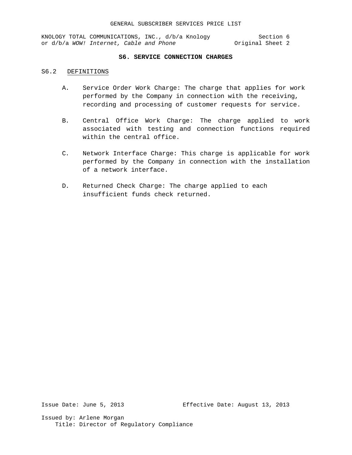KNOLOGY TOTAL COMMUNICATIONS, INC., d/b/a Knology Section 6<br>or d/b/a WOW! Internet, Cable and Phone 0riginal Sheet 2 or d/b/a WOW! Internet, Cable and Phone

# **S6. SERVICE CONNECTION CHARGES**

## S6.2 DEFINITIONS

- A. Service Order Work Charge: The charge that applies for work performed by the Company in connection with the receiving, recording and processing of customer requests for service.
- B. Central Office Work Charge: The charge applied to work associated with testing and connection functions required within the central office.
- C. Network Interface Charge: This charge is applicable for work performed by the Company in connection with the installation of a network interface.
- D. Returned Check Charge: The charge applied to each insufficient funds check returned.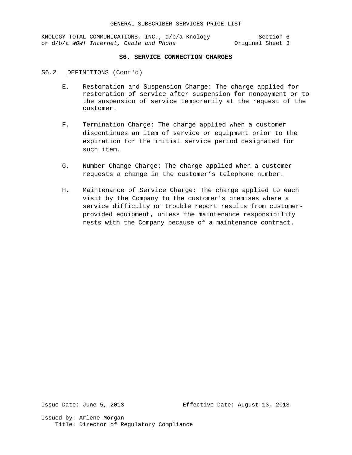KNOLOGY TOTAL COMMUNICATIONS, INC., d/b/a Knology Section 6<br>or d/b/a WOW! Internet, Cable and Phone 0riginal Sheet 3 or d/b/a WOW! Internet, Cable and Phone

## **S6. SERVICE CONNECTION CHARGES**

# S6.2 DEFINITIONS (Cont'd)

- E. Restoration and Suspension Charge: The charge applied for restoration of service after suspension for nonpayment or to the suspension of service temporarily at the request of the customer.
- F. Termination Charge: The charge applied when a customer discontinues an item of service or equipment prior to the expiration for the initial service period designated for such item.
- G. Number Change Charge: The charge applied when a customer requests a change in the customer's telephone number.
- H. Maintenance of Service Charge: The charge applied to each visit by the Company to the customer's premises where a service difficulty or trouble report results from customerprovided equipment, unless the maintenance responsibility rests with the Company because of a maintenance contract.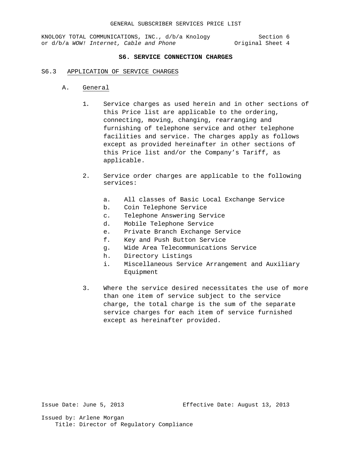KNOLOGY TOTAL COMMUNICATIONS, INC.,  $d/b/a$  Knology  $d/b/a$  WOW! Internet, Cable and Phone  $0$ riginal Sheet 4 or d/b/a WOW! Internet, Cable and Phone

# **S6. SERVICE CONNECTION CHARGES**

#### S6.3 APPLICATION OF SERVICE CHARGES

- A. General
	- 1. Service charges as used herein and in other sections of this Price list are applicable to the ordering, connecting, moving, changing, rearranging and furnishing of telephone service and other telephone facilities and service. The charges apply as follows except as provided hereinafter in other sections of this Price list and/or the Company's Tariff, as applicable.
	- 2. Service order charges are applicable to the following services:
		- a. All classes of Basic Local Exchange Service
		- b. Coin Telephone Service
		- c. Telephone Answering Service
		- d. Mobile Telephone Service
		- e. Private Branch Exchange Service
		- f. Key and Push Button Service
		- g. Wide Area Telecommunications Service
		- h. Directory Listings
		- i. Miscellaneous Service Arrangement and Auxiliary Equipment
	- 3. Where the service desired necessitates the use of more than one item of service subject to the service charge, the total charge is the sum of the separate service charges for each item of service furnished except as hereinafter provided.

Issue Date: June 5, 2013 Effective Date: August 13, 2013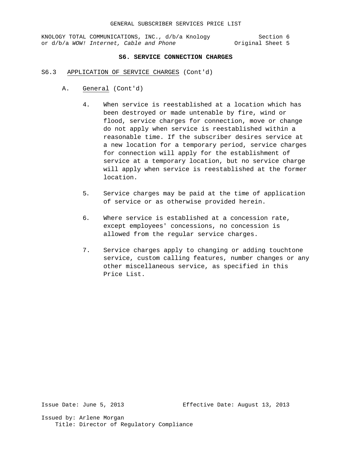KNOLOGY TOTAL COMMUNICATIONS, INC.,  $d/b/a$  Knology  $d/b/a$  WOW! Internet, Cable and Phone  $0$ riginal Sheet 5 or d/b/a WOW! Internet, Cable and Phone

## **S6. SERVICE CONNECTION CHARGES**

- S6.3 APPLICATION OF SERVICE CHARGES (Cont'd)
	- A. General (Cont'd)
		- 4. When service is reestablished at a location which has been destroyed or made untenable by fire, wind or flood, service charges for connection, move or change do not apply when service is reestablished within a reasonable time. If the subscriber desires service at a new location for a temporary period, service charges for connection will apply for the establishment of service at a temporary location, but no service charge will apply when service is reestablished at the former location.
		- 5. Service charges may be paid at the time of application of service or as otherwise provided herein.
		- 6. Where service is established at a concession rate, except employees' concessions, no concession is allowed from the regular service charges.
		- 7. Service charges apply to changing or adding touchtone service, custom calling features, number changes or any other miscellaneous service, as specified in this Price List.

Issue Date: June 5, 2013 Effective Date: August 13, 2013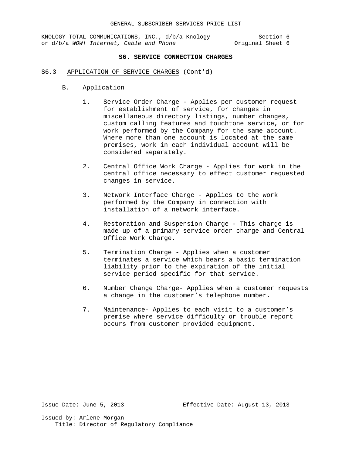KNOLOGY TOTAL COMMUNICATIONS, INC.,  $d/b/a$  Knology  $d/b/a$  WOW! Internet, Cable and Phone  $0$ riginal Sheet 6 or d/b/a WOW! Internet, Cable and Phone

# **S6. SERVICE CONNECTION CHARGES**

- S6.3 APPLICATION OF SERVICE CHARGES (Cont'd)
	- B. Application
		- 1. Service Order Charge Applies per customer request for establishment of service, for changes in miscellaneous directory listings, number changes, custom calling features and touchtone service, or for work performed by the Company for the same account. Where more than one account is located at the same premises, work in each individual account will be considered separately.
		- 2. Central Office Work Charge Applies for work in the central office necessary to effect customer requested changes in service.
		- 3. Network Interface Charge Applies to the work performed by the Company in connection with installation of a network interface.
		- 4. Restoration and Suspension Charge This charge is made up of a primary service order charge and Central Office Work Charge.
		- 5. Termination Charge Applies when a customer terminates a service which bears a basic termination liability prior to the expiration of the initial service period specific for that service.
		- 6. Number Change Charge- Applies when a customer requests a change in the customer's telephone number.
		- 7. Maintenance- Applies to each visit to a customer's premise where service difficulty or trouble report occurs from customer provided equipment.

Issue Date: June 5, 2013 Effective Date: August 13, 2013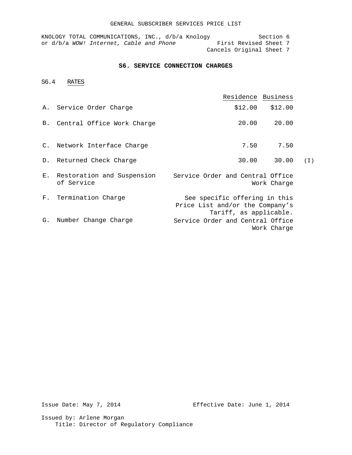KNOLOGY TOTAL COMMUNICATIONS, INC., d/b/a Knology Section 6<br>or d/b/a WOW! Internet, Cable and Phone First Revised Sheet 7 or d/b/a WOW! Internet, Cable and Phone Cancels Original Sheet 7

## **S6. SERVICE CONNECTION CHARGES**

S6.4 RATES

|    |                                             | Residence Business                                                                         |                   |     |
|----|---------------------------------------------|--------------------------------------------------------------------------------------------|-------------------|-----|
|    | A. Service Order Charge                     |                                                                                            | $$12.00$ $$12.00$ |     |
|    | B. Central Office Work Charge               | 20.00                                                                                      | 20.00             |     |
|    | C. Network Interface Charge                 | 7.50                                                                                       | 7.50              |     |
|    | D. Returned Check Charge                    | 30.00                                                                                      | 30.00             | (I) |
|    | E. Restoration and Suspension<br>of Service | Service Order and Central Office                                                           | Work Charge       |     |
|    | F. Termination Charge                       | See specific offering in this<br>Price List and/or the Company's<br>Tariff, as applicable. |                   |     |
| G. | Number Change Charge                        | Service Order and Central Office                                                           | Work Charge       |     |

Issue Date: May 7, 2014 Effective Date: June 1, 2014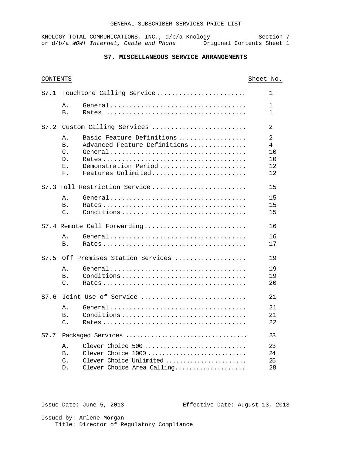CONTENTS Sheet No.

# **S7. MISCELLANEOUS SERVICE ARRANGEMENTS**

|                                                            |                                                                                                         | 1                                                                                                                                                                                                  |
|------------------------------------------------------------|---------------------------------------------------------------------------------------------------------|----------------------------------------------------------------------------------------------------------------------------------------------------------------------------------------------------|
| Α.<br>Β.                                                   |                                                                                                         | 1<br>1.                                                                                                                                                                                            |
|                                                            |                                                                                                         | 2                                                                                                                                                                                                  |
| Α.<br>B <sub>1</sub><br>$C_{\bullet}$<br>D.<br>Ε.<br>$F$ . | Basic Feature Definitions<br>Advanced Feature Definitions<br>Demonstration Period<br>Features Unlimited | 2<br>4<br>10<br>10<br>12<br>12                                                                                                                                                                     |
|                                                            |                                                                                                         | 15                                                                                                                                                                                                 |
| Α.<br><b>B.</b><br>$\mathsf{C}$ .                          | Conditions                                                                                              | 15<br>15<br>15                                                                                                                                                                                     |
|                                                            |                                                                                                         | 16                                                                                                                                                                                                 |
| Α.<br><b>B</b> .                                           |                                                                                                         | 16<br>17                                                                                                                                                                                           |
|                                                            |                                                                                                         | 19                                                                                                                                                                                                 |
| Α.<br><b>B</b> .<br>C.                                     | $\mathcal{C}$ onditions $\ldots \ldots \ldots \ldots \ldots \ldots \ldots \ldots \ldots$                | 19<br>19<br>20                                                                                                                                                                                     |
|                                                            |                                                                                                         | 21                                                                                                                                                                                                 |
| Α.<br><b>B.</b><br>C.                                      | Conditions                                                                                              | 21<br>21<br>22                                                                                                                                                                                     |
|                                                            |                                                                                                         | 23                                                                                                                                                                                                 |
| Α.<br><b>B.</b><br>C.<br>D.                                | Clever Choice 500<br>Clever Choice 1000<br>Clever Choice Unlimited<br>Clever Choice Area Calling        | 23<br>24<br>25<br>28                                                                                                                                                                               |
|                                                            |                                                                                                         | Touchtone Calling Service<br>Custom Calling Services<br>S7.3 Toll Restriction Service<br>S7.4 Remote Call Forwarding<br>Off Premises Station Services<br>Joint Use of Service<br>Packaged Services |

Issue Date: June 5, 2013 Effective Date: August 13, 2013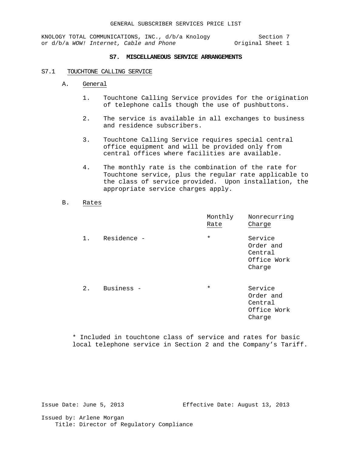#### **S7. MISCELLANEOUS SERVICE ARRANGEMENTS**

#### S7.1 TOUCHTONE CALLING SERVICE

- A. General
	- 1. Touchtone Calling Service provides for the origination of telephone calls though the use of pushbuttons.
	- 2. The service is available in all exchanges to business and residence subscribers.
	- 3. Touchtone Calling Service requires special central office equipment and will be provided only from central offices where facilities are available.
	- 4. The monthly rate is the combination of the rate for Touchtone service, plus the regular rate applicable to the class of service provided. Upon installation, the appropriate service charges apply.

## B. Rates

|       |             | Monthly<br>Rate | Nonrecurring<br>Charge                                   |
|-------|-------------|-----------------|----------------------------------------------------------|
| $1$ . | Residence - | $\star$         | Service<br>Order and<br>Central<br>Office Work<br>Charge |
| $2$ . | Business -  | $^\star$        | Service<br>Order and<br>Central<br>Office Work<br>Charge |

\* Included in touchtone class of service and rates for basic local telephone service in Section 2 and the Company's Tariff.

Issue Date: June 5, 2013 Effective Date: August 13, 2013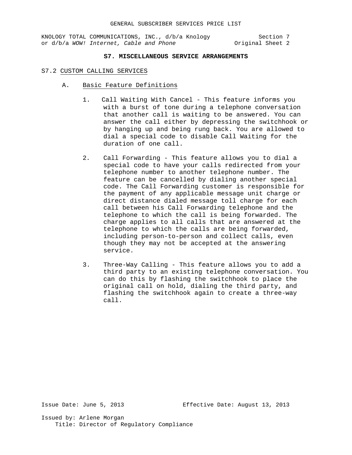KNOLOGY TOTAL COMMUNICATIONS, INC., d/b/a Knology Section 7<br>or d/b/a WOW! Internet, Cable and Phone (2011) or d/b/a WOW! Internet, Cable and Phone

# **S7. MISCELLANEOUS SERVICE ARRANGEMENTS**

#### S7.2 CUSTOM CALLING SERVICES

- A. Basic Feature Definitions
	- 1. Call Waiting With Cancel This feature informs you with a burst of tone during a telephone conversation that another call is waiting to be answered. You can answer the call either by depressing the switchhook or by hanging up and being rung back. You are allowed to dial a special code to disable Call Waiting for the duration of one call.
	- 2. Call Forwarding This feature allows you to dial a special code to have your calls redirected from your telephone number to another telephone number. The feature can be cancelled by dialing another special code. The Call Forwarding customer is responsible for the payment of any applicable message unit charge or direct distance dialed message toll charge for each call between his Call Forwarding telephone and the telephone to which the call is being forwarded. The charge applies to all calls that are answered at the telephone to which the calls are being forwarded, including person-to-person and collect calls, even though they may not be accepted at the answering service.
	- 3. Three-Way Calling This feature allows you to add a third party to an existing telephone conversation. You can do this by flashing the switchhook to place the original call on hold, dialing the third party, and flashing the switchhook again to create a three-way call.

Issue Date: June 5, 2013 Effective Date: August 13, 2013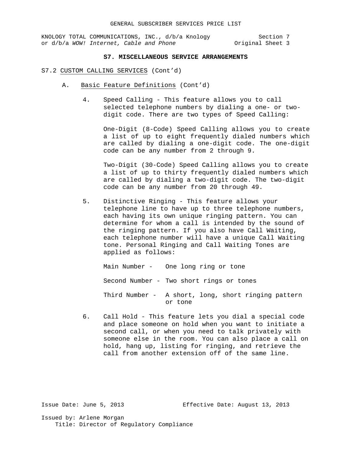KNOLOGY TOTAL COMMUNICATIONS, INC., d/b/a Knology Section 7<br>3 or d/b/a WOW! Internet, Cable and Phone original Sheet or d/b/a WOW! Internet, Cable and Phone

# **S7. MISCELLANEOUS SERVICE ARRANGEMENTS**

#### S7.2 CUSTOM CALLING SERVICES (Cont'd)

- A. Basic Feature Definitions (Cont'd)
	- 4. Speed Calling This feature allows you to call selected telephone numbers by dialing a one- or twodigit code. There are two types of Speed Calling:

One-Digit (8-Code) Speed Calling allows you to create a list of up to eight frequently dialed numbers which are called by dialing a one-digit code. The one-digit code can be any number from 2 through 9.

Two-Digit (30-Code) Speed Calling allows you to create a list of up to thirty frequently dialed numbers which are called by dialing a two-digit code. The two-digit code can be any number from 20 through 49.

5. Distinctive Ringing - This feature allows your telephone line to have up to three telephone numbers, each having its own unique ringing pattern. You can determine for whom a call is intended by the sound of the ringing pattern. If you also have Call Waiting, each telephone number will have a unique Call Waiting tone. Personal Ringing and Call Waiting Tones are applied as follows:

Main Number - One long ring or tone Second Number - Two short rings or tones Third Number - A short, long, short ringing pattern or tone

6. Call Hold - This feature lets you dial a special code and place someone on hold when you want to initiate a second call, or when you need to talk privately with someone else in the room. You can also place a call on hold, hang up, listing for ringing, and retrieve the call from another extension off of the same line.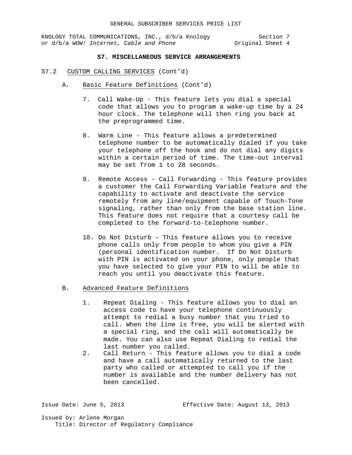KNOLOGY TOTAL COMMUNICATIONS, INC., d/b/a Knology Section 7<br>or d/b/a WOW! Internet, Cable and Phone (2013) Sincet 4 or d/b/a WOW! Internet, Cable and Phone

# **S7. MISCELLANEOUS SERVICE ARRANGEMENTS**

- S7.2 CUSTOM CALLING SERVICES (Cont'd)
	- A. Basic Feature Definitions (Cont'd)
		- 7. Call Wake-Up This feature lets you dial a special code that allows you to program a wake-up time by a 24 hour clock. The telephone will then ring you back at the preprogrammed time.
		- 8. Warm Line This feature allows a predetermined telephone number to be automatically dialed if you take your telephone off the hook and do not dial any digits within a certain period of time. The time-out interval may be set from 1 to 28 seconds.
		- 9. Remote Access Call Forwarding This feature provides a customer the Call Forwarding Variable feature and the capability to activate and deactivate the service remotely from any line/equipment capable of Touch-Tone signaling, rather than only from the base station line. This feature does not require that a courtesy call be completed to the forward-to-telephone number.
		- 10. Do Not Disturb This feature allows you to receive phone calls only from people to whom you give a PIN (personal identification number. If Do Not Disturb with PIN is activated on your phone, only people that you have selected to give your PIN to will be able to reach you until you deactivate this feature.

# B. Advanced Feature Definitions

- 1. Repeat Dialing This feature allows you to dial an access code to have your telephone continuously attempt to redial a busy number that you tried to call. When the line is free, you will be alerted with a special ring, and the call will automatically be made. You can also use Repeat Dialing to redial the last number you called.
- 2. Call Return This feature allows you to dial a code and have a call automatically returned to the last party who called or attempted to call you if the number is available and the number delivery has not been cancelled.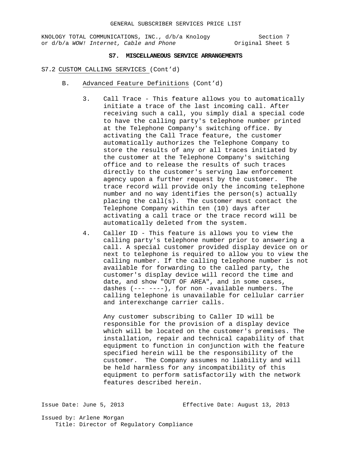KNOLOGY TOTAL COMMUNICATIONS, INC., d/b/a Knology Section 7<br>or d/b/a WOW! Internet, Cable and Phone (2013) Singles Sorten Cable and Phone or d/b/a WOW! Internet, Cable and Phone

#### **S7. MISCELLANEOUS SERVICE ARRANGEMENTS**

#### S7.2 CUSTOM CALLING SERVICES (Cont'd)

- B. Advanced Feature Definitions (Cont'd)
	- 3. Call Trace This feature allows you to automatically initiate a trace of the last incoming call. After receiving such a call, you simply dial a special code to have the calling party's telephone number printed at the Telephone Company's switching office. By activating the Call Trace feature, the customer automatically authorizes the Telephone Company to store the results of any or all traces initiated by the customer at the Telephone Company's switching office and to release the results of such traces directly to the customer's serving law enforcement agency upon a further request by the customer. The trace record will provide only the incoming telephone number and no way identifies the person(s) actually placing the call(s). The customer must contact the Telephone Company within ten (10) days after activating a call trace or the trace record will be automatically deleted from the system.
	- 4. Caller ID This feature is allows you to view the calling party's telephone number prior to answering a call. A special customer provided display device on or next to telephone is required to allow you to view the calling number. If the calling telephone number is not available for forwarding to the called party, the customer's display device will record the time and date, and show "OUT OF AREA", and in some cases, dashes (--- ----), for non -available numbers. The calling telephone is unavailable for cellular carrier and interexchange carrier calls.

Any customer subscribing to Caller ID will be responsible for the provision of a display device which will be located on the customer's premises. The installation, repair and technical capability of that equipment to function in conjunction with the feature specified herein will be the responsibility of the customer. The Company assumes no liability and will be held harmless for any incompatibility of this equipment to perform satisfactorily with the network features described herein.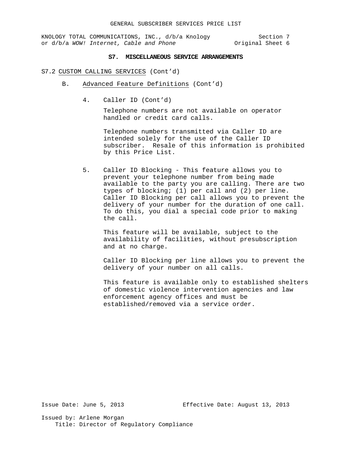KNOLOGY TOTAL COMMUNICATIONS, INC., d/b/a Knology Section 7<br>or d/b/a WOW! Internet, Cable and Phone or d/b/a WOW! Internet, Cable and Phone or d/b/a WOW! Internet, Cable and Phone

#### **S7. MISCELLANEOUS SERVICE ARRANGEMENTS**

#### S7.2 CUSTOM CALLING SERVICES (Cont'd)

- B. Advanced Feature Definitions (Cont'd)
	- 4. Caller ID (Cont'd)

Telephone numbers are not available on operator handled or credit card calls.

Telephone numbers transmitted via Caller ID are intended solely for the use of the Caller ID subscriber. Resale of this information is prohibited by this Price List.

5. Caller ID Blocking - This feature allows you to prevent your telephone number from being made available to the party you are calling. There are two types of blocking; (1) per call and (2) per line. Caller ID Blocking per call allows you to prevent the delivery of your number for the duration of one call. To do this, you dial a special code prior to making the call.

This feature will be available, subject to the availability of facilities, without presubscription and at no charge.

Caller ID Blocking per line allows you to prevent the delivery of your number on all calls.

This feature is available only to established shelters of domestic violence intervention agencies and law enforcement agency offices and must be established/removed via a service order.

Issue Date: June 5, 2013 Effective Date: August 13, 2013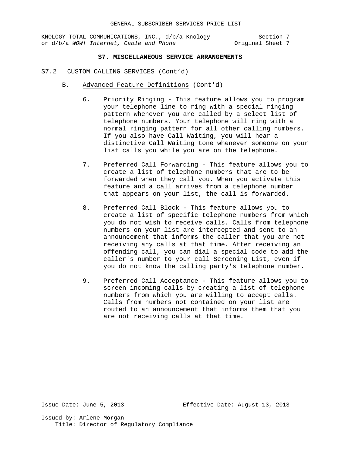KNOLOGY TOTAL COMMUNICATIONS, INC., d/b/a Knology Section 7<br>or d/b/a WOW! Internet, Cable and Phone (2013) Singles or dyplane Sheet 7 or d/b/a WOW! Internet, Cable and Phone

# **S7. MISCELLANEOUS SERVICE ARRANGEMENTS**

- S7.2 CUSTOM CALLING SERVICES (Cont'd)
	- B. Advanced Feature Definitions (Cont'd)
		- 6. Priority Ringing This feature allows you to program your telephone line to ring with a special ringing pattern whenever you are called by a select list of telephone numbers. Your telephone will ring with a normal ringing pattern for all other calling numbers. If you also have Call Waiting, you will hear a distinctive Call Waiting tone whenever someone on your list calls you while you are on the telephone.
		- 7. Preferred Call Forwarding This feature allows you to create a list of telephone numbers that are to be forwarded when they call you. When you activate this feature and a call arrives from a telephone number that appears on your list, the call is forwarded.
		- 8. Preferred Call Block This feature allows you to create a list of specific telephone numbers from which you do not wish to receive calls. Calls from telephone numbers on your list are intercepted and sent to an announcement that informs the caller that you are not receiving any calls at that time. After receiving an offending call, you can dial a special code to add the caller's number to your call Screening List, even if you do not know the calling party's telephone number.
		- 9. Preferred Call Acceptance This feature allows you to screen incoming calls by creating a list of telephone numbers from which you are willing to accept calls. Calls from numbers not contained on your list are routed to an announcement that informs them that you are not receiving calls at that time.

Issue Date: June 5, 2013 Effective Date: August 13, 2013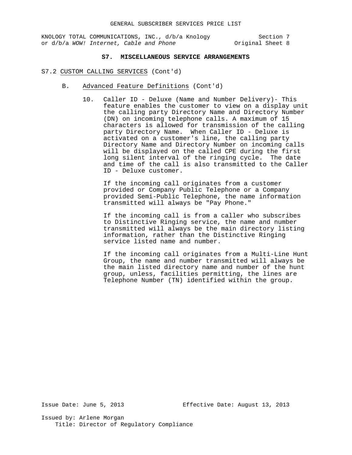# **S7. MISCELLANEOUS SERVICE ARRANGEMENTS**

#### S7.2 CUSTOM CALLING SERVICES (Cont'd)

- B. Advanced Feature Definitions (Cont'd)
	- 10. Caller ID Deluxe (Name and Number Delivery)- This feature enables the customer to view on a display unit the calling party Directory Name and Directory Number (DN) on incoming telephone calls. A maximum of 15 characters is allowed for transmission of the calling party Directory Name. When Caller ID - Deluxe is activated on a customer's line, the calling party Directory Name and Directory Number on incoming calls will be displayed on the called CPE during the first long silent interval of the ringing cycle. The date and time of the call is also transmitted to the Caller ID - Deluxe customer.

If the incoming call originates from a customer provided or Company Public Telephone or a Company provided Semi-Public Telephone, the name information transmitted will always be "Pay Phone."

If the incoming call is from a caller who subscribes to Distinctive Ringing service, the name and number transmitted will always be the main directory listing information, rather than the Distinctive Ringing service listed name and number.

If the incoming call originates from a Multi-Line Hunt Group, the name and number transmitted will always be the main listed directory name and number of the hunt group, unless, facilities permitting, the lines are Telephone Number (TN) identified within the group.

Issue Date: June 5, 2013 Effective Date: August 13, 2013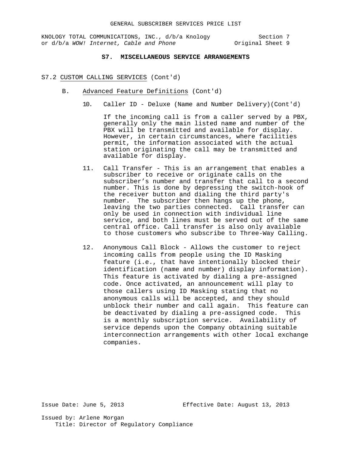KNOLOGY TOTAL COMMUNICATIONS, INC.,  $d/b/a$  Knology  $d/b/a$  WOW! Internet, Cable and Phone  $0$ riginal Sheet 9 or d/b/a WOW! Internet, Cable and Phone

## **S7. MISCELLANEOUS SERVICE ARRANGEMENTS**

#### S7.2 CUSTOM CALLING SERVICES (Cont'd)

- B. Advanced Feature Definitions (Cont'd)
	- 10. Caller ID Deluxe (Name and Number Delivery)(Cont'd)

If the incoming call is from a caller served by a PBX, generally only the main listed name and number of the PBX will be transmitted and available for display. However, in certain circumstances, where facilities permit, the information associated with the actual station originating the call may be transmitted and available for display.

- 11. Call Transfer This is an arrangement that enables a subscriber to receive or originate calls on the subscriber's number and transfer that call to a second number. This is done by depressing the switch-hook of the receiver button and dialing the third party's number. The subscriber then hangs up the phone, leaving the two parties connected. Call transfer can only be used in connection with individual line service, and both lines must be served out of the same central office. Call transfer is also only available to those customers who subscribe to Three-Way Calling.
- 12. Anonymous Call Block Allows the customer to reject incoming calls from people using the ID Masking feature (i.e., that have intentionally blocked their identification (name and number) display information). This feature is activated by dialing a pre-assigned code. Once activated, an announcement will play to those callers using ID Masking stating that no anonymous calls will be accepted, and they should unblock their number and call again. This feature can be deactivated by dialing a pre-assigned code. This is a monthly subscription service. Availability of service depends upon the Company obtaining suitable interconnection arrangements with other local exchange companies.

Issue Date: June 5, 2013 Effective Date: August 13, 2013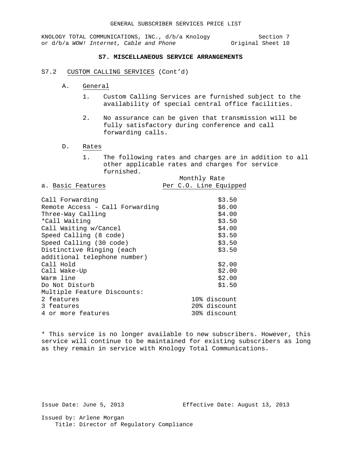# **S7. MISCELLANEOUS SERVICE ARRANGEMENTS**

## S7.2 CUSTOM CALLING SERVICES (Cont'd)

- A. General
	- 1. Custom Calling Services are furnished subject to the availability of special central office facilities.
	- 2. No assurance can be given that transmission will be fully satisfactory during conference and call forwarding calls.
- D. Rates
	- 1. The following rates and charges are in addition to all other applicable rates and charges for service furnished. Monthly Rate

|                                 |  | MONCHITY RALE |                        |
|---------------------------------|--|---------------|------------------------|
| a. Basic Features               |  |               | Per C.O. Line Equipped |
|                                 |  |               |                        |
| Call Forwarding                 |  |               | \$3.50                 |
| Remote Access - Call Forwarding |  |               | \$6.00                 |
| Three-Way Calling               |  |               | \$4.00                 |
| *Call Waiting                   |  |               | \$3.50                 |
| Call Waiting w/Cancel           |  |               | \$4.00                 |
| Coord Calling (8 and 0)         |  |               | ぐっ にい                  |

| Speed Calling (8 code)       | \$3.50       |
|------------------------------|--------------|
| Speed Calling (30 code)      | \$3.50       |
| Distinctive Ringing (each    | \$3.50       |
| additional telephone number) |              |
| Call Hold                    | \$2.00       |
| Call Wake-Up                 | \$2.00       |
| Warm line                    | \$2.00       |
| Do Not Disturb               | \$1.50       |
| Multiple Feature Discounts:  |              |
| 2 features                   | 10% discount |
| 3 features                   | 20% discount |
| 4 or more features           | 30% discount |

\* This service is no longer available to new subscribers. However, this service will continue to be maintained for existing subscribers as long as they remain in service with Knology Total Communications.

Issue Date: June 5, 2013 Effective Date: August 13, 2013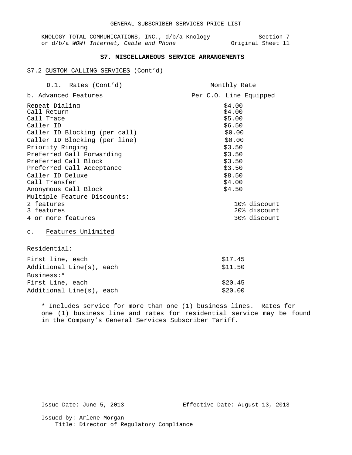# **S7. MISCELLANEOUS SERVICE ARRANGEMENTS**

## S7.2 CUSTOM CALLING SERVICES (Cont'd)

| D.1. Rates (Cont'd)                                                                                                                                                                                                                                                   | Monthly Rate                                                                                                         |
|-----------------------------------------------------------------------------------------------------------------------------------------------------------------------------------------------------------------------------------------------------------------------|----------------------------------------------------------------------------------------------------------------------|
| b. Advanced Features                                                                                                                                                                                                                                                  | Per C.O. Line Equipped                                                                                               |
| Repeat Dialing<br>Call Return<br>Call Trace<br>Caller ID<br>Caller ID Blocking (per call)<br>Caller ID Blocking (per line)<br>Priority Ringing<br>Preferred Gall Forwarding<br>Preferred Call Block<br>Preferred Call Acceptance<br>Caller ID Deluxe<br>Call Transfer | \$4.00<br>\$4.00<br>\$5.00<br>\$6.50<br>\$0.00<br>\$0.00<br>\$3.50<br>\$3.50<br>\$3.50<br>\$3.50<br>\$8.50<br>\$4.00 |
| Anonymous Call Block                                                                                                                                                                                                                                                  | \$4.50                                                                                                               |
| Multiple Feature Discounts:<br>2 features<br>3 features<br>4 or more features<br>c. Features Unlimited                                                                                                                                                                | 10% discount<br>20% discount<br>30% discount                                                                         |
| Residential:                                                                                                                                                                                                                                                          |                                                                                                                      |
| First line, each<br>Additional Line(s), each<br>Business:*                                                                                                                                                                                                            | \$17.45<br>\$11.50                                                                                                   |
| First Line, each                                                                                                                                                                                                                                                      | \$20.45                                                                                                              |
| Additional Line(s), each                                                                                                                                                                                                                                              | \$20.00                                                                                                              |

\* Includes service for more than one (1) business lines. Rates for one (1) business line and rates for residential service may be found in the Company's General Services Subscriber Tariff.

Issue Date: June 5, 2013 Effective Date: August 13, 2013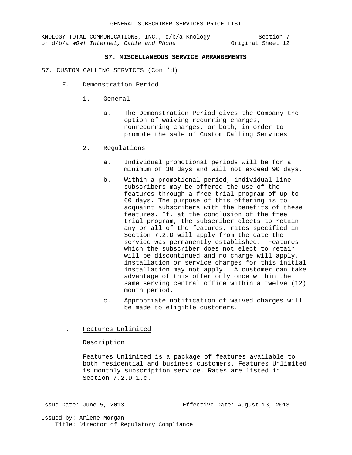KNOLOGY TOTAL COMMUNICATIONS, INC., d/b/a Knology Section 7<br>or d/b/a WOW! Internet, Cable and Phone 91 0riginal Sheet 12 or d/b/a WOW! Internet, Cable and Phone

# **S7. MISCELLANEOUS SERVICE ARRANGEMENTS**

## S7. CUSTOM CALLING SERVICES (Cont'd)

- E. Demonstration Period
	- 1. General
		- a. The Demonstration Period gives the Company the option of waiving recurring charges, nonrecurring charges, or both, in order to promote the sale of Custom Calling Services.
	- 2. Regulations
		- a. Individual promotional periods will be for a minimum of 30 days and will not exceed 90 days.
		- b. Within a promotional period, individual line subscribers may be offered the use of the features through a free trial program of up to 60 days. The purpose of this offering is to acquaint subscribers with the benefits of these features. If, at the conclusion of the free trial program, the subscriber elects to retain any or all of the features, rates specified in Section 7.2.D will apply from the date the service was permanently established. Features which the subscriber does not elect to retain will be discontinued and no charge will apply, installation or service charges for this initial installation may not apply. A customer can take advantage of this offer only once within the same serving central office within a twelve (12) month period.
		- c. Appropriate notification of waived charges will be made to eligible customers.
- F. Features Unlimited

#### Description

Features Unlimited is a package of features available to both residential and business customers. Features Unlimited is monthly subscription service. Rates are listed in Section 7.2.D.1.c.

Issue Date: June 5, 2013 Effective Date: August 13, 2013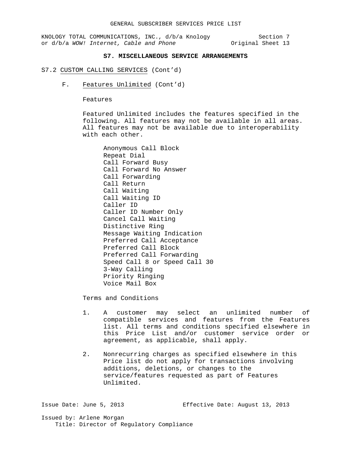KNOLOGY TOTAL COMMUNICATIONS, INC., d/b/a Knology Section 7<br>or d/b/a WOW! Internet, Cable and Phone 9 0riginal Sheet 13 or d/b/a WOW! Internet, Cable and Phone

## **S7. MISCELLANEOUS SERVICE ARRANGEMENTS**

# S7.2 CUSTOM CALLING SERVICES (Cont'd)

F. Features Unlimited (Cont'd)

Features

Featured Unlimited includes the features specified in the following. All features may not be available in all areas. All features may not be available due to interoperability with each other.

Anonymous Call Block Repeat Dial Call Forward Busy Call Forward No Answer Call Forwarding Call Return Call Waiting Call Waiting ID Caller ID Caller ID Number Only Cancel Call Waiting Distinctive Ring Message Waiting Indication Preferred Call Acceptance Preferred Call Block Preferred Call Forwarding Speed Call 8 or Speed Call 30 3-Way Calling Priority Ringing Voice Mail Box

Terms and Conditions

- 1. A customer may select an unlimited number of compatible services and features from the Features list. All terms and conditions specified elsewhere in this Price List and/or customer service order or agreement, as applicable, shall apply.
- 2. Nonrecurring charges as specified elsewhere in this Price list do not apply for transactions involving additions, deletions, or changes to the service/features requested as part of Features Unlimited.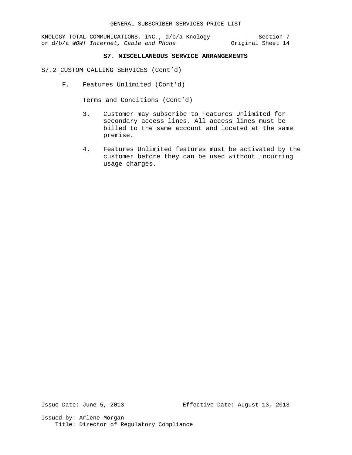## **S7. MISCELLANEOUS SERVICE ARRANGEMENTS**

## S7.2 CUSTOM CALLING SERVICES (Cont'd)

F. Features Unlimited (Cont'd)

Terms and Conditions (Cont'd)

- 3. Customer may subscribe to Features Unlimited for secondary access lines. All access lines must be billed to the same account and located at the same premise.
- 4. Features Unlimited features must be activated by the customer before they can be used without incurring usage charges.

Issue Date: June 5, 2013 Effective Date: August 13, 2013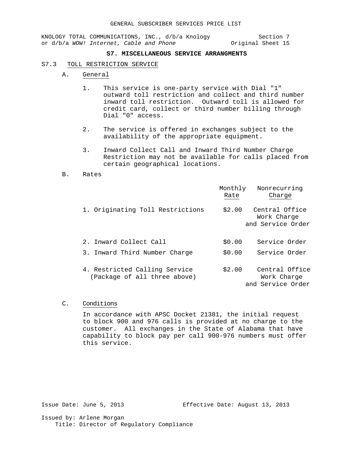## **S7. MISCELLANEOUS SERVICE ARRANGMENTS**

#### S7.3 TOLL RESTRICTION SERVICE

- A. General
	- 1. This service is one-party service with Dial "1" outward toll restriction and collect and third number inward toll restriction. Outward toll is allowed for credit card, collect or third number billing through Dial "0" access.
	- 2. The service is offered in exchanges subject to the availability of the appropriate equipment.
	- 3. Inward Collect Call and Inward Third Number Charge Restriction may not be available for calls placed from certain geographical locations.
- B. Rates

|                                                               | Monthly<br>Rate | Nonrecurring<br>Charge                             |  |
|---------------------------------------------------------------|-----------------|----------------------------------------------------|--|
| 1. Originating Toll Restrictions                              | \$2.00          | Central Office<br>Work Charge<br>and Service Order |  |
| 2. Inward Collect Call                                        | \$0.00          | Service Order                                      |  |
| 3. Inward Third Number Charge                                 | \$0.00          | Service Order                                      |  |
| 4. Restricted Calling Service<br>(Package of all three above) | \$2.00          | Central Office<br>Work Charge<br>and Service Order |  |

# C. Conditions

In accordance with APSC Docket 21381, the initial request to block 900 and 976 calls is provided at no charge to the customer. All exchanges in the State of Alabama that have capability to block pay per call 900-976 numbers must offer this service.

Issue Date: June 5, 2013 Effective Date: August 13, 2013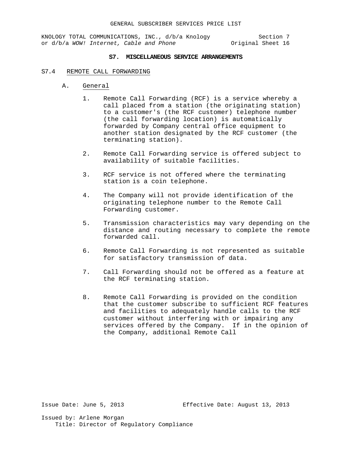KNOLOGY TOTAL COMMUNICATIONS, INC., d/b/a Knology Section 7<br>or d/b/a WOW! Internet, Cable and Phone 91 0riginal Sheet 16 or d/b/a WOW! Internet, Cable and Phone

## **S7. MISCELLANEOUS SERVICE ARRANGEMENTS**

#### S7.4 REMOTE CALL FORWARDING

- A. General
	- 1. Remote Call Forwarding (RCF) is a service whereby a call placed from a station (the originating station) to a customer's (the RCF customer) telephone number (the call forwarding location) is automatically forwarded by Company central office equipment to another station designated by the RCF customer (the terminating station).
	- 2. Remote Call Forwarding service is offered subject to availability of suitable facilities.
	- 3. RCF service is not offered where the terminating station is a coin telephone.
	- 4. The Company will not provide identification of the originating telephone number to the Remote Call Forwarding customer.
	- 5. Transmission characteristics may vary depending on the distance and routing necessary to complete the remote forwarded call.
	- 6. Remote Call Forwarding is not represented as suitable for satisfactory transmission of data.
	- 7. Call Forwarding should not be offered as a feature at the RCF terminating station.
	- 8. Remote Call Forwarding is provided on the condition that the customer subscribe to sufficient RCF features and facilities to adequately handle calls to the RCF customer without interfering with or impairing any services offered by the Company. If in the opinion of the Company, additional Remote Call

Issue Date: June 5, 2013 Effective Date: August 13, 2013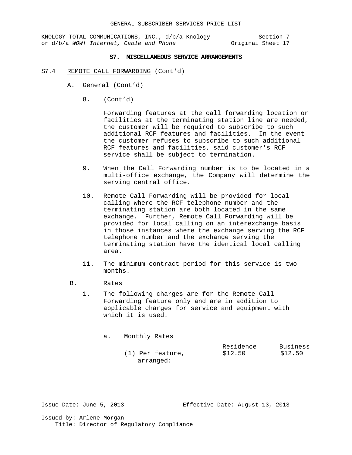KNOLOGY TOTAL COMMUNICATIONS, INC., d/b/a Knology Section 7<br>17 or d/b/a WOW! Internet, Cable and Phone or d/b/a Worly Original Sheet or d/b/a WOW! Internet, Cable and Phone

## **S7. MISCELLANEOUS SERVICE ARRANGEMENTS**

- S7.4 REMOTE CALL FORWARDING (Cont'd)
	- A. General (Cont'd)
		- 8. (Cont'd)

Forwarding features at the call forwarding location or facilities at the terminating station line are needed, the customer will be required to subscribe to such additional RCF features and facilities. In the event the customer refuses to subscribe to such additional RCF features and facilities, said customer's RCF service shall be subject to termination.

- 9. When the Call Forwarding number is to be located in a multi-office exchange, the Company will determine the serving central office.
- 10. Remote Call Forwarding will be provided for local calling where the RCF telephone number and the terminating station are both located in the same exchange. Further, Remote Call Forwarding will be provided for local calling on an interexchange basis in those instances where the exchange serving the RCF telephone number and the exchange serving the terminating station have the identical local calling area.
- 11. The minimum contract period for this service is two months.
- B. Rates
	- 1. The following charges are for the Remote Call Forwarding feature only and are in addition to applicable charges for service and equipment with which it is used.

a. Monthly Rates

|                    | Residence | Business |
|--------------------|-----------|----------|
| $(1)$ Per feature, | \$12.50   | \$12.50  |
| arranged:          |           |          |

Issue Date: June 5, 2013 Effective Date: August 13, 2013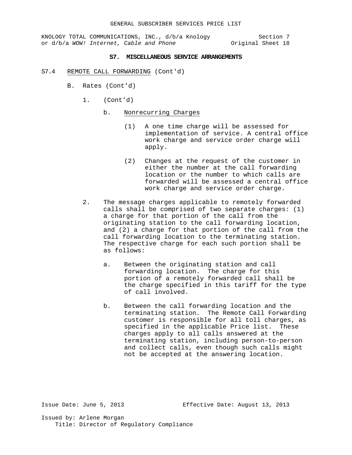KNOLOGY TOTAL COMMUNICATIONS, INC., d/b/a Knology Section 7<br>or d/b/a WOW! Internet, Cable and Phone original Sheet 18 or d/b/a WOW! Internet, Cable and Phone

## **S7. MISCELLANEOUS SERVICE ARRANGEMENTS**

- S7.4 REMOTE CALL FORWARDING (Cont'd)
	- B. Rates (Cont'd)
		- 1. (Cont'd)
			- b. Nonrecurring Charges
				- (1) A one time charge will be assessed for implementation of service. A central office work charge and service order charge will apply.
				- (2) Changes at the request of the customer in either the number at the call forwarding location or the number to which calls are forwarded will be assessed a central office work charge and service order charge.
		- 2. The message charges applicable to remotely forwarded calls shall be comprised of two separate charges: (1) a charge for that portion of the call from the originating station to the call forwarding location, and (2) a charge for that portion of the call from the call forwarding location to the terminating station. The respective charge for each such portion shall be as follows:
			- a. Between the originating station and call forwarding location. The charge for this portion of a remotely forwarded call shall be the charge specified in this tariff for the type of call involved.
			- b. Between the call forwarding location and the terminating station. The Remote Call Forwarding customer is responsible for all toll charges, as specified in the applicable Price list. These charges apply to all calls answered at the terminating station, including person-to-person and collect calls, even though such calls might not be accepted at the answering location.

Issue Date: June 5, 2013 Effective Date: August 13, 2013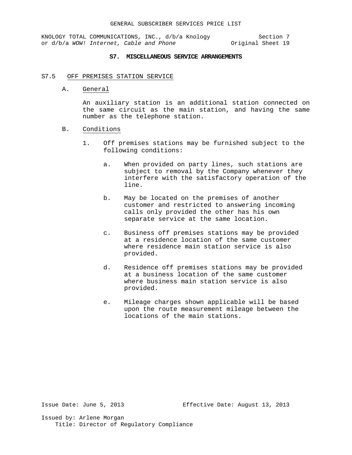#### **S7. MISCELLANEOUS SERVICE ARRANGEMENTS**

## S7.5 OFF PREMISES STATION SERVICE

A. General

An auxiliary station is an additional station connected on the same circuit as the main station, and having the same number as the telephone station.

## B. Conditions

- 1. Off premises stations may be furnished subject to the following conditions:
	- a. When provided on party lines, such stations are subject to removal by the Company whenever they interfere with the satisfactory operation of the line.
	- b. May be located on the premises of another customer and restricted to answering incoming calls only provided the other has his own separate service at the same location.
	- c. Business off premises stations may be provided at a residence location of the same customer where residence main station service is also provided.
	- d. Residence off premises stations may be provided at a business location of the same customer where business main station service is also provided.
	- e. Mileage charges shown applicable will be based upon the route measurement mileage between the locations of the main stations.

Issue Date: June 5, 2013 Effective Date: August 13, 2013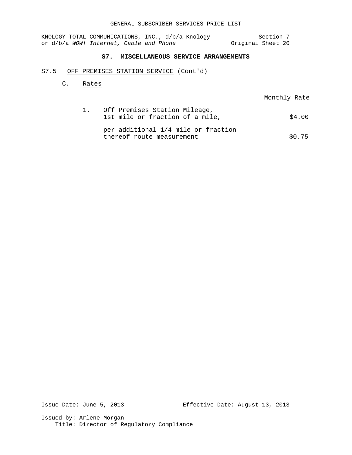# **S7. MISCELLANEOUS SERVICE ARRANGEMENTS**

## S7.5 OFF PREMISES STATION SERVICE (Cont'd)

C. Rates

| $\sim$<br>MONTNI | Ra: |
|------------------|-----|
|                  |     |

1. Off Premises Station Mileage, 1st mile or fraction of a mile,  $$4.00$ 

per additional 1/4 mile or fraction thereof route measurement  $$0.75$ 

Issue Date: June 5, 2013 Effective Date: August 13, 2013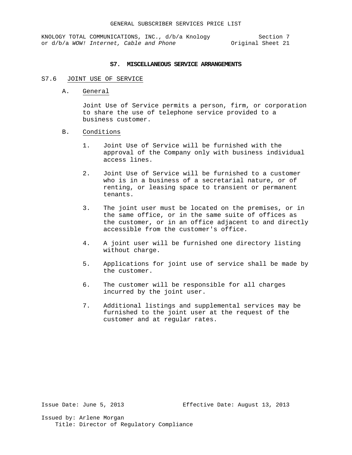#### **S7. MISCELLANEOUS SERVICE ARRANGEMENTS**

# S7.6 JOINT USE OF SERVICE

A. General

Joint Use of Service permits a person, firm, or corporation to share the use of telephone service provided to a business customer.

- B. Conditions
	- 1. Joint Use of Service will be furnished with the approval of the Company only with business individual access lines.
	- 2. Joint Use of Service will be furnished to a customer who is in a business of a secretarial nature, or of renting, or leasing space to transient or permanent tenants.
	- 3. The joint user must be located on the premises, or in the same office, or in the same suite of offices as the customer, or in an office adjacent to and directly accessible from the customer's office.
	- 4. A joint user will be furnished one directory listing without charge.
	- 5. Applications for joint use of service shall be made by the customer.
	- 6. The customer will be responsible for all charges incurred by the joint user.
	- 7. Additional listings and supplemental services may be furnished to the joint user at the request of the customer and at regular rates.

Issue Date: June 5, 2013 Effective Date: August 13, 2013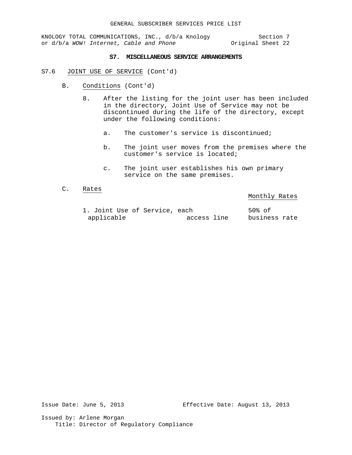# **S7. MISCELLANEOUS SERVICE ARRANGEMENTS**

- S7.6 JOINT USE OF SERVICE (Cont'd)
	- B. Conditions (Cont'd)
		- 8. After the listing for the joint user has been included in the directory, Joint Use of Service may not be discontinued during the life of the directory, except under the following conditions:
			- a. The customer's service is discontinued;
			- b. The joint user moves from the premises where the customer's service is located;
			- c. The joint user establishes his own primary service on the same premises.
	- C. Rates

# Monthly Rates

1. Joint Use of Service, each 50% of<br>applicable access line busines access line business rate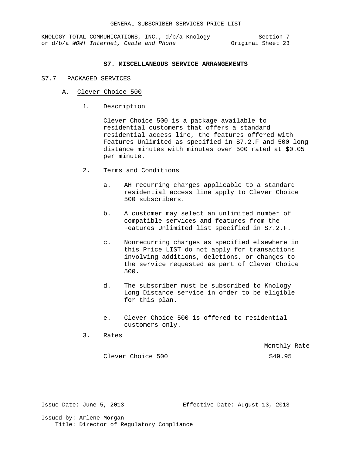## **S7. MISCELLANEOUS SERVICE ARRANGEMENTS**

#### S7.7 PACKAGED SERVICES

- A. Clever Choice 500
	- 1. Description

Clever Choice 500 is a package available to residential customers that offers a standard residential access line, the features offered with Features Unlimited as specified in S7.2.F and 500 long distance minutes with minutes over 500 rated at \$0.05 per minute.

- 2. Terms and Conditions
	- a. AH recurring charges applicable to a standard residential access line apply to Clever Choice 500 subscribers.
	- b. A customer may select an unlimited number of compatible services and features from the Features Unlimited list specified in S7.2.F.
	- c. Nonrecurring charges as specified elsewhere in this Price LIST do not apply for transactions involving additions, deletions, or changes to the service requested as part of Clever Choice 500.
	- d. The subscriber must be subscribed to Knology Long Distance service in order to be eligible for this plan.
	- e. Clever Choice 500 is offered to residential customers only.
- 3. Rates

Monthly Rate

Clever Choice 500 \$49.95

Issue Date: June 5, 2013 Effective Date: August 13, 2013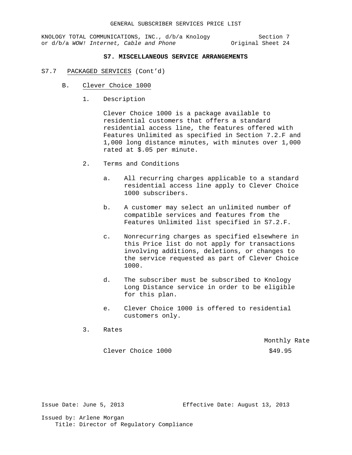KNOLOGY TOTAL COMMUNICATIONS, INC., d/b/a Knology Section 7<br>or d/b/a WOW! Internet, Cable and Phone 91 Original Sheet 24 or d/b/a WOW! Internet, Cable and Phone

# **S7. MISCELLANEOUS SERVICE ARRANGEMENTS**

- S7.7 PACKAGED SERVICES (Cont'd)
	- B. Clever Choice 1000
		- 1. Description

Clever Choice 1000 is a package available to residential customers that offers a standard residential access line, the features offered with Features Unlimited as specified in Section 7.2.F and 1,000 long distance minutes, with minutes over 1,000 rated at \$.05 per minute.

- 2. Terms and Conditions
	- a. All recurring charges applicable to a standard residential access line apply to Clever Choice 1000 subscribers.
	- b. A customer may select an unlimited number of compatible services and features from the Features Unlimited list specified in S7.2.F.
	- c. Nonrecurring charges as specified elsewhere in this Price list do not apply for transactions involving additions, deletions, or changes to the service requested as part of Clever Choice 1000.
	- d. The subscriber must be subscribed to Knology Long Distance service in order to be eligible for this plan.
	- e. Clever Choice 1000 is offered to residential customers only.
- 3. Rates

Monthly Rate

Clever Choice 1000 \$49.95

Issue Date: June 5, 2013 Effective Date: August 13, 2013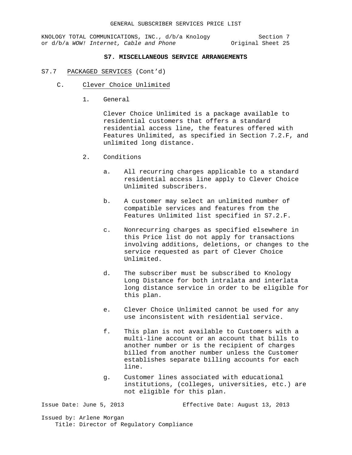KNOLOGY TOTAL COMMUNICATIONS, INC., d/b/a Knology Section 7<br>or d/b/a WOW! Internet, Cable and Phone 95 (1910) or d/b/a WOW! Internet, Cable and Phone

# **S7. MISCELLANEOUS SERVICE ARRANGEMENTS**

- S7.7 PACKAGED SERVICES (Cont'd)
	- C. Clever Choice Unlimited
		- 1. General

Clever Choice Unlimited is a package available to residential customers that offers a standard residential access line, the features offered with Features Unlimited, as specified in Section 7.2.F, and unlimited long distance.

- 2. Conditions
	- a. All recurring charges applicable to a standard residential access line apply to Clever Choice Unlimited subscribers.
	- b. A customer may select an unlimited number of compatible services and features from the Features Unlimited list specified in S7.2.F.
	- c. Nonrecurring charges as specified elsewhere in this Price list do not apply for transactions involving additions, deletions, or changes to the service requested as part of Clever Choice Unlimited.
	- d. The subscriber must be subscribed to Knology Long Distance for both intralata and interlata long distance service in order to be eligible for this plan.
	- e. Clever Choice Unlimited cannot be used for any use inconsistent with residential service.
	- f. This plan is not available to Customers with a multi-line account or an account that bills to another number or is the recipient of charges billed from another number unless the Customer establishes separate billing accounts for each line.
	- g. Customer lines associated with educational institutions, (colleges, universities, etc.) are not eligible for this plan.

Issue Date: June 5, 2013 Effective Date: August 13, 2013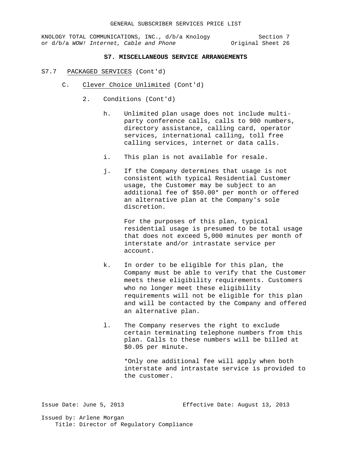KNOLOGY TOTAL COMMUNICATIONS, INC., d/b/a Knology Section 7<br>or d/b/a WOW! Internet, Cable and Phone 9001 0riginal Sheet 26 or d/b/a WOW! Internet, Cable and Phone

## **S7. MISCELLANEOUS SERVICE ARRANGEMENTS**

#### S7.7 PACKAGED SERVICES (Cont'd)

- C. Clever Choice Unlimited (Cont'd)
	- 2. Conditions (Cont'd)
		- h. Unlimited plan usage does not include multiparty conference calls, calls to 900 numbers, directory assistance, calling card, operator services, international calling, toll free calling services, internet or data calls.
		- i. This plan is not available for resale.
		- j. If the Company determines that usage is not consistent with typical Residential Customer usage, the Customer may be subject to an additional fee of \$50.00\* per month or offered an alternative plan at the Company's sole discretion.

For the purposes of this plan, typical residential usage is presumed to be total usage that does not exceed 5,000 minutes per month of interstate and/or intrastate service per account.

- k. In order to be eligible for this plan, the Company must be able to verify that the Customer meets these eligibility requirements. Customers who no longer meet these eligibility requirements will not be eligible for this plan and will be contacted by the Company and offered an alternative plan.
- l. The Company reserves the right to exclude certain terminating telephone numbers from this plan. Calls to these numbers will be billed at \$0.05 per minute.

\*Only one additional fee will apply when both interstate and intrastate service is provided to the customer.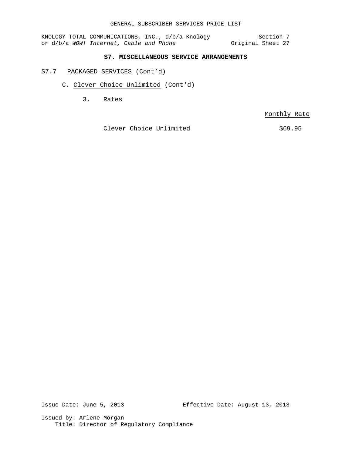# **S7. MISCELLANEOUS SERVICE ARRANGEMENTS**

- S7.7 PACKAGED SERVICES (Cont'd)
	- C. Clever Choice Unlimited (Cont'd)
		- 3. Rates

Monthly Rate

Clever Choice Unlimited  $$69.95$ 

Issue Date: June 5, 2013 Effective Date: August 13, 2013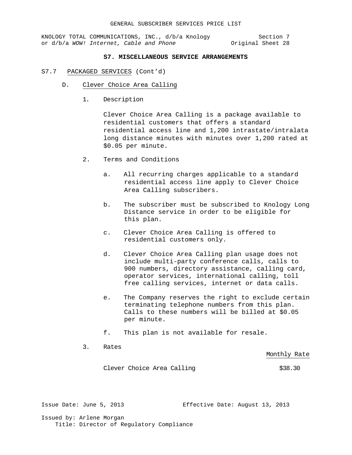KNOLOGY TOTAL COMMUNICATIONS, INC., d/b/a Knology Section 7<br>or d/b/a WOW! Internet, Cable and Phone 91 0 0 Section 1 or d/b/a WOW! Internet, Cable and Phone

## **S7. MISCELLANEOUS SERVICE ARRANGEMENTS**

- S7.7 PACKAGED SERVICES (Cont'd)
	- D. Clever Choice Area Calling
		- 1. Description

Clever Choice Area Calling is a package available to residential customers that offers a standard residential access line and 1,200 intrastate/intralata long distance minutes with minutes over 1,200 rated at \$0.05 per minute.

- 2. Terms and Conditions
	- a. All recurring charges applicable to a standard residential access line apply to Clever Choice Area Calling subscribers.
	- b. The subscriber must be subscribed to Knology Long Distance service in order to be eligible for this plan.
	- c. Clever Choice Area Calling is offered to residential customers only.
	- d. Clever Choice Area Calling plan usage does not include multi-party conference calls, calls to 900 numbers, directory assistance, calling card, operator services, international calling, toll free calling services, internet or data calls.
	- e. The Company reserves the right to exclude certain terminating telephone numbers from this plan. Calls to these numbers will be billed at \$0.05 per minute.
	- f. This plan is not available for resale.
- 3. Rates

Monthly Rate

Clever Choice Area Calling 638.30

Issue Date: June 5, 2013 Effective Date: August 13, 2013 Issued by: Arlene Morgan Title: Director of Regulatory Compliance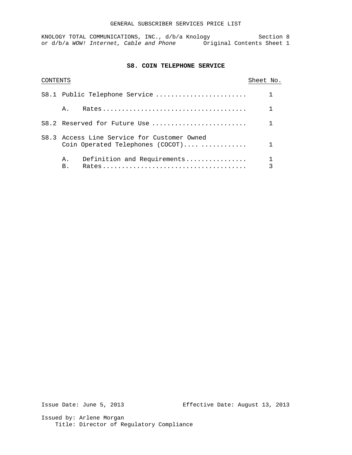### GENERAL SUBSCRIBER SERVICES PRICE LIST

KNOLOGY TOTAL COMMUNICATIONS, INC., d/b/a Knology Section 8 or d/b/a WOW! Internet, Cable and Phone **Original Contents Sheet 1** 

## **S8. COIN TELEPHONE SERVICE**

| <b>CONTENTS</b> |                 |                                                                                 | Sheet No. |   |
|-----------------|-----------------|---------------------------------------------------------------------------------|-----------|---|
|                 |                 | S8.1 Public Telephone Service                                                   |           |   |
|                 | Ά.              |                                                                                 |           |   |
|                 |                 | S8.2 Reserved for Future Use                                                    |           |   |
|                 |                 | S8.3 Access Line Service for Customer Owned<br>Coin Operated Telephones (COCOT) |           |   |
|                 | Α.<br><b>B.</b> | Definition and Requirements                                                     |           | 3 |

Issue Date: June 5, 2013 Effective Date: August 13, 2013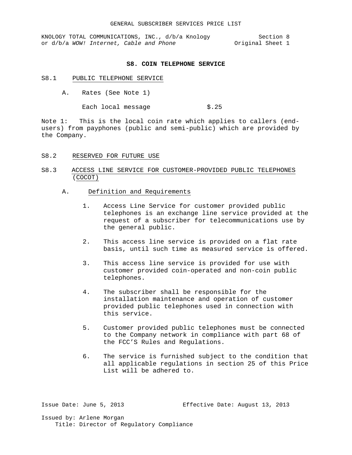#### **S8. COIN TELEPHONE SERVICE**

### S8.1 PUBLIC TELEPHONE SERVICE

A. Rates (See Note 1)

Each local message \$.25

Note 1: This is the local coin rate which applies to callers (endusers) from payphones (public and semi-public) which are provided by the Company.

#### S8.2 RESERVED FOR FUTURE USE

# S8.3 ACCESS LINE SERVICE FOR CUSTOMER-PROVIDED PUBLIC TELEPHONES (COCOT)

- A. Definition and Requirements
	- 1. Access Line Service for customer provided public telephones is an exchange line service provided at the request of a subscriber for telecommunications use by the general public.
	- 2. This access line service is provided on a flat rate basis, until such time as measured service is offered.
	- 3. This access line service is provided for use with customer provided coin-operated and non-coin public telephones.
	- 4. The subscriber shall be responsible for the installation maintenance and operation of customer provided public telephones used in connection with this service.
	- 5. Customer provided public telephones must be connected to the Company network in compliance with part 68 of the FCC'S Rules and Regulations.
	- 6. The service is furnished subject to the condition that all applicable regulations in section 25 of this Price List will be adhered to.

Issue Date: June 5, 2013 Effective Date: August 13, 2013 Issued by: Arlene Morgan Title: Director of Regulatory Compliance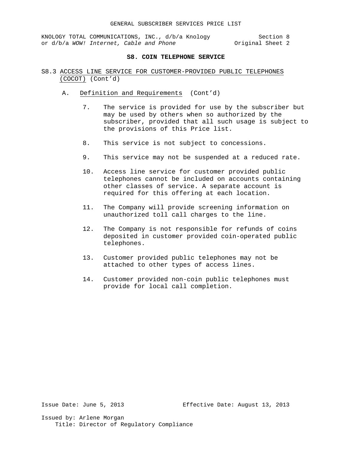## **S8. COIN TELEPHONE SERVICE**

- S8.3 ACCESS LINE SERVICE FOR CUSTOMER-PROVIDED PUBLIC TELEPHONES (COCOT) (Cont'd)
	- A. Definition and Requirements (Cont'd)
		- 7. The service is provided for use by the subscriber but may be used by others when so authorized by the subscriber, provided that all such usage is subject to the provisions of this Price list.
		- 8. This service is not subject to concessions.
		- 9. This service may not be suspended at a reduced rate.
		- 10. Access line service for customer provided public telephones cannot be included on accounts containing other classes of service. A separate account is required for this offering at each location.
		- 11. The Company will provide screening information on unauthorized toll call charges to the line.
		- 12. The Company is not responsible for refunds of coins deposited in customer provided coin-operated public telephones.
		- 13. Customer provided public telephones may not be attached to other types of access lines.
		- 14. Customer provided non-coin public telephones must provide for local call completion.

Issue Date: June 5, 2013 Effective Date: August 13, 2013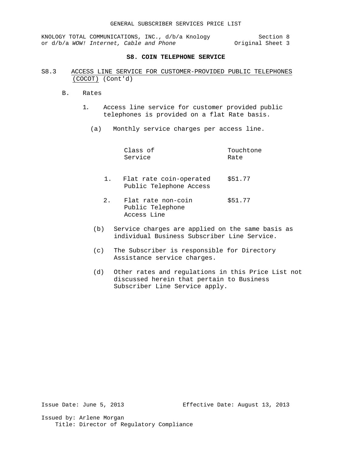### **S8. COIN TELEPHONE SERVICE**

- S8.3 ACCESS LINE SERVICE FOR CUSTOMER-PROVIDED PUBLIC TELEPHONES (COCOT) (Cont'd)
	- B. Rates
		- 1. Access line service for customer provided public telephones is provided on a flat Rate basis.
			- (a) Monthly service charges per access line.

| Class of | Touchtone |
|----------|-----------|
| Service  | Rate      |
|          |           |

- 1. Flat rate coin-operated \$51.77 Public Telephone Access
- 2. Flat rate non-coin \$51.77 Public Telephone Access Line
- (b) Service charges are applied on the same basis as individual Business Subscriber Line Service.
- (c) The Subscriber is responsible for Directory Assistance service charges.
- (d) Other rates and regulations in this Price List not discussed herein that pertain to Business Subscriber Line Service apply.

Issue Date: June 5, 2013 Effective Date: August 13, 2013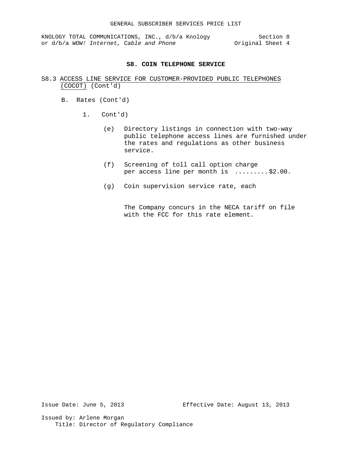#### **S8. COIN TELEPHONE SERVICE**

- S8.3 ACCESS LINE SERVICE FOR CUSTOMER-PROVIDED PUBLIC TELEPHONES (COCOT) (Cont'd)
	- B. Rates (Cont'd)
		- 1. Cont'd)
			- (e) Directory listings in connection with two-way public telephone access lines are furnished under the rates and regulations as other business service.
			- (f) Screening of toll call option charge per access line per month is .........\$2.00.
			- (g) Coin supervision service rate, each

The Company concurs in the NECA tariff on file with the FCC for this rate element.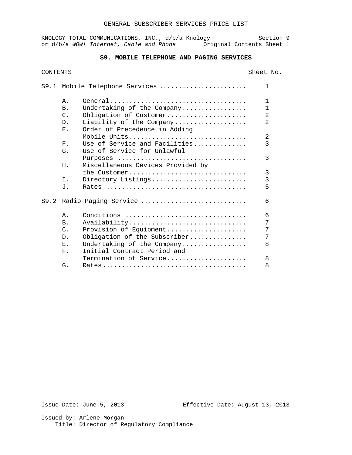## **S9. MOBILE TELEPHONE AND PAGING SERVICES**

| <b>CONTENTS</b><br>Sheet No. |                                   |                |
|------------------------------|-----------------------------------|----------------|
|                              | S9.1 Mobile Telephone Services    | 1              |
| Α.                           |                                   | $\mathbf{1}$   |
| B <sub>1</sub>               | Undertaking of the Company        | $\mathbf{1}$   |
| $\mathcal{C}$ .              | Obligation of Customer            | $\overline{2}$ |
| $D$ .                        | Liability of the Company          | $\overline{2}$ |
| $E$ .                        | Order of Precedence in Adding     |                |
|                              | Mobile Units                      | 2              |
| $F$ .                        | Use of Service and Facilities     | 3              |
| G.                           | Use of Service for Unlawful       |                |
|                              |                                   | 3              |
| Η.                           | Miscellaneous Devices Provided by |                |
|                              | the Customer                      | 3              |
| $T$ .                        | Directory Listings                | $\overline{3}$ |
| J.                           |                                   | 5              |
|                              | S9.2 Radio Paging Service         | 6              |
| Α.                           | Conditions                        | 6              |
| <b>B</b> .                   | Availability                      | 7              |
| $\mathcal{C}$ .              | Provision of Equipment            | 7              |
| $D$ .                        | Obligation of the Subscriber      | 7              |
| $F_{\rm{L}}$ .               | Undertaking of the Company        | 8              |
| $F_{\perp}$                  | Initial Contract Period and       |                |
|                              | Termination of Service            | 8              |
| G.                           |                                   | 8              |

Issue Date: June 5, 2013 Effective Date: August 13, 2013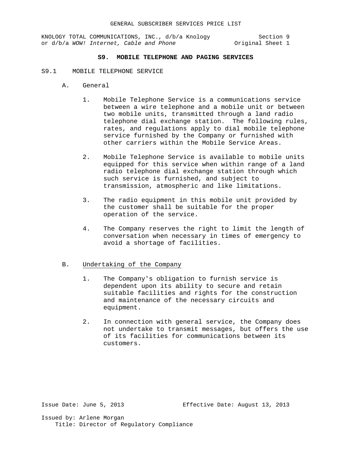KNOLOGY TOTAL COMMUNICATIONS, INC., d/b/a Knology Section 9<br>1 or d/b/a WOW! Internet, Cable and Phone Sor d/b/a WOW! Internet, Cable and Phone or d/b/a WOW! Internet, Cable and Phone

#### **S9. MOBILE TELEPHONE AND PAGING SERVICES**

#### S9.1 MOBILE TELEPHONE SERVICE

- A. General
	- 1. Mobile Telephone Service is a communications service between a wire telephone and a mobile unit or between two mobile units, transmitted through a land radio telephone dial exchange station. The following rules, rates, and regulations apply to dial mobile telephone service furnished by the Company or furnished with other carriers within the Mobile Service Areas.
	- 2. Mobile Telephone Service is available to mobile units equipped for this service when within range of a land radio telephone dial exchange station through which such service is furnished, and subject to transmission, atmospheric and like limitations.
	- 3. The radio equipment in this mobile unit provided by the customer shall be suitable for the proper operation of the service.
	- 4. The Company reserves the right to limit the length of conversation when necessary in times of emergency to avoid a shortage of facilities.

## B. Undertaking of the Company

- 1. The Company's obligation to furnish service is dependent upon its ability to secure and retain suitable facilities and rights for the construction and maintenance of the necessary circuits and equipment.
- 2. In connection with general service, the Company does not undertake to transmit messages, but offers the use of its facilities for communications between its customers.

Issue Date: June 5, 2013 Effective Date: August 13, 2013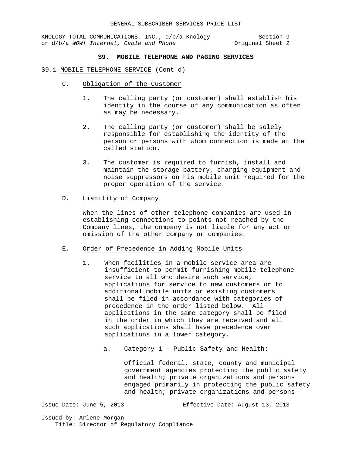KNOLOGY TOTAL COMMUNICATIONS, INC., d/b/a Knology Section 9<br>or d/b/a WOW! Internet, Cable and Phone (2001) Singles Original Sheet 2 or d/b/a WOW! Internet, Cable and Phone

## **S9. MOBILE TELEPHONE AND PAGING SERVICES**

#### S9.1 MOBILE TELEPHONE SERVICE (Cont'd)

- C. Obligation of the Customer
	- 1. The calling party (or customer) shall establish his identity in the course of any communication as often as may be necessary.
	- 2. The calling party (or customer) shall be solely responsible for establishing the identity of the person or persons with whom connection is made at the called station.
	- 3. The customer is required to furnish, install and maintain the storage battery, charging equipment and noise suppressors on his mobile unit required for the proper operation of the service.

# D. Liability of Company

When the lines of other telephone companies are used in establishing connections to points not reached by the Company lines, the company is not liable for any act or omission of the other company or companies.

### E. Order of Precedence in Adding Mobile Units

- 1. When facilities in a mobile service area are insufficient to permit furnishing mobile telephone service to all who desire such service, applications for service to new customers or to additional mobile units or existing customers shall be filed in accordance with categories of precedence in the order listed below. All applications in the same category shall be filed in the order in which they are received and all such applications shall have precedence over applications in a lower category.
	- a. Category 1 Public Safety and Health:

Official federal, state, county and municipal government agencies protecting the public safety and health; private organizations and persons engaged primarily in protecting the public safety and health; private organizations and persons

Issue Date: June 5, 2013 Effective Date: August 13, 2013 Issued by: Arlene Morgan

Title: Director of Regulatory Compliance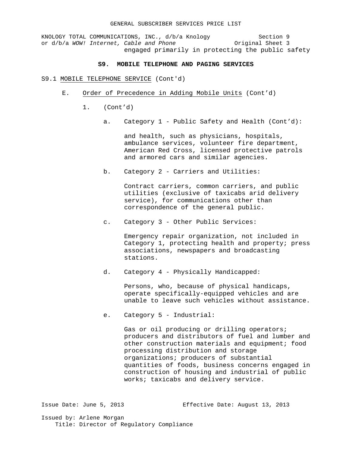KNOLOGY TOTAL COMMUNICATIONS, INC., d/b/a Knology Section 9<br>or d/b/a WOW! Internet, Cable and Phone (2013) Singles Sheet 3 or d/b/a WOW! Internet, Cable and Phone engaged primarily in protecting the public safety

#### **S9. MOBILE TELEPHONE AND PAGING SERVICES**

S9.1 MOBILE TELEPHONE SERVICE (Cont'd)

- E. Order of Precedence in Adding Mobile Units (Cont'd)
	- 1. (Cont'd)
		- a. Category 1 Public Safety and Health (Cont'd):

and health, such as physicians, hospitals, ambulance services, volunteer fire department, American Red Cross, licensed protective patrols and armored cars and similar agencies.

b. Category 2 - Carriers and Utilities:

Contract carriers, common carriers, and public utilities (exclusive of taxicabs arid delivery service), for communications other than correspondence of the general public.

c. Category 3 - Other Public Services:

Emergency repair organization, not included in Category 1, protecting health and property; press associations, newspapers and broadcasting stations.

d. Category 4 - Physically Handicapped:

Persons, who, because of physical handicaps, operate specifically-equipped vehicles and are unable to leave such vehicles without assistance.

e. Category 5 - Industrial:

Gas or oil producing or drilling operators; producers and distributors of fuel and lumber and other construction materials and equipment; food processing distribution and storage organizations; producers of substantial quantities of foods, business concerns engaged in construction of housing and industrial of public works; taxicabs and delivery service.

Issue Date: June 5, 2013 Effective Date: August 13, 2013 Issued by: Arlene Morgan

Title: Director of Regulatory Compliance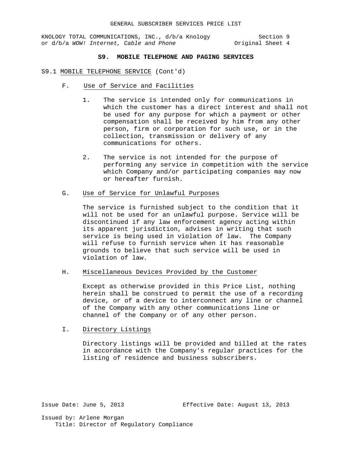KNOLOGY TOTAL COMMUNICATIONS, INC., d/b/a Knology Section 9<br>1 or d/b/a WOW! Internet, Cable and Phone Sor d/b/a WOW! Internet, Cable and Phone or d/b/a WOW! Internet, Cable and Phone

## **S9. MOBILE TELEPHONE AND PAGING SERVICES**

#### S9.1 MOBILE TELEPHONE SERVICE (Cont'd)

- F. Use of Service and Facilities
	- 1. The service is intended only for communications in which the customer has a direct interest and shall not be used for any purpose for which a payment or other compensation shall be received by him from any other person, firm or corporation for such use, or in the collection, transmission or delivery of any communications for others.
	- 2. The service is not intended for the purpose of performing any service in competition with the service which Company and/or participating companies may now or hereafter furnish.
- G. Use of Service for Unlawful Purposes

The service is furnished subject to the condition that it will not be used for an unlawful purpose. Service will be discontinued if any law enforcement agency acting within its apparent jurisdiction, advises in writing that such service is being used in violation of law. The Company will refuse to furnish service when it has reasonable grounds to believe that such service will be used in violation of law.

H. Miscellaneous Devices Provided by the Customer

Except as otherwise provided in this Price List, nothing herein shall be construed to permit the use of a recording device, or of a device to interconnect any line or channel of the Company with any other communications line or channel of the Company or of any other person.

I. Directory Listings

Directory listings will be provided and billed at the rates in accordance with the Company's regular practices for the listing of residence and business subscribers.

Issue Date: June 5, 2013 Effective Date: August 13, 2013 Issued by: Arlene Morgan

Title: Director of Regulatory Compliance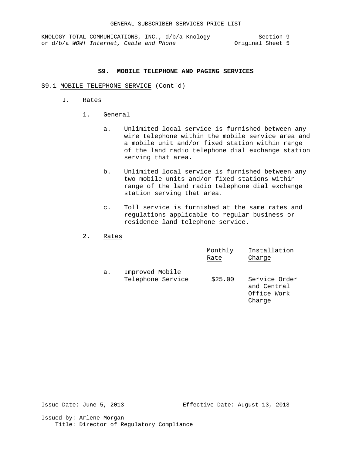#### **S9. MOBILE TELEPHONE AND PAGING SERVICES**

#### S9.1 MOBILE TELEPHONE SERVICE (Cont'd)

- J. Rates
	- 1. General
		- a. Unlimited local service is furnished between any wire telephone within the mobile service area and a mobile unit and/or fixed station within range of the land radio telephone dial exchange station serving that area.
		- b. Unlimited local service is furnished between any two mobile units and/or fixed stations within range of the land radio telephone dial exchange station serving that area.
		- c. Toll service is furnished at the same rates and regulations applicable to regular business or residence land telephone service.
	- 2. Rates

|    |                                      | Monthly<br>Rate | Installation<br>Charge                      |
|----|--------------------------------------|-----------------|---------------------------------------------|
| а. | Improved Mobile<br>Telephone Service | \$25.00         | Service Order<br>and Central<br>Office Work |

Issue Date: June 5, 2013 Effective Date: August 13, 2013

Charge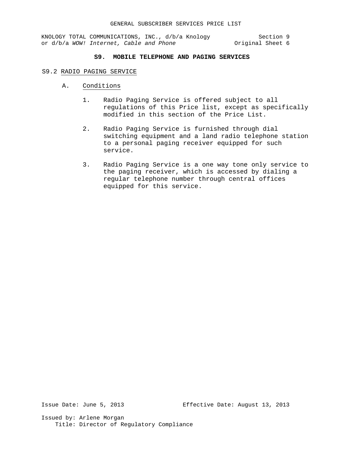# **S9. MOBILE TELEPHONE AND PAGING SERVICES**

#### S9.2 RADIO PAGING SERVICE

- A. Conditions
	- 1. Radio Paging Service is offered subject to all regulations of this Price list, except as specifically modified in this section of the Price List.
	- 2. Radio Paging Service is furnished through dial switching equipment and a land radio telephone station to a personal paging receiver equipped for such service.
	- 3. Radio Paging Service is a one way tone only service to the paging receiver, which is accessed by dialing a regular telephone number through central offices equipped for this service.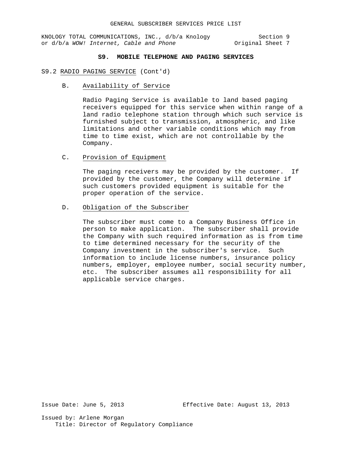KNOLOGY TOTAL COMMUNICATIONS, INC., d/b/a Knology Section 9<br>or d/b/a WOW! Internet, Cable and Phone 9 or d/b/a WOW! Internet, Cable and Phone

## **S9. MOBILE TELEPHONE AND PAGING SERVICES**

#### S9.2 RADIO PAGING SERVICE (Cont'd)

B. Availability of Service

Radio Paging Service is available to land based paging receivers equipped for this service when within range of a land radio telephone station through which such service is furnished subject to transmission, atmospheric, and like limitations and other variable conditions which may from time to time exist, which are not controllable by the Company.

#### C. Provision of Equipment

The paging receivers may be provided by the customer. If provided by the customer, the Company will determine if such customers provided equipment is suitable for the proper operation of the service.

D. Obligation of the Subscriber

The subscriber must come to a Company Business Office in person to make application. The subscriber shall provide the Company with such required information as is from time to time determined necessary for the security of the Company investment in the subscriber's service. Such information to include license numbers, insurance policy numbers, employer, employee number, social security number, etc. The subscriber assumes all responsibility for all applicable service charges.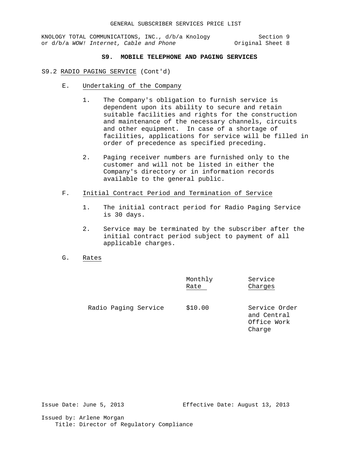KNOLOGY TOTAL COMMUNICATIONS, INC., d/b/a Knology Section 9<br>or d/b/a WOW! Internet, Cable and Phone (2013) Sincet 8 or d/b/a WOW! Internet, Cable and Phone

# **S9. MOBILE TELEPHONE AND PAGING SERVICES**

#### S9.2 RADIO PAGING SERVICE (Cont'd)

- E. Undertaking of the Company
	- 1. The Company's obligation to furnish service is dependent upon its ability to secure and retain suitable facilities and rights for the construction and maintenance of the necessary channels, circuits and other equipment. In case of a shortage of facilities, applications for service will be filled in order of precedence as specified preceding.
	- 2. Paging receiver numbers are furnished only to the customer and will not be listed in either the Company's directory or in information records available to the general public.
- F. Initial Contract Period and Termination of Service
	- 1. The initial contract period for Radio Paging Service is 30 days.
	- 2. Service may be terminated by the subscriber after the initial contract period subject to payment of all applicable charges.
- G. Rates

|                      | Monthly<br>Rate | Service<br>Charges                                    |
|----------------------|-----------------|-------------------------------------------------------|
| Radio Paging Service | \$10.00         | Service Order<br>and Central<br>Office Work<br>Charge |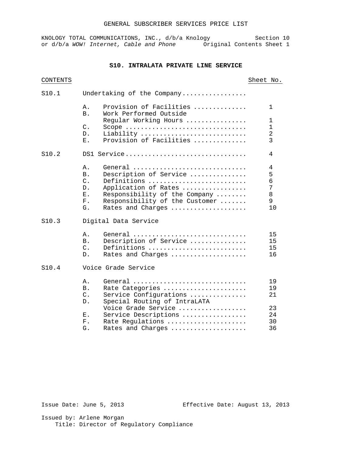#### GENERAL SUBSCRIBER SERVICES PRICE LIST

KNOLOGY TOTAL COMMUNICATIONS, INC., d/b/a Knology Section 10 or d/b/a WOW! Internet, Cable and Phone **Original Contents Sheet 1** 

### **S10. INTRALATA PRIVATE LINE SERVICE**

| CONTENTS |                                                                   | Sheet No.                        |
|----------|-------------------------------------------------------------------|----------------------------------|
| S10.1    | Undertaking of the Company                                        |                                  |
|          | Provision of Facilities<br>Α.<br>Work Performed Outside<br>B.     | 1                                |
|          | Regular Working Hours                                             | 1                                |
|          | C.<br>Scope                                                       | $\mathbf{1}$                     |
|          | Liability<br>$D$ .<br>Provision of Facilities<br>Ε.               | $\overline{2}$<br>$\overline{3}$ |
| S10.2    | DS1 Service                                                       | 4                                |
|          | Α.<br>General<br>Description of Service<br><b>B</b> .             | 4<br>5                           |
|          | $\mathsf{C}$ .<br>Definitions                                     | 6<br>7                           |
|          | Application of Rates<br>D.<br>Ε.<br>Responsibility of the Company | 8                                |
|          | F.<br>Responsibility of the Customer                              | 9                                |
|          | Rates and Charges<br>G.                                           | 10                               |
| S10.3    | Digital Data Service                                              |                                  |
|          | Α.<br>General                                                     | 15                               |
|          | Description of Service<br><b>B</b> .                              | 15                               |
|          | $\mathsf{C}$ .<br>Definitions                                     | 15                               |
|          | $D$ .<br>Rates and Charges                                        | 16                               |
| S10.4    | Voice Grade Service                                               |                                  |
|          | Α.<br>General                                                     | 19                               |
|          | Rate Categories<br><b>B</b> .                                     | 19                               |
|          | $\mathsf{C}$ .<br>Service Configurations                          | 21                               |
|          | Special Routing of IntraLATA<br>D.<br>Voice Grade Service         | 23                               |
|          | Service Descriptions<br>Ε.                                        | 24                               |
|          | Rate Regulations<br>$F$ .                                         | 30                               |
|          | G.<br>Rates and Charges                                           | 36                               |
|          |                                                                   |                                  |

Issue Date: June 5, 2013 Effective Date: August 13, 2013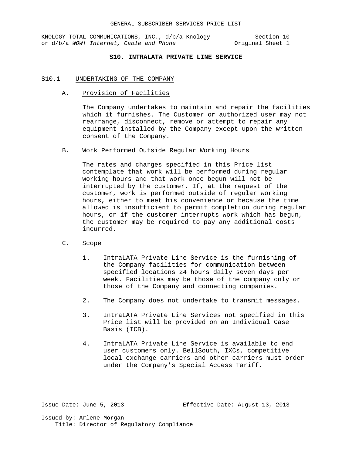KNOLOGY TOTAL COMMUNICATIONS, INC., d/b/a Knology Section 10<br>or d/b/a WOW! Internet, Cable and Phone original Sheet 1 or d/b/a WOW! Internet, Cable and Phone

## **S10. INTRALATA PRIVATE LINE SERVICE**

### S10.1 UNDERTAKING OF THE COMPANY

A. Provision of Facilities

The Company undertakes to maintain and repair the facilities which it furnishes. The Customer or authorized user may not rearrange, disconnect, remove or attempt to repair any equipment installed by the Company except upon the written consent of the Company.

B. Work Performed Outside Regular Working Hours

The rates and charges specified in this Price list contemplate that work will be performed during regular working hours and that work once begun will not be interrupted by the customer. If, at the request of the customer, work is performed outside of regular working hours, either to meet his convenience or because the time allowed is insufficient to permit completion during regular hours, or if the customer interrupts work which has begun, the customer may be required to pay any additional costs incurred.

- C. Scope
	- 1. IntraLATA Private Line Service is the furnishing of the Company facilities for communication between specified locations 24 hours daily seven days per week. Facilities may be those of the company only or those of the Company and connecting companies.
	- 2. The Company does not undertake to transmit messages.
	- 3. IntraLATA Private Line Services not specified in this Price list will be provided on an Individual Case Basis (ICB).
	- 4. IntraLATA Private Line Service is available to end user customers only. BellSouth, IXCs, competitive local exchange carriers and other carriers must order under the Company's Special Access Tariff.

Issue Date: June 5, 2013 Effective Date: August 13, 2013 Issued by: Arlene Morgan Title: Director of Regulatory Compliance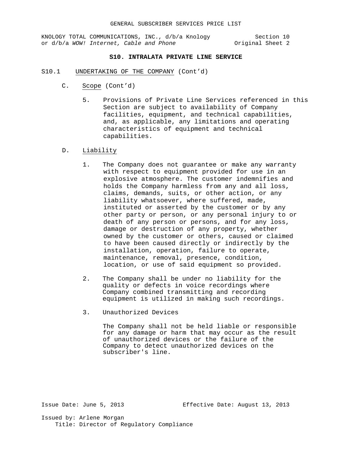KNOLOGY TOTAL COMMUNICATIONS, INC., d/b/a Knology Section 10<br>2 or d/b/a WOW! Internet, Cable and Phone original Sheet or d/b/a WOW! Internet, Cable and Phone

### **S10. INTRALATA PRIVATE LINE SERVICE**

- S10.1 UNDERTAKING OF THE COMPANY (Cont'd)
	- C. Scope (Cont'd)
		- 5. Provisions of Private Line Services referenced in this Section are subject to availability of Company facilities, equipment, and technical capabilities, and, as applicable, any limitations and operating characteristics of equipment and technical capabilities.
	- D. Liability
		- 1. The Company does not guarantee or make any warranty with respect to equipment provided for use in an explosive atmosphere. The customer indemnifies and holds the Company harmless from any and all loss, claims, demands, suits, or other action, or any liability whatsoever, where suffered, made, instituted or asserted by the customer or by any other party or person, or any personal injury to or death of any person or persons, and for any loss, damage or destruction of any property, whether owned by the customer or others, caused or claimed to have been caused directly or indirectly by the installation, operation, failure to operate, maintenance, removal, presence, condition, location, or use of said equipment so provided.
		- 2. The Company shall be under no liability for the quality or defects in voice recordings where Company combined transmitting and recording equipment is utilized in making such recordings.
		- 3. Unauthorized Devices

The Company shall not be held liable or responsible for any damage or harm that may occur as the result of unauthorized devices or the failure of the Company to detect unauthorized devices on the subscriber's line.

Issue Date: June 5, 2013 Effective Date: August 13, 2013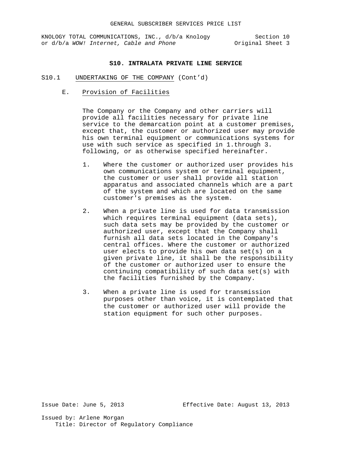#### **S10. INTRALATA PRIVATE LINE SERVICE**

- S10.1 UNDERTAKING OF THE COMPANY (Cont'd)
	- E. Provision of Facilities

The Company or the Company and other carriers will provide all facilities necessary for private line service to the demarcation point at a customer premises, except that, the customer or authorized user may provide his own terminal equipment or communications systems for use with such service as specified in 1.through 3. following, or as otherwise specified hereinafter.

- 1. Where the customer or authorized user provides his own communications system or terminal equipment, the customer or user shall provide all station apparatus and associated channels which are a part of the system and which are located on the same customer's premises as the system.
- 2. When a private line is used for data transmission which requires terminal equipment (data sets), such data sets may be provided by the customer or authorized user, except that the Company shall furnish all data sets located in the Company's central offices. Where the customer or authorized user elects to provide his own data set(s) on a given private line, it shall be the responsibility of the customer or authorized user to ensure the continuing compatibility of such data set(s) with the facilities furnished by the Company.
- 3. When a private line is used for transmission purposes other than voice, it is contemplated that the customer or authorized user will provide the station equipment for such other purposes.

Issue Date: June 5, 2013 Effective Date: August 13, 2013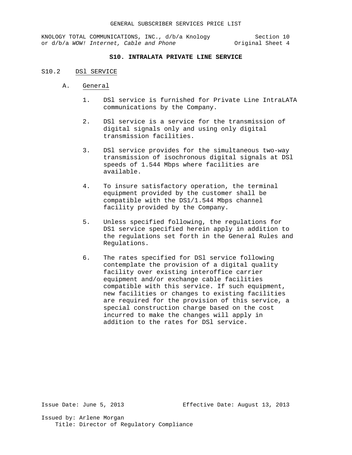KNOLOGY TOTAL COMMUNICATIONS, INC., d/b/a Knology Section 10<br>or d/b/a WOW! Internet, Cable and Phone original Sheet 4 or d/b/a WOW! Internet, Cable and Phone

## **S10. INTRALATA PRIVATE LINE SERVICE**

#### S10.2 DSl SERVICE

- A. General
	- 1. DSl service is furnished for Private Line IntraLATA communications by the Company.
	- 2. DSl service is a service for the transmission of digital signals only and using only digital transmission facilities.
	- 3. DSl service provides for the simultaneous two-way transmission of isochronous digital signals at DSl speeds of 1.544 Mbps where facilities are available.
	- 4. To insure satisfactory operation, the terminal equipment provided by the customer shall be compatible with the DS1/1.544 Mbps channel facility provided by the Company.
	- 5. Unless specified following, the regulations for DS1 service specified herein apply in addition to the regulations set forth in the General Rules and Regulations.
	- 6. The rates specified for DSl service following contemplate the provision of a digital quality facility over existing interoffice carrier equipment and/or exchange cable facilities compatible with this service. If such equipment, new facilities or changes to existing facilities are required for the provision of this service, a special construction charge based on the cost incurred to make the changes will apply in addition to the rates for DSl service.

Issue Date: June 5, 2013 Effective Date: August 13, 2013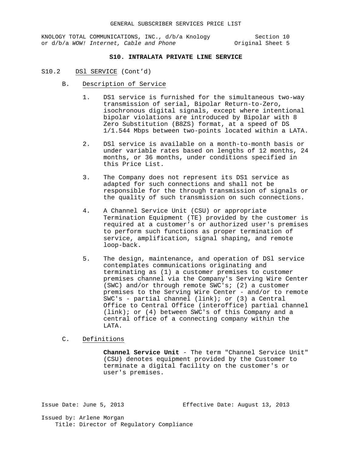KNOLOGY TOTAL COMMUNICATIONS, INC., d/b/a Knology Section 10<br>or d/b/a WOW! Internet, Cable and Phone original Sheet 5 or d/b/a WOW! Internet, Cable and Phone

### **S10. INTRALATA PRIVATE LINE SERVICE**

- S10.2DSl SERVICE (Cont'd)
	- B. Description of Service
		- 1. DS1 service is furnished for the simultaneous two-way transmission of serial, Bipolar Return-to-Zero, isochronous digital signals, except where intentional bipolar violations are introduced by Bipolar with 8 Zero Substitution (B8ZS) format, at a speed of DS 1/1.544 Mbps between two-points located within a LATA.
		- 2. DSl service is available on a month-to-month basis or under variable rates based on lengths of 12 months, 24 months, or 36 months, under conditions specified in this Price List.
		- 3. The Company does not represent its DS1 service as adapted for such connections and shall not be responsible for the through transmission of signals or the quality of such transmission on such connections.
		- 4. A Channel Service Unit (CSU) or appropriate Termination Equipment (TE) provided by the customer is required at a customer's or authorized user's premises to perform such functions as proper termination of service, amplification, signal shaping, and remote loop-back.
		- 5. The design, maintenance, and operation of DSl service contemplates communications originating and terminating as (1) a customer premises to customer premises channel via the Company's Serving Wire Center (SWC) and/or through remote SWC's; (2) a customer premises to the Serving Wire Center - and/or to remote SWC's - partial channel (link); or (3) a Central Office to Central Office (interoffice) partial channel (link); or (4) between SWC's of this Company and a central office of a connecting company within the LATA.

# C. Definitions

**Channel Service Unit** - The term "Channel Service Unit" (CSU) denotes equipment provided by the Customer to terminate a digital facility on the customer's or user's premises.

Issue Date: June 5, 2013 Effective Date: August 13, 2013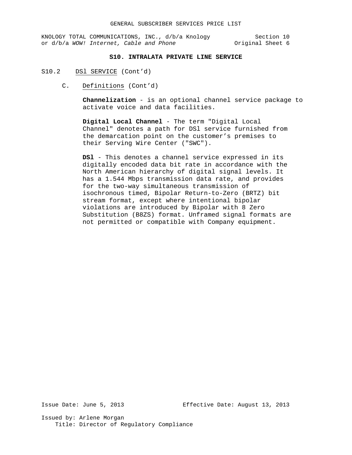KNOLOGY TOTAL COMMUNICATIONS, INC., d/b/a Knology Section 10<br>or d/b/a WOW! Internet, Cable and Phone original Sheet 6 or d/b/a WOW! Internet, Cable and Phone

### **S10. INTRALATA PRIVATE LINE SERVICE**

- S10.2 DSl SERVICE (Cont'd)
	- C. Definitions (Cont'd)

**Channelization** - is an optional channel service package to activate voice and data facilities.

**Digital Local Channel** - The term "Digital Local Channel" denotes a path for DSl service furnished from the demarcation point on the customer's premises to their Serving Wire Center ("SWC").

**DSl** - This denotes a channel service expressed in its digitally encoded data bit rate in accordance with the North American hierarchy of digital signal levels. It has a 1.544 Mbps transmission data rate, and provides for the two-way simultaneous transmission of isochronous timed, Bipolar Return-to-Zero (BRTZ) bit stream format, except where intentional bipolar violations are introduced by Bipolar with 8 Zero Substitution (B8ZS) format. Unframed signal formats are not permitted or compatible with Company equipment.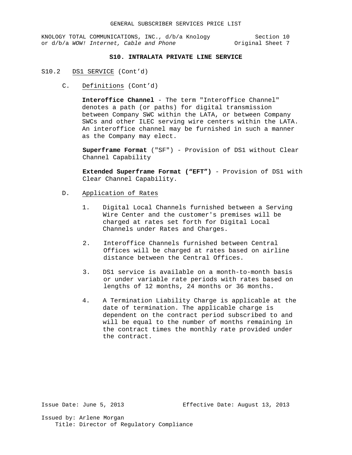KNOLOGY TOTAL COMMUNICATIONS, INC., d/b/a Knology Section 10<br>or d/b/a WOW! Internet, Cable and Phone original Sheet 7 or d/b/a WOW! Internet, Cable and Phone

## **S10. INTRALATA PRIVATE LINE SERVICE**

- S10.2 DS1 SERVICE (Cont'd)
	- C. Definitions (Cont'd)

**Interoffice Channel** - The term "Interoffice Channel" denotes a path (or paths) for digital transmission between Company SWC within the LATA, or between Company SWCs and other ILEC serving wire centers within the LATA. An interoffice channel may be furnished in such a manner as the Company may elect.

**Superframe Format** ("SF") - Provision of DS1 without Clear Channel Capability

**Extended Superframe Format ("EFT")** - Provision of DS1 with Clear Channel Capability.

- D. Application of Rates
	- 1. Digital Local Channels furnished between a Serving Wire Center and the customer's premises will be charged at rates set forth for Digital Local Channels under Rates and Charges.
	- 2. Interoffice Channels furnished between Central Offices will be charged at rates based on airline distance between the Central Offices.
	- 3. DS1 service is available on a month-to-month basis or under variable rate periods with rates based on lengths of 12 months, 24 months or 36 months.
	- 4. A Termination Liability Charge is applicable at the date of termination. The applicable charge is dependent on the contract period subscribed to and will be equal to the number of months remaining in the contract times the monthly rate provided under the contract.

Issue Date: June 5, 2013 Effective Date: August 13, 2013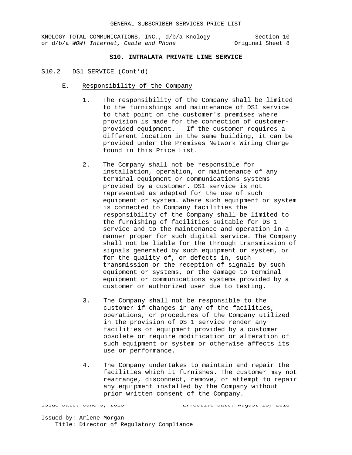KNOLOGY TOTAL COMMUNICATIONS, INC., d/b/a Knology Section 10<br>or d/b/a WOW! Internet, Cable and Phone (Original Sheet 8 or d/b/a WOW! Internet, Cable and Phone

# **S10. INTRALATA PRIVATE LINE SERVICE**

- S10.2 DS1 SERVICE (Cont'd)
	- E. Responsibility of the Company
		- 1. The responsibility of the Company shall be limited to the furnishings and maintenance of DS1 service to that point on the customer's premises where provision is made for the connection of customerprovided equipment. If the customer requires a different location in the same building, it can be provided under the Premises Network Wiring Charge found in this Price List.
		- 2. The Company shall not be responsible for installation, operation, or maintenance of any terminal equipment or communications systems provided by a customer. DS1 service is not represented as adapted for the use of such equipment or system. Where such equipment or system is connected to Company facilities the responsibility of the Company shall be limited to the furnishing of facilities suitable for DS 1 service and to the maintenance and operation in a manner proper for such digital service. The Company shall not be liable for the through transmission of signals generated by such equipment or system, or for the quality of, or defects in, such transmission or the reception of signals by such equipment or systems, or the damage to terminal equipment or communications systems provided by a customer or authorized user due to testing.
		- 3. The Company shall not be responsible to the customer if changes in any of the facilities, operations, or procedures of the Company utilized in the provision of DS 1 service render any facilities or equipment provided by a customer obsolete or require modification or alteration of such equipment or system or otherwise affects its use or performance.
		- 4. The Company undertakes to maintain and repair the facilities which it furnishes. The customer may not rearrange, disconnect, remove, or attempt to repair any equipment installed by the Company without prior written consent of the Company.

Issue Date: June 5, 2013 Effective Date: August 13, 2013 Issued by: Arlene Morgan Title: Director of Regulatory Compliance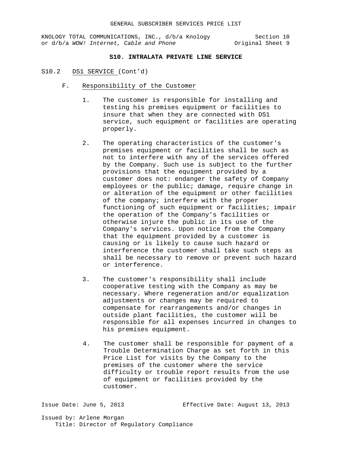KNOLOGY TOTAL COMMUNICATIONS, INC.,  $d/b/a$  Knology Section 10<br>or  $d/b/a$  WOW! Internet, Cable and Phone (Original Sheet 9 or d/b/a WOW! Internet, Cable and Phone

# **S10. INTRALATA PRIVATE LINE SERVICE**

- S10.2 DS1 SERVICE (Cont'd)
	- F. Responsibility of the Customer
		- 1. The customer is responsible for installing and testing his premises equipment or facilities to insure that when they are connected with DS1 service, such equipment or facilities are operating properly.
		- 2. The operating characteristics of the customer's premises equipment or facilities shall be such as not to interfere with any of the services offered by the Company. Such use is subject to the further provisions that the equipment provided by a customer does not: endanger the safety of Company employees or the public; damage, require change in or alteration of the equipment or other facilities of the company; interfere with the proper functioning of such equipment or facilities; impair the operation of the Company's facilities or otherwise injure the public in its use of the Company's services. Upon notice from the Company that the equipment provided by a customer is causing or is likely to cause such hazard or interference the customer shall take such steps as shall be necessary to remove or prevent such hazard or interference.
		- 3. The customer's responsibility shall include cooperative testing with the Company as may be necessary. Where regeneration and/or equalization adjustments or changes may be required to compensate for rearrangements and/or changes in outside plant facilities, the customer will be responsible for all expenses incurred in changes to his premises equipment.
		- 4. The customer shall be responsible for payment of a Trouble Determination Charge as set forth in this Price List for visits by the Company to the premises of the customer where the service difficulty or trouble report results from the use of equipment or facilities provided by the customer.

Issue Date: June 5, 2013 Effective Date: August 13, 2013 Issued by: Arlene Morgan Title: Director of Regulatory Compliance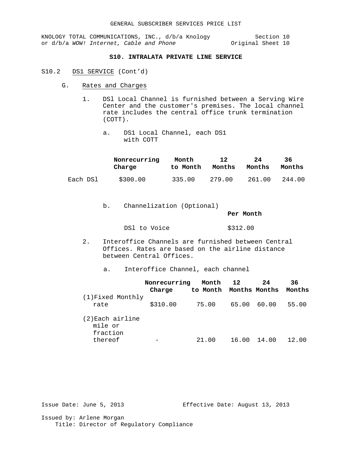### **S10. INTRALATA PRIVATE LINE SERVICE**

- S10.2 DS1 SERVICE (Cont'd)
	- G. Rates and Charges
		- 1. DSl Local Channel is furnished between a Serving Wire Center and the customer's premises. The local channel rate includes the central office trunk termination (COTT).
			- a. DS1 Local Channel, each DS1 with COTT

|          | Nonrecurring | Month    | 12     | 24     | 36.    |
|----------|--------------|----------|--------|--------|--------|
|          | Charge       | to Month | Months | Months | Months |
| Each DSl | \$300.00     | 335.00   | 279.00 | 261.00 | 244.00 |

b. Channelization (Optional)

**Per Month**

| DSl to Voice<br>\$312.00 |
|--------------------------|
|                          |

- 2. Interoffice Channels are furnished between Central Offices. Rates are based on the airline distance between Central Offices.
	- a. Interoffice Channel, each channel

|                                         | Nonrecurring<br>Charge | Month 12<br>to Month Months Months |       | 24    | 36<br>Months |
|-----------------------------------------|------------------------|------------------------------------|-------|-------|--------------|
| $(1)$ Fixed Monthly<br>rate             | \$310.00               | 75.00                              | 65.00 | 60.00 | 55.00        |
| (2) Each airline<br>mile or<br>fraction |                        |                                    |       |       |              |
| thereof                                 |                        | 21.00                              | 16.00 | 14.00 | 12.00        |

Issue Date: June 5, 2013 Effective Date: August 13, 2013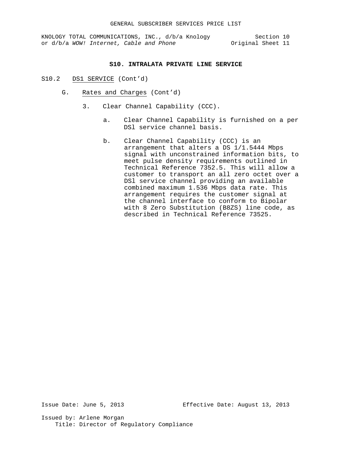#### **S10. INTRALATA PRIVATE LINE SERVICE**

- S10.2 DS1 SERVICE (Cont'd)
	- G. Rates and Charges (Cont'd)
		- 3. Clear Channel Capability (CCC).
			- a. Clear Channel Capability is furnished on a per DSl service channel basis.
			- b. Clear Channel Capability (CCC) is an arrangement that alters a DS 1/1.5444 Mbps signal with unconstrained information bits, to meet pulse density requirements outlined in Technical Reference 7352.5. This will allow a customer to transport an all zero octet over a DSl service channel providing an available combined maximum 1.536 Mbps data rate. This arrangement requires the customer signal at the channel interface to conform to Bipolar with 8 Zero Substitution (B8ZS) line code, as described in Technical Reference 73525.

Issue Date: June 5, 2013 Effective Date: August 13, 2013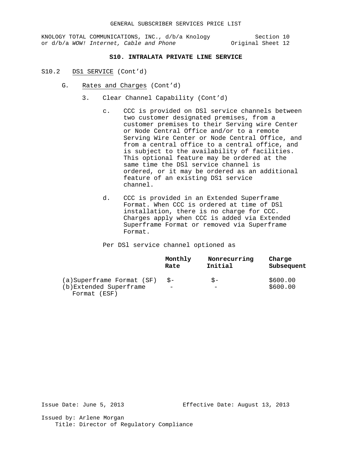## **S10. INTRALATA PRIVATE LINE SERVICE**

- S10.2 DS1 SERVICE (Cont'd)
	- G. Rates and Charges (Cont'd)
		- 3. Clear Channel Capability (Cont'd)
			- c. CCC is provided on DSl service channels between two customer designated premises, from a customer premises to their Serving wire Center or Node Central Office and/or to a remote Serving Wire Center or Node Central Office, and from a central office to a central office, and is subject to the availability of facilities. This optional feature may be ordered at the same time the DSl service channel is ordered, or it may be ordered as an additional feature of an existing DS1 service channel.
			- d. CCC is provided in an Extended Superframe Format. When CCC is ordered at time of DSl installation, there is no charge for CCC. Charges apply when CCC is added via Extended Superframe Format or removed via Superframe Format.

Per DSl service channel optioned as

|                                         | Monthly<br>Rate | Nonrecurring<br>Initial | Charge<br>Subsequent |
|-----------------------------------------|-----------------|-------------------------|----------------------|
| (a) Superframe Format (SF)              | $S -$           | $S -$                   | \$600.00             |
| (b) Extended Superframe<br>Format (ESF) |                 |                         | \$600.00             |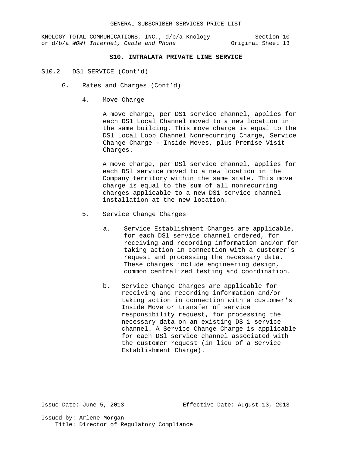KNOLOGY TOTAL COMMUNICATIONS, INC., d/b/a Knology Section 10<br>or d/b/a WOW! Internet, Cable and Phone original Sheet 13 or d/b/a WOW! Internet, Cable and Phone

# **S10. INTRALATA PRIVATE LINE SERVICE**

- S10.2 DS1 SERVICE (Cont'd)
	- G. Rates and Charges (Cont'd)
		- 4. Move Charge

A move charge, per DS1 service channel, applies for each DS1 Local Channel moved to a new location in the same building. This move charge is equal to the DSl Local Loop Channel Nonrecurring Charge, Service Change Charge - Inside Moves, plus Premise Visit Charges.

A move charge, per DSl service channel, applies for each DSl service moved to a new location in the Company territory within the same state. This move charge is equal to the sum of all nonrecurring charges applicable to a new DS1 service channel installation at the new location.

- 5. Service Change Charges
	- a. Service Establishment Charges are applicable, for each DSl service channel ordered, for receiving and recording information and/or for taking action in connection with a customer's request and processing the necessary data. These charges include engineering design, common centralized testing and coordination.
	- b. Service Change Charges are applicable for receiving and recording information and/or taking action in connection with a customer's Inside Move or transfer of service responsibility request, for processing the necessary data on an existing DS 1 service channel. A Service Change Charge is applicable for each DSl service channel associated with the customer request (in lieu of a Service Establishment Charge).

Issue Date: June 5, 2013 Effective Date: August 13, 2013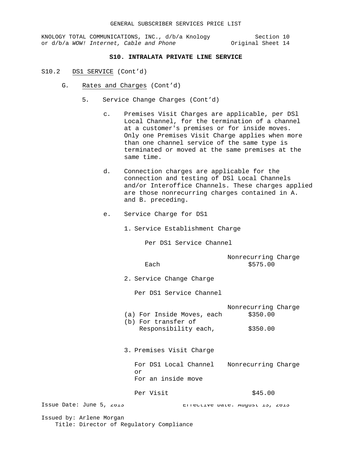KNOLOGY TOTAL COMMUNICATIONS, INC., d/b/a Knology Section 10<br>14 or d/b/a WOW! Internet, Cable and Phone original Sheet or d/b/a WOW! Internet, Cable and Phone

### **S10. INTRALATA PRIVATE LINE SERVICE**

- S10.2 DS1 SERVICE (Cont'd)
	- G. Rates and Charges (Cont'd)
		- 5. Service Change Charges (Cont'd)
			- c. Premises Visit Charges are applicable, per DSl Local Channel, for the termination of a channel at a customer's premises or for inside moves. Only one Premises Visit Charge applies when more than one channel service of the same type is terminated or moved at the same premises at the same time.
			- d. Connection charges are applicable for the connection and testing of DSl Local Channels and/or Interoffice Channels. These charges applied are those nonrecurring charges contained in A. and B. preceding.
			- e. Service Charge for DS1
				- 1. Service Establishment Charge

Per DS1 Service Channel

Issue Date: June 5, 2013 Effective Date: August 13, 2013 Issued by: Arlene Morgan Title: Director of Regulatory Compliance Nonrecurring Charge Each \$575.00 2. Service Change Charge Per DS1 Service Channel Nonrecurring Charge (a) For Inside Moves, each \$350.00 (b) For transfer of Responsibility each, \$350.00 3. Premises Visit Charge For DS1 Local Channel Nonrecurring Charge or For an inside move Per Visit  $\sim$  \$45.00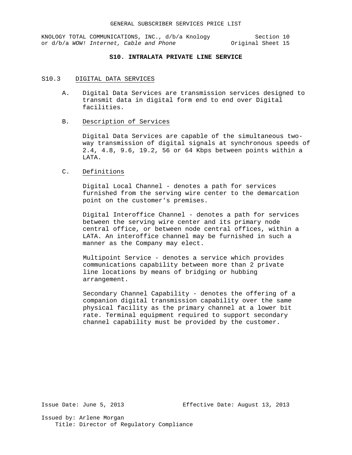## **S10. INTRALATA PRIVATE LINE SERVICE**

### S10.3 DIGITAL DATA SERVICES

- A. Digital Data Services are transmission services designed to transmit data in digital form end to end over Digital facilities.
- B. Description of Services

Digital Data Services are capable of the simultaneous twoway transmission of digital signals at synchronous speeds of 2.4, 4.8, 9.6, 19.2, 56 or 64 Kbps between points within a LATA.

## C. Definitions

Digital Local Channel - denotes a path for services furnished from the serving wire center to the demarcation point on the customer's premises.

Digital Interoffice Channel - denotes a path for services between the serving wire center and its primary node central office, or between node central offices, within a LATA. An interoffice channel may be furnished in such a manner as the Company may elect.

Multipoint Service - denotes a service which provides communications capability between more than 2 private line locations by means of bridging or hubbing arrangement.

Secondary Channel Capability - denotes the offering of a companion digital transmission capability over the same physical facility as the primary channel at a lower bit rate. Terminal equipment required to support secondary channel capability must be provided by the customer.

Issue Date: June 5, 2013 Effective Date: August 13, 2013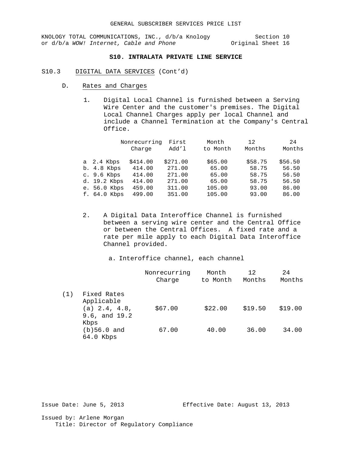### **S10. INTRALATA PRIVATE LINE SERVICE**

- S10.3 DIGITAL DATA SERVICES (Cont'd)
	- D. Rates and Charges
		- 1. Digital Local Channel is furnished between a Serving Wire Center and the customer's premises. The Digital Local Channel Charges apply per local Channel and include a Channel Termination at the Company's Central Office.

|                | Nonrecurring | First    | Month    | 12      | 24      |
|----------------|--------------|----------|----------|---------|---------|
|                | Charge       | Add'l    | to Month | Months  | Months  |
| a $2.4$ Kbps   | \$414.00     | \$271.00 | \$65.00  | \$58.75 | \$56.50 |
| $b. 4.8$ Kbps  | 414.00       | 271.00   | 65.00    | 58.75   | 56.50   |
| c. $9.6$ Kbps  | 414.00       | 271.00   | 65.00    | 58.75   | 56.50   |
| d. 19.2 Kbps   | 414.00       | 271.00   | 65.00    | 58.75   | 56.50   |
| e. 56.0 Kbps   | 459.00       | 311.00   | 105.00   | 93.00   | 86.00   |
| $f. 64.0$ Kbps | 499.00       | 351.00   | 105.00   | 93.00   | 86.00   |
|                |              |          |          |         |         |

2. A Digital Data Interoffice Channel is furnished between a serving wire center and the Central Office or between the Central Offices. A fixed rate and a rate per mile apply to each Digital Data Interoffice Channel provided.

a. Interoffice channel, each channel

|     |                                                               | Nonrecurring<br>Charge | Month<br>to Month | 12<br>Months | 24<br>Months |
|-----|---------------------------------------------------------------|------------------------|-------------------|--------------|--------------|
| (1) | Fixed Rates<br>Applicable<br>$(a)$ 2.4, 4.8,<br>9.6, and 19.2 | \$67.00                | \$22.00           | \$19.50      | \$19.00      |
|     | Kbps<br>$(b) 56.0$ and<br>$64.0$ Kbps                         | 67.00                  | 40.00             | 36.00        | 34.00        |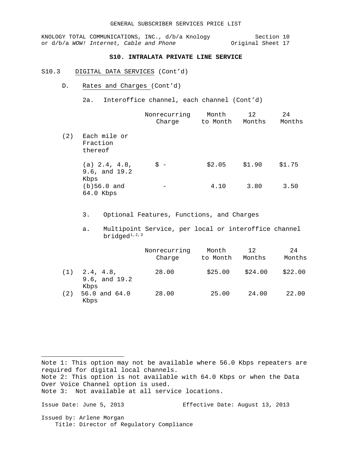KNOLOGY TOTAL COMMUNICATIONS, INC., d/b/a Knology Section 10<br>or d/b/a WOW! Internet, Cable and Phone 0riginal Sheet 17 or d/b/a WOW! Internet, Cable and Phone

## **S10. INTRALATA PRIVATE LINE SERVICE**

### S10.3 DIGITAL DATA SERVICES (Cont'd)

D. Rates and Charges (Cont'd)

2a. Interoffice channel, each channel (Cont'd)

|     |                                               | Nonrecurring<br>Charge | Month<br>to Month | 12<br>Months | 24<br>Months |
|-----|-----------------------------------------------|------------------------|-------------------|--------------|--------------|
| (2) | Each mile or<br>Fraction<br>thereof           |                        |                   |              |              |
|     | $(a)$ 2.4, 4.8,<br>$9.6$ , and $19.2$<br>Kbps | \$ -                   | \$2.05            | \$1.90       | \$1.75       |
|     | $(b) 56.0$ and<br>$64.0$ Kbps                 |                        | 4.10              | 3.80         | 3.50         |

- 3. Optional Features, Functions, and Charges
- a. Multipoint Service, per local or interoffice channel  $bridged<sup>1,2,3</sup>$  $bridged<sup>1,2,3</sup>$  $bridged<sup>1,2,3</sup>$  $bridged<sup>1,2,3</sup>$  $bridged<sup>1,2,3</sup>$

|     |                                         | Nonrecurring<br>Charge | Month<br>to Month | 12<br>Months | 2.4<br>Months |
|-----|-----------------------------------------|------------------------|-------------------|--------------|---------------|
| (1) | 2.4, 4.8,<br>$9.6$ , and $19.2$<br>Kbps | 28.00                  | \$25.00           | \$24.00      | \$22.00       |
| (2) | 56.0 and 64.0<br>Kbps                   | 28.00                  | 25.00             | 24.00        | 22.00         |

<span id="page-105-1"></span><span id="page-105-0"></span>Note 1: This option may not be available where 56.0 Kbps repeaters are required for digital local channels. Note 2: This option is not available with 64.0 Kbps or when the Data Over Voice Channel option is used. Note 3: Not available at all service locations.

<span id="page-105-2"></span>Issue Date: June 5, 2013 Effective Date: August 13, 2013

Issued by: Arlene Morgan Title: Director of Regulatory Compliance

ł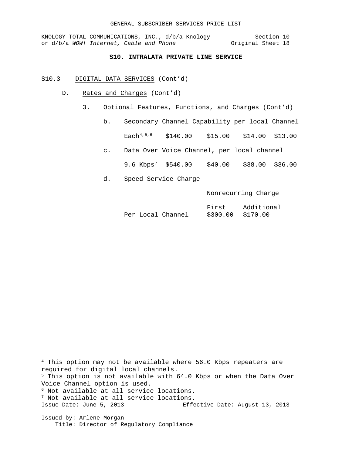KNOLOGY TOTAL COMMUNICATIONS, INC., d/b/a Knology Section 10<br>or d/b/a WOW! Internet, Cable and Phone 91 0riginal Sheet 18 or d/b/a WOW! Internet, Cable and Phone

# **S10. INTRALATA PRIVATE LINE SERVICE**

- S10.3 DIGITAL DATA SERVICES (Cont'd)
	- D. Rates and Charges (Cont'd)
		- 3. Optional Features, Functions, and Charges (Cont'd)
			- b. Secondary Channel Capability per local Channel Each<sup>[4](#page-106-0),[5](#page-106-1),[6](#page-106-2)</sup> \$140.00 \$15.00 \$14.00 \$13.00
			- c. Data Over Voice Channel, per local channel
				- 9.6 Kbps[7](#page-106-3) \$540.00 \$40.00 \$38.00 \$36.00
			- d. Speed Service Charge

Nonrecurring Charge

|  |                   | First |          |          | Additional |
|--|-------------------|-------|----------|----------|------------|
|  | Per Local Channel |       | \$300.00 | \$170.00 |            |

<span id="page-106-3"></span><span id="page-106-2"></span><span id="page-106-1"></span><span id="page-106-0"></span>Issue Date: June 5, 2013 Effective Date: August 13, 2013 Issued by: Arlene Morgan  $4$  This option may not be available where 56.0 Kbps repeaters are required for digital local channels. <sup>5</sup> This option is not available with 64.0 Kbps or when the Data Over Voice Channel option is used. <sup>6</sup> Not available at all service locations. <sup>7</sup> Not available at all service locations.

Title: Director of Regulatory Compliance

Ĩ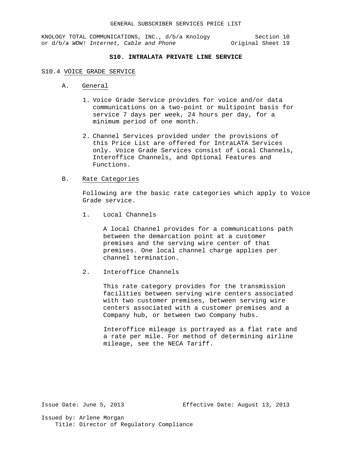## **S10. INTRALATA PRIVATE LINE SERVICE**

#### S10.4 VOICE GRADE SERVICE

- A. General
	- 1. Voice Grade Service provides for voice and/or data communications on a two-point or multipoint basis for service 7 days per week, 24 hours per day, for a minimum period of one month.
	- 2. Channel Services provided under the provisions of this Price List are offered for IntraLATA Services only. Voice Grade Services consist of Local Channels, Interoffice Channels, and Optional Features and Functions.

## B. Rate Categories

Following are the basic rate categories which apply to Voice Grade service.

1. Local Channels

A local Channel provides for a communications path between the demarcation point at a customer premises and the serving wire center of that premises. One local channel charge applies per channel termination.

2. Interoffice Channels

This rate category provides for the transmission facilities between serving wire centers associated with two customer premises, between serving wire centers associated with a customer premises and a Company hub, or between two Company hubs.

Interoffice mileage is portrayed as a flat rate and a rate per mile. For method of determining airline mileage, see the NECA Tariff.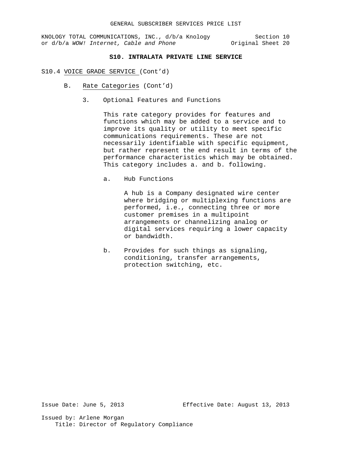# **S10. INTRALATA PRIVATE LINE SERVICE**

#### S10.4 VOICE GRADE SERVICE (Cont'd)

- B. Rate Categories (Cont'd)
	- 3. Optional Features and Functions

This rate category provides for features and functions which may be added to a service and to improve its quality or utility to meet specific communications requirements. These are not necessarily identifiable with specific equipment, but rather represent the end result in terms of the performance characteristics which may be obtained. This category includes a. and b. following.

a. Hub Functions

A hub is a Company designated wire center where bridging or multiplexing functions are performed, i.e., connecting three or more customer premises in a multipoint arrangements or channelizing analog or digital services requiring a lower capacity or bandwidth.

b. Provides for such things as signaling, conditioning, transfer arrangements, protection switching, etc.

Issue Date: June 5, 2013 Effective Date: August 13, 2013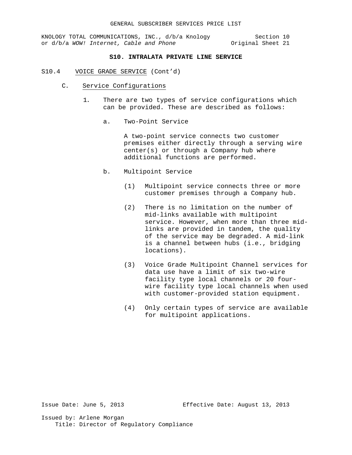KNOLOGY TOTAL COMMUNICATIONS, INC., d/b/a Knology Section 10<br>21 or d/b/a WOW! Internet, Cable and Phone or d/b/a Worly or d/b/a WOW! Internet, Cable and Phone

## **S10. INTRALATA PRIVATE LINE SERVICE**

- S10.4 VOICE GRADE SERVICE (Cont'd)
	- C. Service Configurations
		- 1. There are two types of service configurations which can be provided. These are described as follows:
			- a. Two-Point Service

A two-point service connects two customer premises either directly through a serving wire center(s) or through a Company hub where additional functions are performed.

- b. Multipoint Service
	- (1) Multipoint service connects three or more customer premises through a Company hub.
	- (2) There is no limitation on the number of mid-links available with multipoint service. However, when more than three midlinks are provided in tandem, the quality of the service may be degraded. A mid-link is a channel between hubs (i.e., bridging locations).
	- (3) Voice Grade Multipoint Channel services for data use have a limit of six two-wire facility type local channels or 20 fourwire facility type local channels when used with customer-provided station equipment.
	- (4) Only certain types of service are available for multipoint applications.

Issue Date: June 5, 2013 Effective Date: August 13, 2013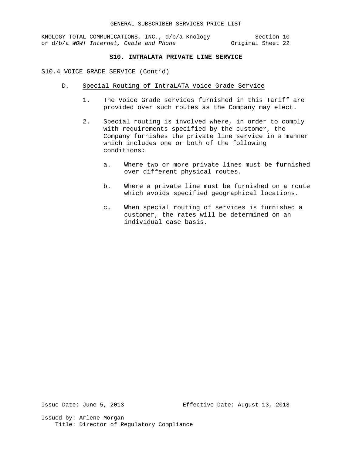# **S10. INTRALATA PRIVATE LINE SERVICE**

#### S10.4 VOICE GRADE SERVICE (Cont'd)

- D. Special Routing of IntraLATA Voice Grade Service
	- 1. The Voice Grade services furnished in this Tariff are provided over such routes as the Company may elect.
	- 2. Special routing is involved where, in order to comply with requirements specified by the customer, the Company furnishes the private line service in a manner which includes one or both of the following conditions:
		- a. Where two or more private lines must be furnished over different physical routes.
		- b. Where a private line must be furnished on a route which avoids specified geographical locations.
		- c. When special routing of services is furnished a customer, the rates will be determined on an individual case basis.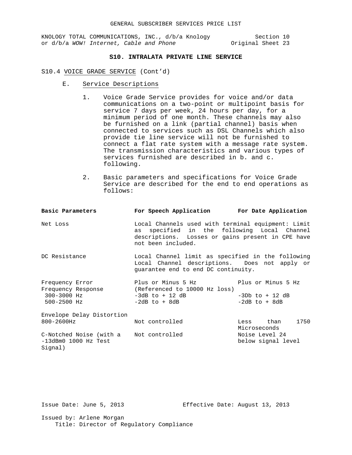## **S10. INTRALATA PRIVATE LINE SERVICE**

S10.4 VOICE GRADE SERVICE (Cont'd)

- E. Service Descriptions
	- 1. Voice Grade Service provides for voice and/or data communications on a two-point or multipoint basis for service 7 days per week, 24 hours per day, for a minimum period of one month. These channels may also be furnished on a link (partial channel) basis when connected to services such as DSL Channels which also provide tie line service will not be furnished to connect a flat rate system with a message rate system. The transmission characteristics and various types of services furnished are described in b. and c. following.
	- 2. Basic parameters and specifications for Voice Grade Service are described for the end to end operations as follows:

| Basic Parameters                                                            | For Speech Application 5 For Date Application                                                                                                                                   |                                                              |
|-----------------------------------------------------------------------------|---------------------------------------------------------------------------------------------------------------------------------------------------------------------------------|--------------------------------------------------------------|
| Net Loss                                                                    | Local Channels used with terminal equipment: Limit<br>specified in the following Local Channel<br>as<br>descriptions. Losses or gains present in CPE have<br>not been included. |                                                              |
| DC Resistance                                                               | Local Channel limit as specified in the following<br>Local Channel descriptions. Does not apply or<br>quarantee end to end DC continuity.                                       |                                                              |
| Frequency Error<br>300-3000 Hz<br>500-2500 Hz                               | Plus or Minus 5 Hz<br>Frequency Response (Referenced to 10000 Hz loss)<br>$-3dB$ to + 12 dB<br>-2dB to + 8dB                                                                    | Plus or Minus 5 Hz<br>$-3Db$ to $+12$ dB<br>$-2dB$ to $+8dB$ |
| Envelope Delay Distortion<br>800-2600Hz                                     | Not controlled                                                                                                                                                                  | Less than<br>1750<br>Microseconds                            |
| C-Notched Noise (with a Not controlled<br>$-13dBm0 1000 Hz Test$<br>Signal) |                                                                                                                                                                                 | Noise Level 24<br>below signal level                         |

Issue Date: June 5, 2013 Effective Date: August 13, 2013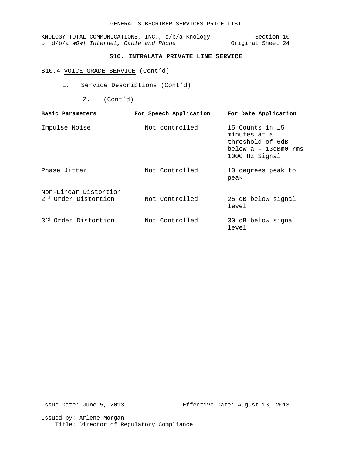|  | KNOLOGY TOTAL COMMUNICATIONS, INC., d/b/a Knology |  |  |                   | Section 10 |  |
|--|---------------------------------------------------|--|--|-------------------|------------|--|
|  | or d/b/a WOW! Internet, Cable and Phone           |  |  | Original Sheet 24 |            |  |

## **S10. INTRALATA PRIVATE LINE SERVICE**

# S10.4 VOICE GRADE SERVICE (Cont'd)

- E. Service Descriptions (Cont'd)
	- 2. (Cont'd)

| Basic Parameters                                          | For Speech Application | For Date Application                                                                          |
|-----------------------------------------------------------|------------------------|-----------------------------------------------------------------------------------------------|
| Impulse Noise                                             | Not controlled         | 15 Counts in 15<br>minutes at a<br>threshold of 6dB<br>below a - 13dBm0 rms<br>1000 Hz Signal |
| Phase Jitter                                              | Not Controlled         | 10 degrees peak to<br>peak                                                                    |
| Non-Linear Distortion<br>2 <sup>nd</sup> Order Distortion | Not Controlled         | 25 dB below signal<br>level                                                                   |
| 3rd Order Distortion                                      | Not Controlled         | 30 dB below signal<br>level                                                                   |

Issue Date: June 5, 2013 Effective Date: August 13, 2013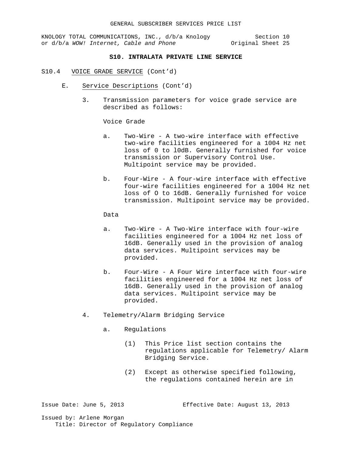KNOLOGY TOTAL COMMUNICATIONS, INC., d/b/a Knology Section 10<br>or d/b/a WOW! Internet, Cable and Phone original Sheet 25 or d/b/a WOW! Internet, Cable and Phone

## **S10. INTRALATA PRIVATE LINE SERVICE**

- S10.4 VOICE GRADE SERVICE (Cont'd)
	- E. Service Descriptions (Cont'd)
		- 3. Transmission parameters for voice grade service are described as follows:

Voice Grade

- a. Two-Wire A two-wire interface with effective two-wire facilities engineered for a 1004 Hz net loss of 0 to l0dB. Generally furnished for voice transmission or Supervisory Control Use. Multipoint service may be provided.
- b. Four-Wire A four-wire interface with effective four-wire facilities engineered for a 1004 Hz net loss of O to 16dB. Generally furnished for voice transmission. Multipoint service may be provided.

Data

- a. Two-Wire A Two-Wire interface with four-wire facilities engineered for a 1004 Hz net loss of 16dB. Generally used in the provision of analog data services. Multipoint services may be provided.
- b. Four-Wire A Four Wire interface with four-wire facilities engineered for a 1004 Hz net loss of 16dB. Generally used in the provision of analog data services. Multipoint service may be provided.
- 4. Telemetry/Alarm Bridging Service
	- a. Regulations
		- (1) This Price list section contains the regulations applicable for Telemetry/ Alarm Bridging Service.
		- (2) Except as otherwise specified following, the regulations contained herein are in

Issue Date: June 5, 2013 Effective Date: August 13, 2013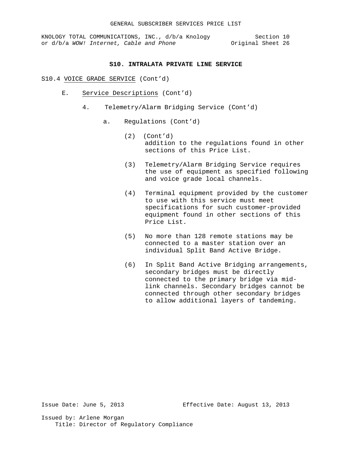#### **S10. INTRALATA PRIVATE LINE SERVICE**

S10.4 VOICE GRADE SERVICE (Cont'd)

- E. Service Descriptions (Cont'd)
	- 4. Telemetry/Alarm Bridging Service (Cont'd)
		- a. Regulations (Cont'd)
			- (2) (Cont'd) addition to the regulations found in other sections of this Price List.
			- (3) Telemetry/Alarm Bridging Service requires the use of equipment as specified following and voice grade local channels.
			- (4) Terminal equipment provided by the customer to use with this service must meet specifications for such customer-provided equipment found in other sections of this Price List.
			- (5) No more than 128 remote stations may be connected to a master station over an individual Split Band Active Bridge.
			- (6) In Split Band Active Bridging arrangements, secondary bridges must be directly connected to the primary bridge via midlink channels. Secondary bridges cannot be connected through other secondary bridges to allow additional layers of tandeming.

Issue Date: June 5, 2013 Effective Date: August 13, 2013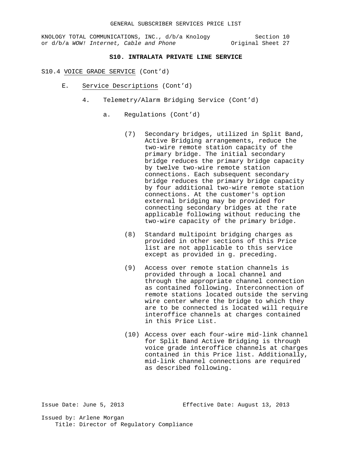# **S10. INTRALATA PRIVATE LINE SERVICE**

#### S10.4 VOICE GRADE SERVICE (Cont'd)

- E. Service Descriptions (Cont'd)
	- 4. Telemetry/Alarm Bridging Service (Cont'd)
		- a. Regulations (Cont'd)
			- (7) Secondary bridges, utilized in Split Band, Active Bridging arrangements, reduce the two-wire remote station capacity of the primary bridge. The initial secondary bridge reduces the primary bridge capacity by twelve two-wire remote station connections. Each subsequent secondary bridge reduces the primary bridge capacity by four additional two-wire remote station connections. At the customer's option external bridging may be provided for connecting secondary bridges at the rate applicable following without reducing the two-wire capacity of the primary bridge.
			- (8) Standard multipoint bridging charges as provided in other sections of this Price list are not applicable to this service except as provided in g. preceding.
			- (9) Access over remote station channels is provided through a local channel and through the appropriate channel connection as contained following. Interconnection of remote stations located outside the serving wire center where the bridge to which they are to be connected is located will require interoffice channels at charges contained in this Price List.
			- (10) Access over each four-wire mid-link channel for Split Band Active Bridging is through voice grade interoffice channels at charges contained in this Price list. Additionally, mid-link channel connections are required as described following.

Issue Date: June 5, 2013 Effective Date: August 13, 2013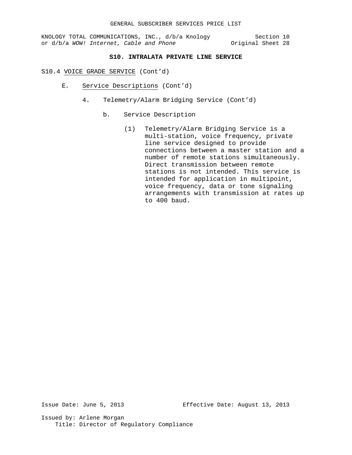# **S10. INTRALATA PRIVATE LINE SERVICE**

#### S10.4 VOICE GRADE SERVICE (Cont'd)

- E. Service Descriptions (Cont'd)
	- 4. Telemetry/Alarm Bridging Service (Cont'd)
		- b. Service Description
			- (1) Telemetry/Alarm Bridging Service is a multi-station, voice frequency, private line service designed to provide connections between a master station and a number of remote stations simultaneously. Direct transmission between remote stations is not intended. This service is intended for application in multipoint, voice frequency, data or tone signaling arrangements with transmission at rates up to 400 baud.

Issue Date: June 5, 2013 Effective Date: August 13, 2013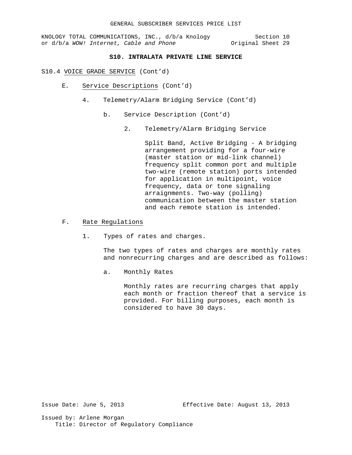# **S10. INTRALATA PRIVATE LINE SERVICE**

#### S10.4 VOICE GRADE SERVICE (Cont'd)

- E. Service Descriptions (Cont'd)
	- 4. Telemetry/Alarm Bridging Service (Cont'd)
		- b. Service Description (Cont'd)
			- 2. Telemetry/Alarm Bridging Service

Split Band, Active Bridging - A bridging arrangement providing for a four-wire (master station or mid-link channel) frequency split common port and multiple two-wire (remote station) ports intended for application in multipoint, voice frequency, data or tone signaling arraignments. Two-way (polling) communication between the master station and each remote station is intended.

- F. Rate Regulations
	- 1. Types of rates and charges.

The two types of rates and charges are monthly rates and nonrecurring charges and are described as follows:

a. Monthly Rates

Monthly rates are recurring charges that apply each month or fraction thereof that a service is provided. For billing purposes, each month is considered to have 30 days.

Issue Date: June 5, 2013 Effective Date: August 13, 2013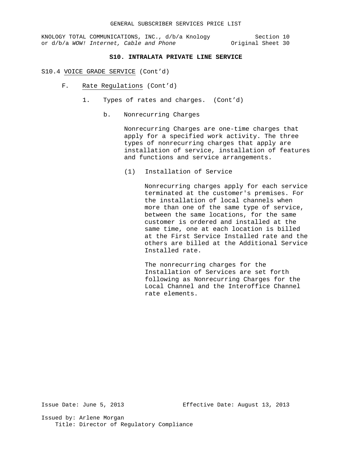KNOLOGY TOTAL COMMUNICATIONS, INC., d/b/a Knology Section 10<br>or d/b/a WOW! Internet, Cable and Phone 0riginal Sheet 30 or d/b/a WOW! Internet, Cable and Phone

## **S10. INTRALATA PRIVATE LINE SERVICE**

#### S10.4 VOICE GRADE SERVICE (Cont'd)

- F. Rate Regulations (Cont'd)
	- 1. Types of rates and charges. (Cont'd)
		- b. Nonrecurring Charges

Nonrecurring Charges are one-time charges that apply for a specified work activity. The three types of nonrecurring charges that apply are installation of service, installation of features and functions and service arrangements.

(1) Installation of Service

Nonrecurring charges apply for each service terminated at the customer's premises. For the installation of local channels when more than one of the same type of service, between the same locations, for the same customer is ordered and installed at the same time, one at each location is billed at the First Service Installed rate and the others are billed at the Additional Service Installed rate.

The nonrecurring charges for the Installation of Services are set forth following as Nonrecurring Charges for the Local Channel and the Interoffice Channel rate elements.

Issue Date: June 5, 2013 Effective Date: August 13, 2013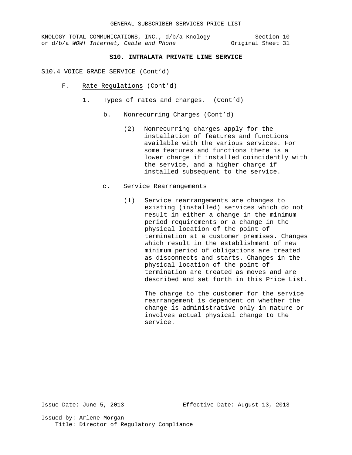KNOLOGY TOTAL COMMUNICATIONS, INC., d/b/a Knology Section 10<br>or d/b/a WOW! Internet, Cable and Phone (1999) Section 11 or d/b/a WOW! Internet, Cable and Phone

# **S10. INTRALATA PRIVATE LINE SERVICE**

#### S10.4 VOICE GRADE SERVICE (Cont'd)

- F. Rate Regulations (Cont'd)
	- 1. Types of rates and charges. (Cont'd)
		- b. Nonrecurring Charges (Cont'd)
			- (2) Nonrecurring charges apply for the installation of features and functions available with the various services. For some features and functions there is a lower charge if installed coincidently with the service, and a higher charge if installed subsequent to the service.
		- c. Service Rearrangements
			- (1) Service rearrangements are changes to existing (installed) services which do not result in either a change in the minimum period requirements or a change in the physical location of the point of termination at a customer premises. Changes which result in the establishment of new minimum period of obligations are treated as disconnects and starts. Changes in the physical location of the point of termination are treated as moves and are described and set forth in this Price List.

The charge to the customer for the service rearrangement is dependent on whether the change is administrative only in nature or involves actual physical change to the service.

Issue Date: June 5, 2013 Effective Date: August 13, 2013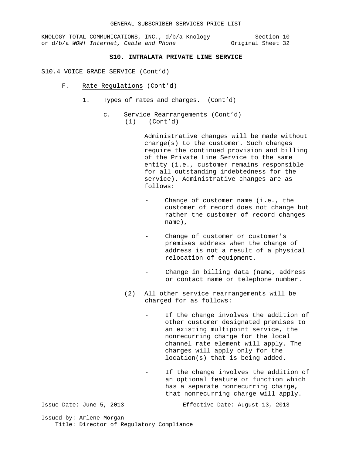KNOLOGY TOTAL COMMUNICATIONS, INC., d/b/a Knology Section 10<br>or d/b/a WOW! Internet, Cable and Phone (32) or d/b/a WOW! Internet, Cable and Phone

# **S10. INTRALATA PRIVATE LINE SERVICE**

#### S10.4 VOICE GRADE SERVICE (Cont'd)

- F. Rate Regulations (Cont'd)
	- 1. Types of rates and charges. (Cont'd)
		- c. Service Rearrangements (Cont'd) (1) (Cont'd)

Administrative changes will be made without charge(s) to the customer. Such changes require the continued provision and billing of the Private Line Service to the same entity (i.e., customer remains responsible for all outstanding indebtedness for the service). Administrative changes are as follows:

- Change of customer name (i.e., the customer of record does not change but rather the customer of record changes name),
- Change of customer or customer's premises address when the change of address is not a result of a physical relocation of equipment.
- Change in billing data (name, address or contact name or telephone number.
- (2) All other service rearrangements will be charged for as follows:
	- If the change involves the addition of other customer designated premises to an existing multipoint service, the nonrecurring charge for the local channel rate element will apply. The charges will apply only for the location(s) that is being added.
	- If the change involves the addition of an optional feature or function which has a separate nonrecurring charge, that nonrecurring charge will apply.

Issue Date: June 5, 2013 Effective Date: August 13, 2013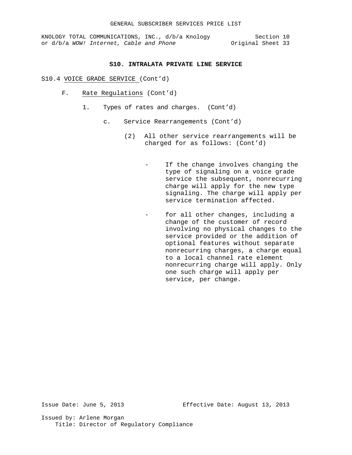#### **S10. INTRALATA PRIVATE LINE SERVICE**

S10.4 VOICE GRADE SERVICE (Cont'd)

- F. Rate Regulations (Cont'd)
	- 1. Types of rates and charges. (Cont'd)
		- c. Service Rearrangements (Cont'd)
			- (2) All other service rearrangements will be charged for as follows: (Cont'd)
				- If the change involves changing the type of signaling on a voice grade service the subsequent, nonrecurring charge will apply for the new type signaling. The charge will apply per service termination affected.
				- for all other changes, including a change of the customer of record involving no physical changes to the service provided or the addition of optional features without separate nonrecurring charges, a charge equal to a local channel rate element nonrecurring charge will apply. Only one such charge will apply per service, per change.

Issue Date: June 5, 2013 Effective Date: August 13, 2013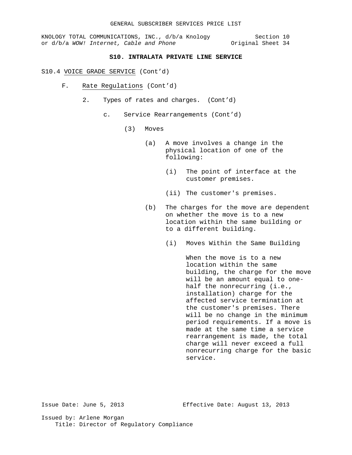KNOLOGY TOTAL COMMUNICATIONS, INC., d/b/a Knology Section 10<br>or d/b/a WOW! Internet, Cable and Phone (34) Original Sheet 34 or d/b/a WOW! Internet, Cable and Phone

## **S10. INTRALATA PRIVATE LINE SERVICE**

#### S10.4 VOICE GRADE SERVICE (Cont'd)

- F. Rate Regulations (Cont'd)
	- 2. Types of rates and charges. (Cont'd)
		- c. Service Rearrangements (Cont'd)
			- (3) Moves
				- (a) A move involves a change in the physical location of one of the following:
					- (i) The point of interface at the customer premises.
					- (ii) The customer's premises.
				- (b) The charges for the move are dependent on whether the move is to a new location within the same building or to a different building.
					- (i) Moves Within the Same Building

When the move is to a new location within the same building, the charge for the move will be an amount equal to onehalf the nonrecurring (i.e., installation) charge for the affected service termination at the customer's premises. There will be no change in the minimum period requirements. If a move is made at the same time a service rearrangement is made, the total charge will never exceed a full nonrecurring charge for the basic service.

Issue Date: June 5, 2013 Effective Date: August 13, 2013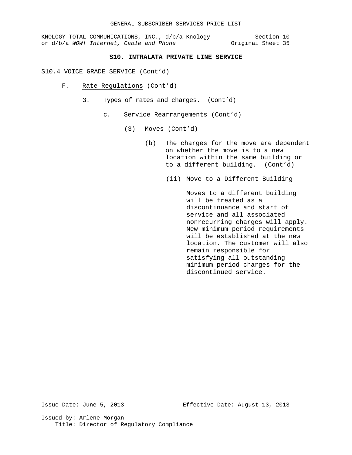KNOLOGY TOTAL COMMUNICATIONS, INC., d/b/a Knology Section 10<br>or d/b/a WOW! Internet, Cable and Phone original Sheet 35 or d/b/a WOW! Internet, Cable and Phone

# **S10. INTRALATA PRIVATE LINE SERVICE**

#### S10.4 VOICE GRADE SERVICE (Cont'd)

- F. Rate Regulations (Cont'd)
	- 3. Types of rates and charges. (Cont'd)
		- c. Service Rearrangements (Cont'd)
			- (3) Moves (Cont'd)
				- (b) The charges for the move are dependent on whether the move is to a new location within the same building or to a different building. (Cont'd)
					- (ii) Move to a Different Building

Moves to a different building will be treated as a discontinuance and start of service and all associated nonrecurring charges will apply. New minimum period requirements will be established at the new location. The customer will also remain responsible for satisfying all outstanding minimum period charges for the discontinued service.

Issue Date: June 5, 2013 Effective Date: August 13, 2013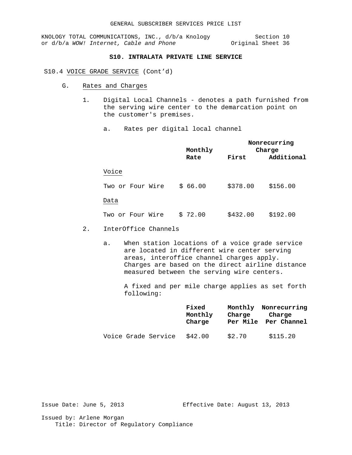## **S10. INTRALATA PRIVATE LINE SERVICE**

S10.4 VOICE GRADE SERVICE (Cont'd)

- G. Rates and Charges
	- 1. Digital Local Channels denotes a path furnished from the serving wire center to the demarcation point on the customer's premises.
		- a. Rates per digital local channel

|                  | Nonrecurring<br>Monthly<br>Charge |          |            |  |
|------------------|-----------------------------------|----------|------------|--|
|                  | Rate                              | First    | Additional |  |
| Voice            |                                   |          |            |  |
| Two or Four Wire | \$66.00                           | \$378.00 | \$156.00   |  |
| Data             |                                   |          |            |  |
| Two or Four Wire | \$72.00                           | \$432.00 | \$192.00   |  |

- 2. InterOffice Channels
	- a. When station locations of a voice grade service are located in different wire center serving areas, interoffice channel charges apply. Charges are based on the direct airline distance measured between the serving wire centers.

A fixed and per mile charge applies as set forth following:

|                     | Fixed<br>Monthly<br>Charge | Monthly<br>Charge | Per Mile | Nonrecurring<br>Charge<br>Per Channel |
|---------------------|----------------------------|-------------------|----------|---------------------------------------|
| Voice Grade Service | \$42.00                    | \$2.70            |          | \$115.20                              |

Issue Date: June 5, 2013 Effective Date: August 13, 2013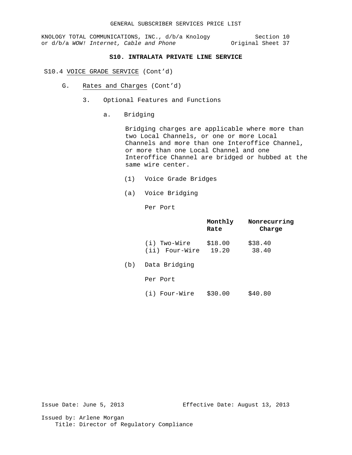## **S10. INTRALATA PRIVATE LINE SERVICE**

#### S10.4 VOICE GRADE SERVICE (Cont'd)

- G. Rates and Charges (Cont'd)
	- 3. Optional Features and Functions
		- a. Bridging

Bridging charges are applicable where more than two Local Channels, or one or more Local Channels and more than one Interoffice Channel, or more than one Local Channel and one Interoffice Channel are bridged or hubbed at the same wire center.

- (1) Voice Grade Bridges
- (a) Voice Bridging

Per Port

|                | Monthly<br>Rate | Nonrecurring<br>Charge |
|----------------|-----------------|------------------------|
| $(i)$ Two-Wire | \$18.00         | \$38.40                |
| (ii) Four-Wire | 19.20           | 38.40                  |
| naka Industria |                 |                        |

- (b) Data Bridging
	- Per Port
	- (i) Four-Wire \$30.00 \$40.80

Issue Date: June 5, 2013 Effective Date: August 13, 2013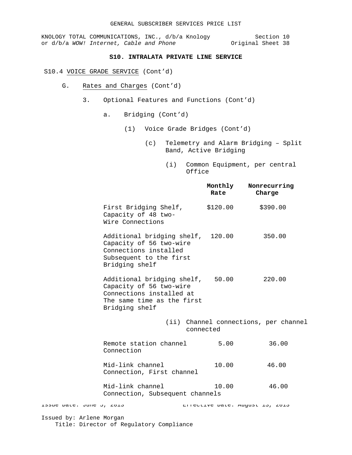KNOLOGY TOTAL COMMUNICATIONS, INC., d/b/a Knology Section 10<br>38 or d/b/a WOW! Internet, Cable and Phone original Sheet or d/b/a WOW! Internet, Cable and Phone

## **S10. INTRALATA PRIVATE LINE SERVICE**

## S10.4 VOICE GRADE SERVICE (Cont'd)

- G. Rates and Charges (Cont'd)
	- 3. Optional Features and Functions (Cont'd)
		- a. Bridging (Cont'd)
			- (1) Voice Grade Bridges (Cont'd)
				- (c) Telemetry and Alarm Bridging Split Band, Active Bridging
					- (i) Common Equipment, per central Office

|                           |                                                                                                                                         | Monthly<br>Rate                 | Nonrecurring<br>Charge                |
|---------------------------|-----------------------------------------------------------------------------------------------------------------------------------------|---------------------------------|---------------------------------------|
|                           | First Bridging Shelf,<br>Capacity of 48 two-<br>Wire Connections                                                                        | \$120.00                        | \$390.00                              |
|                           | Additional bridging shelf, 120.00<br>Capacity of 56 two-wire<br>Connections installed<br>Subsequent to the first<br>Bridging shelf      |                                 | 350.00                                |
|                           | Additional bridging shelf, 50.00<br>Capacity of 56 two-wire<br>Connections installed at<br>The same time as the first<br>Bridging shelf |                                 | 220.00                                |
|                           |                                                                                                                                         | connected                       | (ii) Channel connections, per channel |
|                           | Remote station channel 5.00<br>Connection                                                                                               |                                 | 36.00                                 |
|                           | Mid-link channel<br>Connection, First channel                                                                                           | 10.00                           | 46.00                                 |
|                           | Mid-link channel<br>Connection, Subsequent channels                                                                                     | 10.00                           | 46.00                                 |
| ISSUE Date, Julie 0, 2015 |                                                                                                                                         | ELLECLIVE Date. August 10, 2010 |                                       |
| Issued by: Arlene Morgan  |                                                                                                                                         |                                 |                                       |

Title: Director of Regulatory Compliance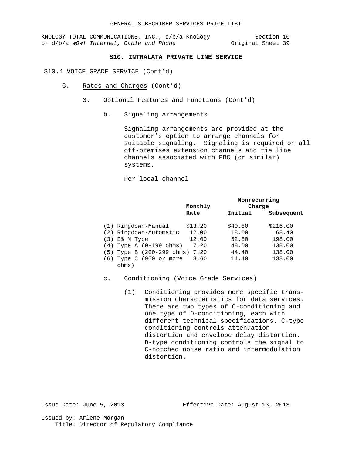## **S10. INTRALATA PRIVATE LINE SERVICE**

#### S10.4 VOICE GRADE SERVICE (Cont'd)

- G. Rates and Charges (Cont'd)
	- 3. Optional Features and Functions (Cont'd)
		- b. Signaling Arrangements

Signaling arrangements are provided at the customer's option to arrange channels for suitable signaling. Signaling is required on all off-premises extension channels and tie line channels associated with PBC (or similar) systems.

Per local channel

|                                | Nonrecurring      |         |            |  |
|--------------------------------|-------------------|---------|------------|--|
|                                | Charge<br>Monthly |         |            |  |
|                                | Rate              | Initial | Subsequent |  |
|                                |                   |         |            |  |
| (1) Ringdown-Manual            | \$13.20           | \$40.80 | \$216.00   |  |
| (2) Ringdown-Automatic         | 12.00             | 18.00   | 68.40      |  |
| $(3)$ E& M Type                | 12.00             | 52.80   | 198.00     |  |
| $(4)$ Type A $(0-199$ ohms)    | 7.20              | 48.00   | 138.00     |  |
| $(5)$ Type B $(200-299)$ ohms) | 7.20              | 44.40   | 138.00     |  |
| $(6)$ Type C $(900$ or more    | 3.60              | 14.40   | 138.00     |  |
| ohms)                          |                   |         |            |  |

## c. Conditioning (Voice Grade Services)

(1) Conditioning provides more specific transmission characteristics for data services. There are two types of C-conditioning and one type of D-conditioning, each with different technical specifications. C-type conditioning controls attenuation distortion and envelope delay distortion. D-type conditioning controls the signal to C-notched noise ratio and intermodulation distortion.

Issue Date: June 5, 2013 Effective Date: August 13, 2013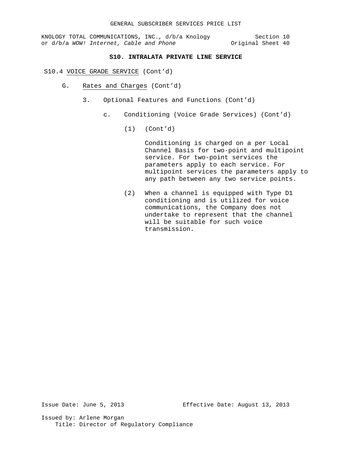## **S10. INTRALATA PRIVATE LINE SERVICE**

#### S10.4 VOICE GRADE SERVICE (Cont'd)

- G. Rates and Charges (Cont'd)
	- 3. Optional Features and Functions (Cont'd)
		- c. Conditioning (Voice Grade Services) (Cont'd)
			- (1) (Cont'd)

Conditioning is charged on a per Local Channel Basis for two-point and multipoint service. For two-point services the parameters apply to each service. For multipoint services the parameters apply to any path between any two service points.

(2) When a channel is equipped with Type D1 conditioning and is utilized for voice communications, the Company does not undertake to represent that the channel will be suitable for such voice transmission.

Issue Date: June 5, 2013 Effective Date: August 13, 2013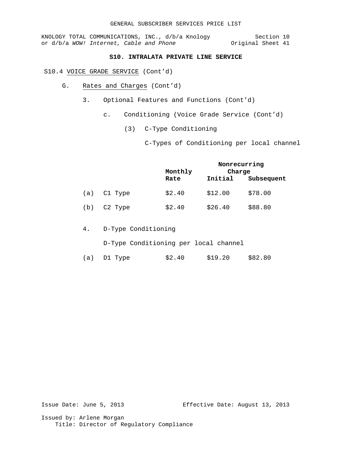## **S10. INTRALATA PRIVATE LINE SERVICE**

## S10.4 VOICE GRADE SERVICE (Cont'd)

- G. Rates and Charges (Cont'd)
	- 3. Optional Features and Functions (Cont'd)
		- c. Conditioning (Voice Grade Service (Cont'd)
			- (3) C-Type Conditioning

C-Types of Conditioning per local channel

|     |         | Monthly | Nonrecurring<br>Charge |            |  |  |
|-----|---------|---------|------------------------|------------|--|--|
|     |         | Rate    | Initial                | Subsequent |  |  |
| (a) | C1 Type | \$2.40  | \$12.00                | \$78.00    |  |  |
| (b) | C2 Type | \$2.40  | \$26.40                | \$88.80    |  |  |

4. D-Type Conditioning

D-Type Conditioning per local channel

(a) D1 Type \$2.40 \$19.20 \$82.80

Issue Date: June 5, 2013 Effective Date: August 13, 2013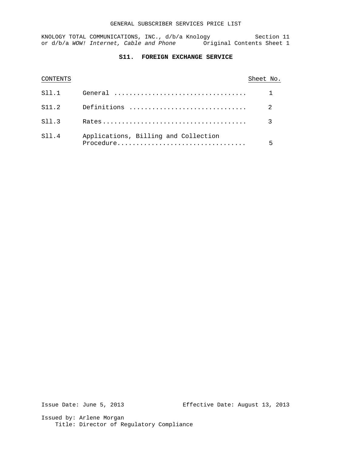## GENERAL SUBSCRIBER SERVICES PRICE LIST

KNOLOGY TOTAL COMMUNICATIONS, INC., d/b/a Knology Section 11 or d/b/a WOW! Internet, Cable and Phone **Original Contents Sheet 1** 

# **S11. FOREIGN EXCHANGE SERVICE**

| CONTENTS |                                                   | Sheet No. |   |
|----------|---------------------------------------------------|-----------|---|
| S11.1    |                                                   |           |   |
| S11.2    | Definitions                                       |           | 2 |
| S11.3    |                                                   |           |   |
| S11.4    | Applications, Billing and Collection<br>Procedure |           | 5 |

Issue Date: June 5, 2013 Effective Date: August 13, 2013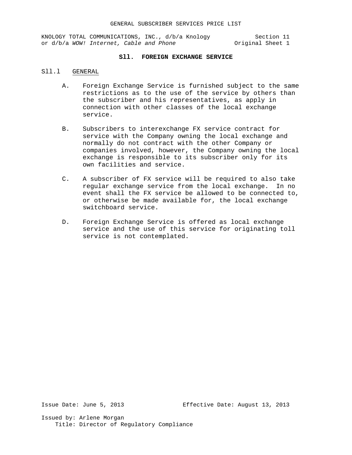KNOLOGY TOTAL COMMUNICATIONS, INC., d/b/a Knology Section 11<br>or d/b/a WOW! Internet, Cable and Phone (Original Sheet 1 or d/b/a WOW! Internet, Cable and Phone

# **Sll. FOREIGN EXCHANGE SERVICE**

## Sll.l GENERAL

- A. Foreign Exchange Service is furnished subject to the same restrictions as to the use of the service by others than the subscriber and his representatives, as apply in connection with other classes of the local exchange service.
- B. Subscribers to interexchange FX service contract for service with the Company owning the local exchange and normally do not contract with the other Company or companies involved, however, the Company owning the local exchange is responsible to its subscriber only for its own facilities and service.
- C. A subscriber of FX service will be required to also take regular exchange service from the local exchange. In no event shall the FX service be allowed to be connected to, or otherwise be made available for, the local exchange switchboard service.
- D. Foreign Exchange Service is offered as local exchange service and the use of this service for originating toll service is not contemplated.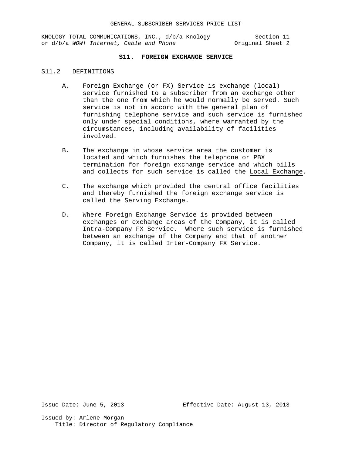KNOLOGY TOTAL COMMUNICATIONS, INC., d/b/a Knology Section 11<br>or d/b/a WOW! Internet, Cable and Phone (Original Sheet 2 or d/b/a WOW! Internet, Cable and Phone

# **S11. FOREIGN EXCHANGE SERVICE**

### S11.2 DEFINITIONS

- A. Foreign Exchange (or FX) Service is exchange (local) service furnished to a subscriber from an exchange other than the one from which he would normally be served. Such service is not in accord with the general plan of furnishing telephone service and such service is furnished only under special conditions, where warranted by the circumstances, including availability of facilities involved.
- B. The exchange in whose service area the customer is located and which furnishes the telephone or PBX termination for foreign exchange service and which bills and collects for such service is called the Local Exchange.
- C. The exchange which provided the central office facilities and thereby furnished the foreign exchange service is called the Serving Exchange.
- D. Where Foreign Exchange Service is provided between exchanges or exchange areas of the Company, it is called Intra-Company FX Service. Where such service is furnished between an exchange of the Company and that of another Company, it is called Inter-Company FX Service.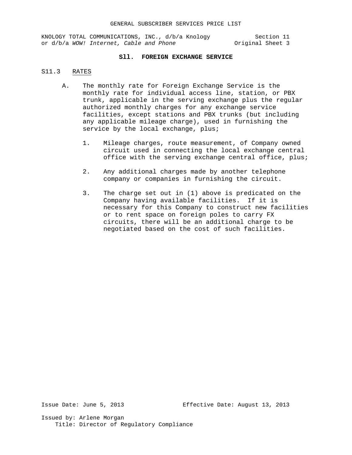KNOLOGY TOTAL COMMUNICATIONS, INC., d/b/a Knology Section 11<br>or d/b/a WOW! Internet, Cable and Phone 0riginal Sheet 3 or d/b/a WOW! Internet, Cable and Phone

## **Sll. FOREIGN EXCHANGE SERVICE**

## S11.3 RATES

- A. The monthly rate for Foreign Exchange Service is the monthly rate for individual access line, station, or PBX trunk, applicable in the serving exchange plus the regular authorized monthly charges for any exchange service facilities, except stations and PBX trunks (but including any applicable mileage charge), used in furnishing the service by the local exchange, plus;
	- 1. Mileage charges, route measurement, of Company owned circuit used in connecting the local exchange central office with the serving exchange central office, plus;
	- 2. Any additional charges made by another telephone company or companies in furnishing the circuit.
	- 3. The charge set out in (1) above is predicated on the Company having available facilities. If it is necessary for this Company to construct new facilities or to rent space on foreign poles to carry FX circuits, there will be an additional charge to be negotiated based on the cost of such facilities.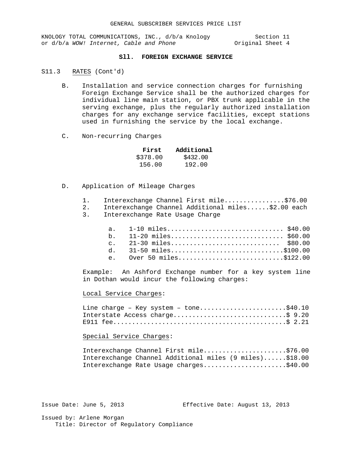KNOLOGY TOTAL COMMUNICATIONS, INC., d/b/a Knology Section 11<br>or d/b/a WOW! Internet, Cable and Phone (Original Sheet 4 or d/b/a WOW! Internet, Cable and Phone

# **Sll. FOREIGN EXCHANGE SERVICE**

- S11.3 RATES (Cont'd)
	- B. Installation and service connection charges for furnishing Foreign Exchange Service shall be the authorized charges for individual line main station, or PBX trunk applicable in the serving exchange, plus the regularly authorized installation charges for any exchange service facilities, except stations used in furnishing the service by the local exchange.
	- C. Non-recurring Charges

| First    | Additional |
|----------|------------|
| \$378.00 | \$432.00   |
| 156.00   | 192.00     |

- D. Application of Mileage Charges
	- 1. Interexchange Channel First mile................\$76.00<br>2. Interexchange Channel Additional miles.....\$2.00 each
	- 2. Interexchange Channel Additional miles......\$2.00 each
	- Interexchange Rate Usage Charge

| c. 21-30 miles \$80.00   |
|--------------------------|
| d. $31-50$ miles\$100.00 |
| e. Over 50 miles\$122.00 |
|                          |

Example: An Ashford Exchange number for a key system line in Dothan would incur the following charges:

## Local Service Charges:

|  |  | Line charge - Key system - tone\$40.10 |  |  |  |  |  |  |  |  |  |
|--|--|----------------------------------------|--|--|--|--|--|--|--|--|--|
|  |  | Interstate Access charge\$ 9.20        |  |  |  |  |  |  |  |  |  |
|  |  |                                        |  |  |  |  |  |  |  |  |  |

Special Service Charges:

| Interexchange Channel First mile\$76.00                 |  |  |  |  |  |
|---------------------------------------------------------|--|--|--|--|--|
| Interexchange Channel Additional miles (9 miles)\$18.00 |  |  |  |  |  |
| Interexchange Rate Usage charges\$40.00                 |  |  |  |  |  |

Issue Date: June 5, 2013 Effective Date: August 13, 2013 Issued by: Arlene Morgan

Title: Director of Regulatory Compliance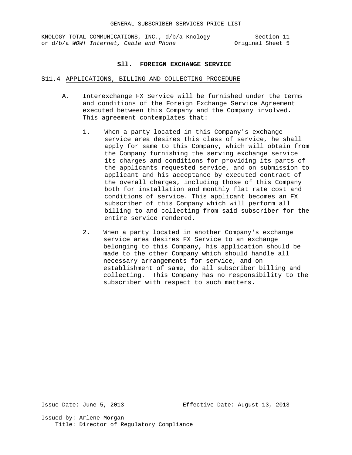#### **Sll. FOREIGN EXCHANGE SERVICE**

## S11.4 APPLICATIONS, BILLING AND COLLECTING PROCEDURE

- A. Interexchange FX Service will be furnished under the terms and conditions of the Foreign Exchange Service Agreement executed between this Company and the Company involved. This agreement contemplates that:
	- 1. When a party located in this Company's exchange service area desires this class of service, he shall apply for same to this Company, which will obtain from the Company furnishing the serving exchange service its charges and conditions for providing its parts of the applicants requested service, and on submission to applicant and his acceptance by executed contract of the overall charges, including those of this Company both for installation and monthly flat rate cost and conditions of service. This applicant becomes an FX subscriber of this Company which will perform all billing to and collecting from said subscriber for the entire service rendered.
	- 2. When a party located in another Company's exchange service area desires FX Service to an exchange belonging to this Company, his application should be made to the other Company which should handle all necessary arrangements for service, and on establishment of same, do all subscriber billing and collecting. This Company has no responsibility to the subscriber with respect to such matters.

Issue Date: June 5, 2013 Effective Date: August 13, 2013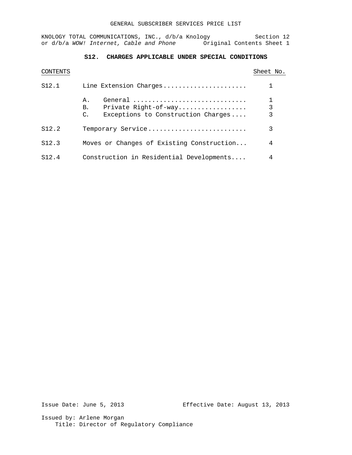## GENERAL SUBSCRIBER SERVICES PRICE LIST

KNOLOGY TOTAL COMMUNICATIONS, INC., d/b/a Knology Section 12 or d/b/a WOW! Internet, Cable and Phone **Original Contents Sheet 1** 

# **S12. CHARGES APPLICABLE UNDER SPECIAL CONDITIONS**

| CONTENTS |                                                                                                     | Sheet No. |
|----------|-----------------------------------------------------------------------------------------------------|-----------|
| S12.1    | Line Extension Charges                                                                              |           |
|          | General<br>Α.<br>Private Right-of-way<br>В.<br>Exceptions to Construction Charges<br>$\mathsf{C}$ . | 3<br>3    |
| S12.2    | Temporary Service                                                                                   | 3         |
| S12.3    | Moves or Changes of Existing Construction                                                           | 4         |
| S12.4    | Construction in Residential Developments                                                            | 4         |

Issue Date: June 5, 2013 Effective Date: August 13, 2013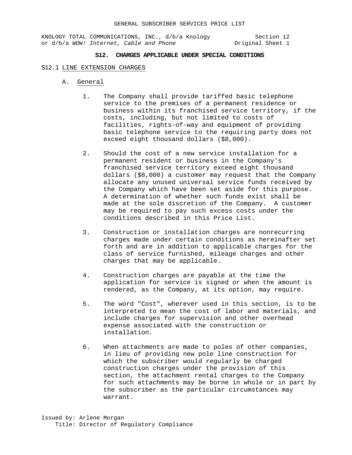KNOLOGY TOTAL COMMUNICATIONS, INC., d/b/a Knology Section 12<br>or d/b/a WOW! Internet, Cable and Phone (Original Sheet 1 or d/b/a WOW! Internet, Cable and Phone

## **S12. CHARGES APPLICABLE UNDER SPECIAL CONDITIONS**

#### S12.1 LINE EXTENSION CHARGES

- A. General
	- 1. The Company shall provide tariffed basic telephone service to the premises of a permanent residence or business within its franchised service territory, if the costs, including, but not limited to costs of facilities, rights-of-way and equipment of providing basic telephone service to the requiring party does not exceed eight thousand dollars (\$8,000).
	- 2. Should the cost of a new service installation for a permanent resident or business in the Company's franchised service territory exceed eight thousand dollars (\$8,000) a customer may request that the Company allocate any unused universal service funds received by the Company which have been set aside for this purpose. A determination of whether such funds exist shall be made at the sole discretion of the Company. A customer may be required to pay such excess costs under the conditions described in this Price List.
	- 3. Construction or installation charges are nonrecurring charges made under certain conditions as hereinafter set forth and are in addition to applicable charges for the class of service furnished, mileage charges and other charges that may be applicable.
	- 4. Construction charges are payable at the time the application for service is signed or when the amount is rendered, as the Company, at its option, may require.
	- 5. The word "Cost", wherever used in this section, is to be interpreted to mean the cost of labor and materials, and include charges for supervision and other overhead expense associated with the construction or installation.
	- 6. When attachments are made to poles of other companies, in lieu of providing new pole line construction for which the subscriber would regularly be charged construction charges under the provision of this section, the attachment rental charges to the Company for such attachments may be borne in whole or in part by the subscriber as the particular circumstances may warrant.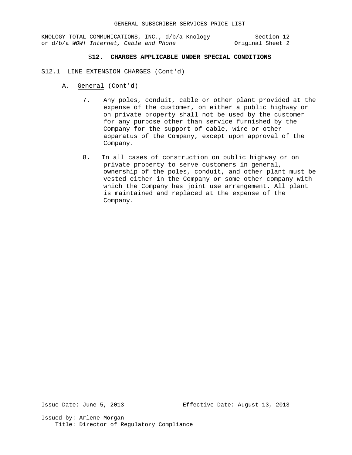## S**12. CHARGES APPLICABLE UNDER SPECIAL CONDITIONS**

- S12.1 LINE EXTENSION CHARGES (Cont'd)
	- A. General (Cont'd)
		- 7. Any poles, conduit, cable or other plant provided at the expense of the customer, on either a public highway or on private property shall not be used by the customer for any purpose other than service furnished by the Company for the support of cable, wire or other apparatus of the Company, except upon approval of the Company.
		- 8. In all cases of construction on public highway or on private property to serve customers in general, ownership of the poles, conduit, and other plant must be vested either in the Company or some other company with which the Company has joint use arrangement. All plant is maintained and replaced at the expense of the Company.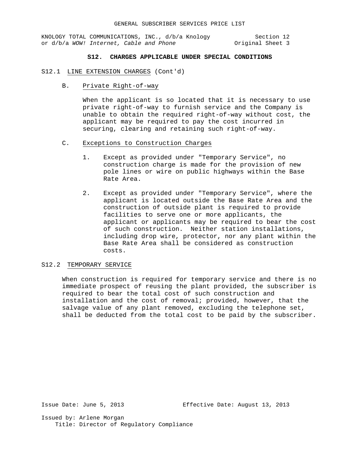# **S12. CHARGES APPLICABLE UNDER SPECIAL CONDITIONS**

- S12.1 LINE EXTENSION CHARGES (Cont'd)
	- B. Private Right-of-way

When the applicant is so located that it is necessary to use private right-of-way to furnish service and the Company is unable to obtain the required right-of-way without cost, the applicant may be required to pay the cost incurred in securing, clearing and retaining such right-of-way.

- C. Exceptions to Construction Charges
	- 1. Except as provided under "Temporary Service", no construction charge is made for the provision of new pole lines or wire on public highways within the Base Rate Area.
	- 2. Except as provided under "Temporary Service", where the applicant is located outside the Base Rate Area and the construction of outside plant is required to provide facilities to serve one or more applicants, the applicant or applicants may be required to bear the cost of such construction. Neither station installations, including drop wire, protector, nor any plant within the Base Rate Area shall be considered as construction costs.

## S12.2 TEMPORARY SERVICE

When construction is required for temporary service and there is no immediate prospect of reusing the plant provided, the subscriber is required to bear the total cost of such construction and installation and the cost of removal; provided, however, that the salvage value of any plant removed, excluding the telephone set, shall be deducted from the total cost to be paid by the subscriber.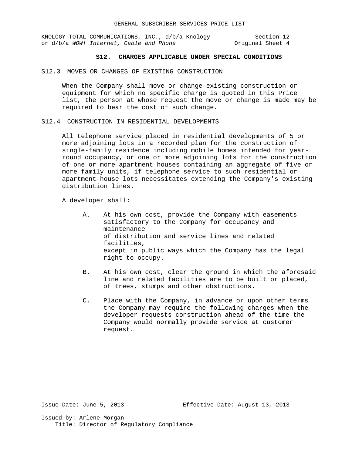## **S12. CHARGES APPLICABLE UNDER SPECIAL CONDITIONS**

#### S12.3 MOVES OR CHANGES OF EXISTING CONSTRUCTION

When the Company shall move or change existing construction or equipment for which no specific charge is quoted in this Price list, the person at whose request the move or change is made may be required to bear the cost of such change.

## S12.4 CONSTRUCTION IN RESIDENTIAL DEVELOPMENTS

All telephone service placed in residential developments of 5 or more adjoining lots in a recorded plan for the construction of single-family residence including mobile homes intended for yearround occupancy, or one or more adjoining lots for the construction of one or more apartment houses containing an aggregate of five or more family units, if telephone service to such residential or apartment house lots necessitates extending the Company's existing distribution lines.

A developer shall:

- A. At his own cost, provide the Company with easements satisfactory to the Company for occupancy and maintenance of distribution and service lines and related facilities, except in public ways which the Company has the legal right to occupy.
- B. At his own cost, clear the ground in which the aforesaid line and related facilities are to be built or placed, of trees, stumps and other obstructions.
- C. Place with the Company, in advance or upon other terms the Company may require the following charges when the developer requests construction ahead of the time the Company would normally provide service at customer request.

Issue Date: June 5, 2013 Effective Date: August 13, 2013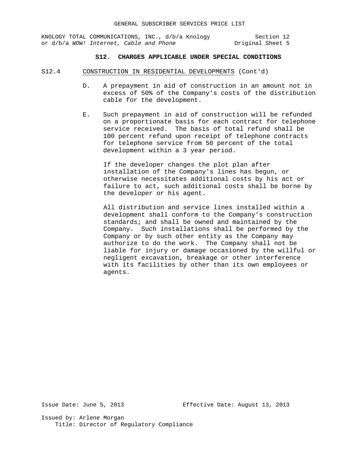## **S12. CHARGES APPLICABLE UNDER SPECIAL CONDITIONS**

- S12.4 CONSTRUCTION IN RESIDENTIAL DEVELOPMENTS (Cont'd)
	- D. A prepayment in aid of construction in an amount not in excess of 50% of the Company's costs of the distribution cable for the development.
	- E. Such prepayment in aid of construction will be refunded on a proportionate basis for each contract for telephone service received. The basis of total refund shall be 100 percent refund upon receipt of telephone contracts for telephone service from 50 percent of the total development within a 3 year period.

If the developer changes the plot plan after installation of the Company's lines has begun, or otherwise necessitates additional costs by his act or failure to act, such additional costs shall be borne by the developer or his agent.

All distribution and service lines installed within a development shall conform to the Company's construction standards; and shall be owned and maintained by the Company. Such installations shall be performed by the Company or by such other entity as the Company may authorize to do the work. The Company shall not be liable for injury or damage occasioned by the willful or negligent excavation, breakage or other interference with its facilities by other than its own employees or agents.

Issue Date: June 5, 2013 Effective Date: August 13, 2013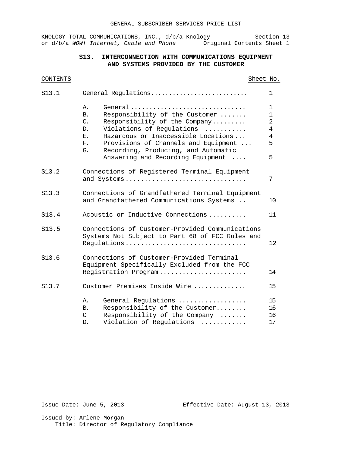# **S13. INTERCONNECTION WITH COMMUNICATIONS EQUIPMENT AND SYSTEMS PROVIDED BY THE CUSTOMER**

# CONTENTS Sheet No.

| S13.1 | General Regulations                                                                                                                                                                                                                                                                                                            |                                                         |  |  |  |  |  |  |  |
|-------|--------------------------------------------------------------------------------------------------------------------------------------------------------------------------------------------------------------------------------------------------------------------------------------------------------------------------------|---------------------------------------------------------|--|--|--|--|--|--|--|
|       | General<br>Α.<br>Responsibility of the Customer<br><b>B.</b><br>$C_{\bullet}$<br>Responsibility of the Company<br>Violations of Regulations<br>D.<br>Hazardous or Inaccessible Locations<br>Ε.<br>F.<br>Provisions of Channels and Equipment<br>Recording, Producing, and Automatic<br>G.<br>Answering and Recording Equipment | 1<br>$\mathbf{1}$<br>$\overline{2}$<br>4<br>4<br>5<br>5 |  |  |  |  |  |  |  |
| S13.2 | Connections of Registered Terminal Equipment<br>7<br>and Systems                                                                                                                                                                                                                                                               |                                                         |  |  |  |  |  |  |  |
| S13.3 | Connections of Grandfathered Terminal Equipment<br>and Grandfathered Communications Systems<br>10                                                                                                                                                                                                                              |                                                         |  |  |  |  |  |  |  |
| S13.4 | Acoustic or Inductive Connections<br>11                                                                                                                                                                                                                                                                                        |                                                         |  |  |  |  |  |  |  |
| S13.5 | Connections of Customer-Provided Communications<br>Systems Not Subject to Part 68 of FCC Rules and<br>Requlations<br>12                                                                                                                                                                                                        |                                                         |  |  |  |  |  |  |  |
| S13.6 | Connections of Customer-Provided Terminal<br>Equipment Specifically Excluded from the FCC<br>Registration Program<br>14                                                                                                                                                                                                        |                                                         |  |  |  |  |  |  |  |
| S13.7 | Customer Premises Inside Wire                                                                                                                                                                                                                                                                                                  | 15                                                      |  |  |  |  |  |  |  |
|       | General Regulations<br>Α.<br>Responsibility of the Customer<br><b>B.</b><br>$\mathsf C$<br>Responsibility of the Company<br>Violation of Regulations<br>D.                                                                                                                                                                     | 15<br>16<br>16<br>17                                    |  |  |  |  |  |  |  |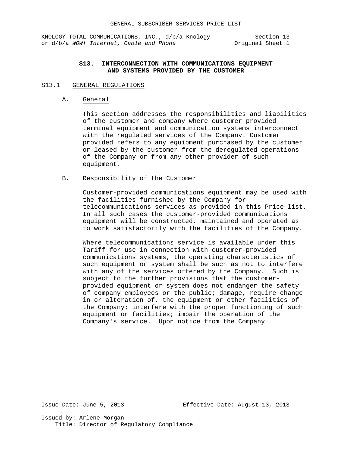KNOLOGY TOTAL COMMUNICATIONS, INC., d/b/a Knology Section 13<br>or d/b/a WOW! Internet, Cable and Phone original Sheet 1 or d/b/a WOW! Internet, Cable and Phone

# **S13. INTERCONNECTION WITH COMMUNICATIONS EQUIPMENT AND SYSTEMS PROVIDED BY THE CUSTOMER**

## S13.1 GENERAL REGULATIONS

A. General

This section addresses the responsibilities and liabilities of the customer and company where customer provided terminal equipment and communication systems interconnect with the regulated services of the Company. Customer provided refers to any equipment purchased by the customer or leased by the customer from the deregulated operations of the Company or from any other provider of such equipment.

B. Responsibility of the Customer

Customer-provided communications equipment may be used with the facilities furnished by the Company for telecommunications services as provided in this Price list. In all such cases the customer-provided communications equipment will be constructed, maintained and operated as to work satisfactorily with the facilities of the Company.

Where telecommunications service is available under this Tariff for use in connection with customer-provided communications systems, the operating characteristics of such equipment or system shall be such as not to interfere with any of the services offered by the Company. Such is subject to the further provisions that the customerprovided equipment or system does not endanger the safety of company employees or the public; damage, require change in or alteration of, the equipment or other facilities of the Company; interfere with the proper functioning of such equipment or facilities; impair the operation of the Company's service. Upon notice from the Company

Issue Date: June 5, 2013 Effective Date: August 13, 2013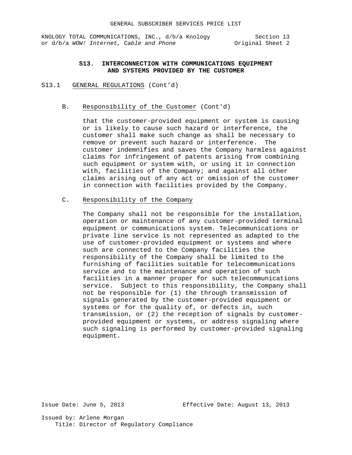KNOLOGY TOTAL COMMUNICATIONS, INC., d/b/a Knology Section 13<br>2 or d/b/a WOW! Internet, Cable and Phone Stiginal Sheet or d/b/a WOW! Internet, Cable and Phone

# **S13. INTERCONNECTION WITH COMMUNICATIONS EQUIPMENT AND SYSTEMS PROVIDED BY THE CUSTOMER**

# S13.1 GENERAL REGULATIONS (Cont'd)

# B. Responsibility of the Customer (Cont'd)

that the customer-provided equipment or system is causing or is likely to cause such hazard or interference, the customer shall make such change as shall be necessary to remove or prevent such hazard or interference. The customer indemnifies and saves the Company harmless against claims for infringement of patents arising from combining such equipment or system with, or using it in connection with, facilities of the Company; and against all other claims arising out of any act or omission of the customer in connection with facilities provided by the Company.

# C. Responsibility of the Company

The Company shall not be responsible for the installation, operation or maintenance of any customer-provided terminal equipment or communications system. Telecommunications or private line service is not represented as adapted to the use of customer-provided equipment or systems and where such are connected to the Company facilities the responsibility of the Company shall be limited to the furnishing of facilities suitable for telecommunications service and to the maintenance and operation of such facilities in a manner proper for such telecommunications service. Subject to this responsibility, the Company shall not be responsible for (1) the through transmission of signals generated by the customer-provided equipment or systems or for the quality of, or defects in, such transmission, or (2) the reception of signals by customerprovided equipment or systems, or address signaling where such signaling is performed by customer-provided signaling equipment.

Issue Date: June 5, 2013 Effective Date: August 13, 2013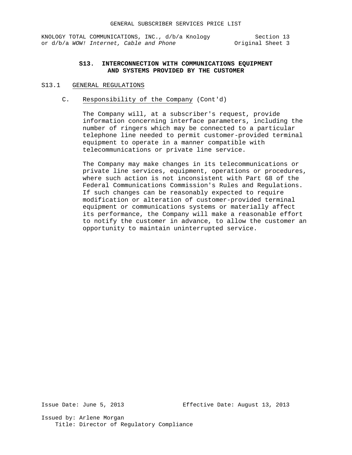KNOLOGY TOTAL COMMUNICATIONS, INC., d/b/a Knology Section 13<br>or d/b/a WOW! Internet, Cable and Phone (1997) Original Sheet 3 or d/b/a WOW! Internet, Cable and Phone

# **S13. INTERCONNECTION WITH COMMUNICATIONS EQUIPMENT AND SYSTEMS PROVIDED BY THE CUSTOMER**

### S13.1 GENERAL REGULATIONS

C. Responsibility of the Company (Cont'd)

The Company will, at a subscriber's request, provide information concerning interface parameters, including the number of ringers which may be connected to a particular telephone line needed to permit customer-provided terminal equipment to operate in a manner compatible with telecommunications or private line service.

The Company may make changes in its telecommunications or private line services, equipment, operations or procedures, where such action is not inconsistent with Part 68 of the Federal Communications Commission's Rules and Regulations. If such changes can be reasonably expected to require modification or alteration of customer-provided terminal equipment or communications systems or materially affect its performance, the Company will make a reasonable effort to notify the customer in advance, to allow the customer an opportunity to maintain uninterrupted service.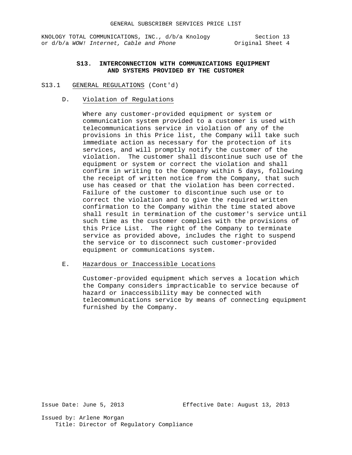KNOLOGY TOTAL COMMUNICATIONS, INC., d/b/a Knology Section 13<br>or d/b/a WOW! Internet, Cable and Phone original Sheet 4 or d/b/a WOW! Internet, Cable and Phone

# **S13. INTERCONNECTION WITH COMMUNICATIONS EQUIPMENT AND SYSTEMS PROVIDED BY THE CUSTOMER**

## S13.1 GENERAL REGULATIONS (Cont'd)

### D. Violation of Regulations

Where any customer-provided equipment or system or communication system provided to a customer is used with telecommunications service in violation of any of the provisions in this Price list, the Company will take such immediate action as necessary for the protection of its services, and will promptly notify the customer of the violation. The customer shall discontinue such use of the equipment or system or correct the violation and shall confirm in writing to the Company within 5 days, following the receipt of written notice from the Company, that such use has ceased or that the violation has been corrected. Failure of the customer to discontinue such use or to correct the violation and to give the required written confirmation to the Company within the time stated above shall result in termination of the customer's service until such time as the customer complies with the provisions of this Price List. The right of the Company to terminate service as provided above, includes the right to suspend the service or to disconnect such customer-provided equipment or communications system.

### E. Hazardous or Inaccessible Locations

Customer-provided equipment which serves a location which the Company considers impracticable to service because of hazard or inaccessibility may be connected with telecommunications service by means of connecting equipment furnished by the Company.

Issue Date: June 5, 2013 Effective Date: August 13, 2013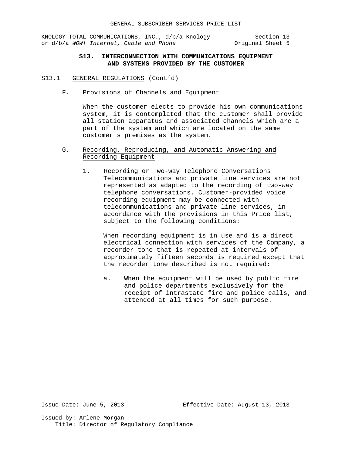KNOLOGY TOTAL COMMUNICATIONS, INC., d/b/a Knology Section 13<br>or d/b/a WOW! Internet, Cable and Phone (1997) Original Sheet 5 or d/b/a WOW! Internet, Cable and Phone

# **S13. INTERCONNECTION WITH COMMUNICATIONS EQUIPMENT AND SYSTEMS PROVIDED BY THE CUSTOMER**

- S13.1 GENERAL REGULATIONS (Cont'd)
	- F. Provisions of Channels and Equipment

When the customer elects to provide his own communications system, it is contemplated that the customer shall provide all station apparatus and associated channels which are a part of the system and which are located on the same customer's premises as the system.

# G. Recording, Reproducing, and Automatic Answering and Recording Equipment

1. Recording or Two-way Telephone Conversations Telecommunications and private line services are not represented as adapted to the recording of two-way telephone conversations. Customer-provided voice recording equipment may be connected with telecommunications and private line services, in accordance with the provisions in this Price list, subject to the following conditions:

When recording equipment is in use and is a direct electrical connection with services of the Company, a recorder tone that is repeated at intervals of approximately fifteen seconds is required except that the recorder tone described is not required:

a. When the equipment will be used by public fire and police departments exclusively for the receipt of intrastate fire and police calls, and attended at all times for such purpose.

Issue Date: June 5, 2013 Effective Date: August 13, 2013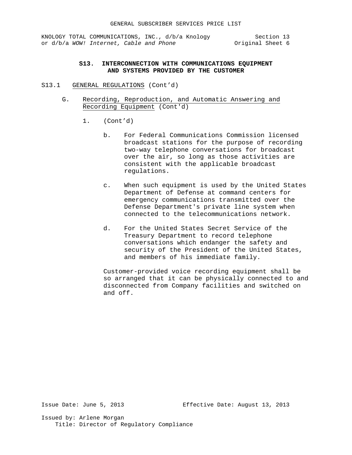KNOLOGY TOTAL COMMUNICATIONS, INC., d/b/a Knology Section 13 or d/b/a *WOW!* Internet, Cable and Phone **Original** Sheet 6

# **S13. INTERCONNECTION WITH COMMUNICATIONS EQUIPMENT AND SYSTEMS PROVIDED BY THE CUSTOMER**

- S13.1 GENERAL REGULATIONS (Cont'd)
	- G. Recording, Reproduction, and Automatic Answering and Recording Equipment (Cont'd)
		- 1. (Cont'd)
			- b. For Federal Communications Commission licensed broadcast stations for the purpose of recording two-way telephone conversations for broadcast over the air, so long as those activities are consistent with the applicable broadcast regulations.
			- c. When such equipment is used by the United States Department of Defense at command centers for emergency communications transmitted over the Defense Department's private line system when connected to the telecommunications network.
			- d. For the United States Secret Service of the Treasury Department to record telephone conversations which endanger the safety and security of the President of the United States, and members of his immediate family.

Customer-provided voice recording equipment shall be so arranged that it can be physically connected to and disconnected from Company facilities and switched on and off.

Issue Date: June 5, 2013 Effective Date: August 13, 2013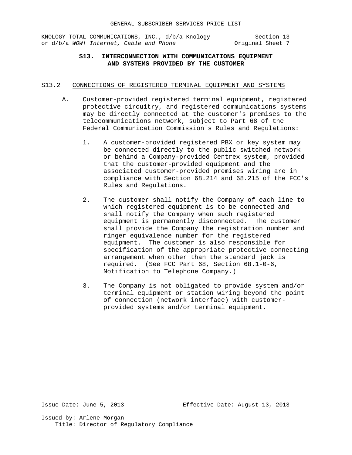KNOLOGY TOTAL COMMUNICATIONS, INC., d/b/a Knology Section 13<br>or d/b/a WOW! Internet, Cable and Phone original Sheet 7 or d/b/a WOW! Internet, Cable and Phone

# **S13. INTERCONNECTION WITH COMMUNICATIONS EQUIPMENT AND SYSTEMS PROVIDED BY THE CUSTOMER**

- S13.2 CONNECTIONS OF REGISTERED TERMINAL EQUIPMENT AND SYSTEMS
	- A. Customer-provided registered terminal equipment, registered protective circuitry, and registered communications systems may be directly connected at the customer's premises to the telecommunications network, subject to Part 68 of the Federal Communication Commission's Rules and Regulations:
		- 1. A customer-provided registered PBX or key system may be connected directly to the public switched network or behind a Company-provided Centrex system, provided that the customer-provided equipment and the associated customer-provided premises wiring are in compliance with Section 68.214 and 68.215 of the FCC's Rules and Regulations.
		- 2. The customer shall notify the Company of each line to which registered equipment is to be connected and shall notify the Company when such registered equipment is permanently disconnected. The customer shall provide the Company the registration number and ringer equivalence number for the registered equipment. The customer is also responsible for specification of the appropriate protective connecting arrangement when other than the standard jack is required. (See FCC Part 68, Section 68.1-0-6, Notification to Telephone Company.)
		- 3. The Company is not obligated to provide system and/or terminal equipment or station wiring beyond the point of connection (network interface) with customerprovided systems and/or terminal equipment.

Issue Date: June 5, 2013 Effective Date: August 13, 2013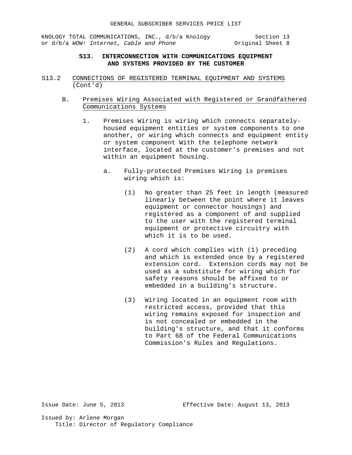KNOLOGY TOTAL COMMUNICATIONS, INC., d/b/a Knology Section 13<br>or d/b/a WOW! Internet, Cable and Phone original Sheet 8 or d/b/a WOW! Internet, Cable and Phone

# **S13. INTERCONNECTION WITH COMMUNICATIONS EQUIPMENT AND SYSTEMS PROVIDED BY THE CUSTOMER**

- S13.2 CONNECTIONS OF REGISTERED TERMINAL EQUIPMENT AND SYSTEMS (Cont'd)
	- B. Premises Wiring Associated with Registered or Grandfathered Communications Systems
		- 1. Premises Wiring is wiring which connects separatelyhoused equipment entities or system components to one another, or wiring which connects and equipment entity or system component With the telephone network interface, located at the customer's premises and not within an equipment housing.
			- a. Fully-protected Premises Wiring is premises wiring which is:
				- (1) No greater than 25 feet in length (measured linearly between the point where it leaves equipment or connector housings) and registered as a component of and supplied to the user with the registered terminal equipment or protective circuitry with which it is to be used.
				- (2) A cord which complies with (1) preceding and which is extended once by a registered extension cord. Extension cords may not be used as a substitute for wiring which for safety reasons should be affixed to or embedded in a building's structure.
				- (3) Wiring located in an equipment room with restricted access, provided that this wiring remains exposed for inspection and is not concealed or embedded in the building's structure, and that it conforms to Part 68 of the Federal Communications Commission's Rules and Regulations.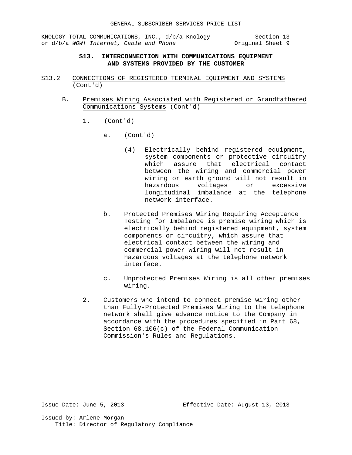KNOLOGY TOTAL COMMUNICATIONS, INC., d/b/a Knology Section 13 or d/b/a *WOW!* Internet, Cable and Phone **Original Sheet** 9

## **S13. INTERCONNECTION WITH COMMUNICATIONS EQUIPMENT AND SYSTEMS PROVIDED BY THE CUSTOMER**

- S13.2 CONNECTIONS OF REGISTERED TERMINAL EQUIPMENT AND SYSTEMS (Cont'd)
	- B. Premises Wiring Associated with Registered or Grandfathered Communications Systems (Cont'd)
		- 1. (Cont'd)
			- a. (Cont'd)
				- (4) Electrically behind registered equipment, system components or protective circuitry<br>which assure that electrical contact assure that electrical contact between the wiring and commercial power wiring or earth ground will not result in<br>hazardous voltages or excessive hazardous voltages or longitudinal imbalance at the telephone network interface.
			- b. Protected Premises Wiring Requiring Acceptance Testing for Imbalance is premise wiring which is electrically behind registered equipment, system components or circuitry, which assure that electrical contact between the wiring and commercial power wiring will not result in hazardous voltages at the telephone network interface.
			- c. Unprotected Premises Wiring is all other premises wiring.
		- 2. Customers who intend to connect premise wiring other than Fully-Protected Premises Wiring to the telephone network shall give advance notice to the Company in accordance with the procedures specified in Part 68, Section 68.106(c) of the Federal Communication Commission's Rules and Regulations.

Issue Date: June 5, 2013 Effective Date: August 13, 2013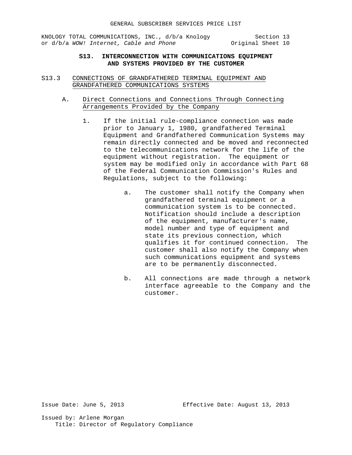KNOLOGY TOTAL COMMUNICATIONS, INC., d/b/a Knology Section 13<br>
or d/b/a WOW! Internet, Cable and Phone (1991) Original Sheet 10 or d/b/a WOW! Internet, Cable and Phone

# **S13. INTERCONNECTION WITH COMMUNICATIONS EQUIPMENT AND SYSTEMS PROVIDED BY THE CUSTOMER**

- S13.3 CONNECTIONS OF GRANDFATHERED TERMINAL EQUIPMENT AND GRANDFATHERED COMMUNICATIONS SYSTEMS
	- A. Direct Connections and Connections Through Connecting Arrangements Provided by the Company
		- 1. If the initial rule-compliance connection was made prior to January 1, 1980, grandfathered Terminal Equipment and Grandfathered Communication Systems may remain directly connected and be moved and reconnected to the telecommunications network for the life of the equipment without registration. The equipment or system may be modified only in accordance with Part 68 of the Federal Communication Commission's Rules and Regulations, subject to the following:
			- a. The customer shall notify the Company when grandfathered terminal equipment or a communication system is to be connected. Notification should include a description of the equipment, manufacturer's name, model number and type of equipment and state its previous connection, which qualifies it for continued connection. The customer shall also notify the Company when such communications equipment and systems are to be permanently disconnected.
			- b. All connections are made through a network interface agreeable to the Company and the customer.

Issue Date: June 5, 2013 Effective Date: August 13, 2013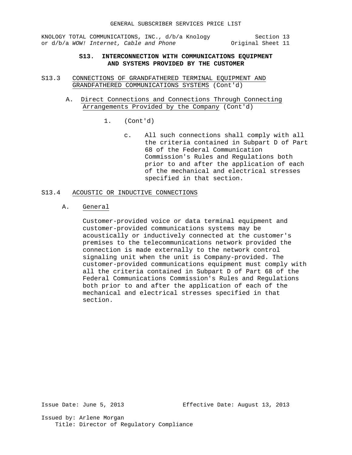KNOLOGY TOTAL COMMUNICATIONS, INC., d/b/a Knology Section 13<br>or d/b/a WOW! Internet, Cable and Phone 91 0riginal Sheet 11 or d/b/a WOW! Internet, Cable and Phone

# **S13. INTERCONNECTION WITH COMMUNICATIONS EQUIPMENT AND SYSTEMS PROVIDED BY THE CUSTOMER**

- S13.3 CONNECTIONS OF GRANDFATHERED TERMINAL EQUIPMENT AND GRANDFATHERED COMMUNICATIONS SYSTEMS (Cont'd)
	- A. Direct Connections and Connections Through Connecting Arrangements Provided by the Company (Cont'd)
		- 1. (Cont'd)
			- c. All such connections shall comply with all the criteria contained in Subpart D of Part 68 of the Federal Communication Commission's Rules and Regulations both prior to and after the application of each of the mechanical and electrical stresses specified in that section.

### S13.4 ACOUSTIC OR INDUCTIVE CONNECTIONS

A. General

Customer-provided voice or data terminal equipment and customer-provided communications systems may be acoustically or inductively connected at the customer's premises to the telecommunications network provided the connection is made externally to the network control signaling unit when the unit is Company-provided. The customer-provided communications equipment must comply with all the criteria contained in Subpart D of Part 68 of the Federal Communications Commission's Rules and Regulations both prior to and after the application of each of the mechanical and electrical stresses specified in that section.

Issue Date: June 5, 2013 Effective Date: August 13, 2013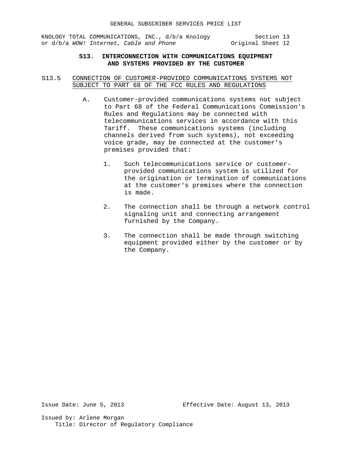KNOLOGY TOTAL COMMUNICATIONS, INC., d/b/a Knology Section 13<br>2 or d/b/a WOW! Internet, Cable and Phone State Coriginal Sheet or d/b/a WOW! Internet, Cable and Phone

# **S13. INTERCONNECTION WITH COMMUNICATIONS EQUIPMENT AND SYSTEMS PROVIDED BY THE CUSTOMER**

- S13.5 CONNECTION OF CUSTOMER-PROVIDED COMMUNICATIONS SYSTEMS NOT SUBJECT TO PART 68 OF THE FCC RULES AND REGULATIONS
	- A. Customer-provided communications systems not subject to Part 68 of the Federal Communications Commission's Rules and Regulations may be connected with telecommunications services in accordance with this Tariff. These communications systems (including channels derived from such systems), not exceeding voice grade, may be connected at the customer's premises provided that:
		- 1. Such telecommunications service or customerprovided communications system is utilized for the origination or termination of communications at the customer's premises where the connection is made.
		- 2. The connection shall be through a network control signaling unit and connecting arrangement furnished by the Company.
		- 3. The connection shall be made through switching equipment provided either by the customer or by the Company.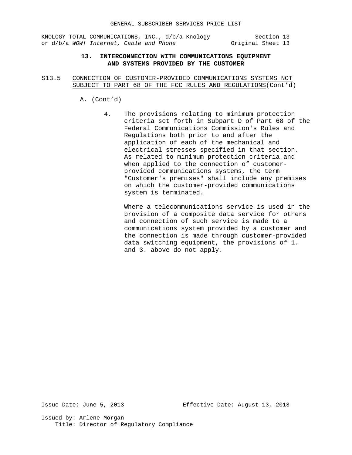KNOLOGY TOTAL COMMUNICATIONS, INC., d/b/a Knology Section 13<br>
or d/b/a WOW! Internet, Cable and Phone State original Sheet 13 or d/b/a WOW! Internet, Cable and Phone

# **13. INTERCONNECTION WITH COMMUNICATIONS EQUIPMENT AND SYSTEMS PROVIDED BY THE CUSTOMER**

S13.5 CONNECTION OF CUSTOMER-PROVIDED COMMUNICATIONS SYSTEMS NOT SUBJECT TO PART 68 OF THE FCC RULES AND REGULATIONS(Cont'd)

A. (Cont'd)

4. The provisions relating to minimum protection criteria set forth in Subpart D of Part 68 of the Federal Communications Commission's Rules and Regulations both prior to and after the application of each of the mechanical and electrical stresses specified in that section. As related to minimum protection criteria and when applied to the connection of customerprovided communications systems, the term "Customer's premises" shall include any premises on which the customer-provided communications system is terminated.

Where a telecommunications service is used in the provision of a composite data service for others and connection of such service is made to a communications system provided by a customer and the connection is made through customer-provided data switching equipment, the provisions of 1. and 3. above do not apply.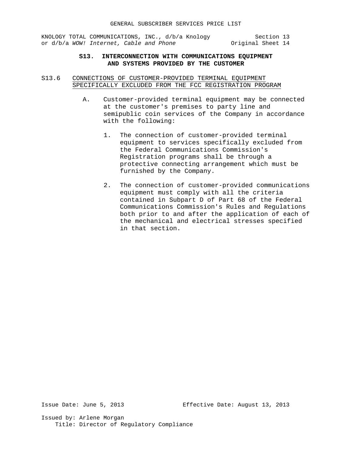KNOLOGY TOTAL COMMUNICATIONS, INC., d/b/a Knology Section 13<br>or d/b/a WOW! Internet, Cable and Phone or d/b/a Worly Sheet 14 or d/b/a WOW! Internet, Cable and Phone

# **S13. INTERCONNECTION WITH COMMUNICATIONS EQUIPMENT AND SYSTEMS PROVIDED BY THE CUSTOMER**

## S13.6 CONNECTIONS OF CUSTOMER-PROVIDED TERMINAL EQUIPMENT SPECIFICALLY EXCLUDED FROM THE FCC REGISTRATION PROGRAM

- A. Customer-provided terminal equipment may be connected at the customer's premises to party line and semipublic coin services of the Company in accordance with the following:
	- 1. The connection of customer-provided terminal equipment to services specifically excluded from the Federal Communications Commission's Registration programs shall be through a protective connecting arrangement which must be furnished by the Company.
	- 2. The connection of customer-provided communications equipment must comply with all the criteria contained in Subpart D of Part 68 of the Federal Communications Commission's Rules and Regulations both prior to and after the application of each of the mechanical and electrical stresses specified in that section.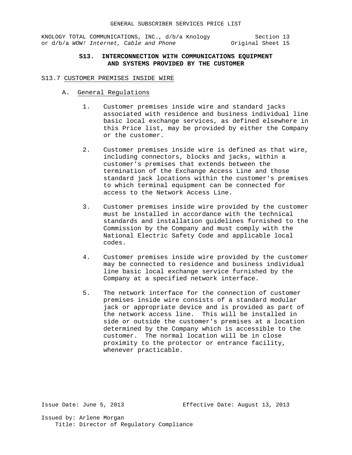KNOLOGY TOTAL COMMUNICATIONS, INC., d/b/a Knology Section 13<br>or d/b/a WOW! Internet, Cable and Phone original Sheet 15 or d/b/a WOW! Internet, Cable and Phone

# **S13. INTERCONNECTION WITH COMMUNICATIONS EQUIPMENT AND SYSTEMS PROVIDED BY THE CUSTOMER**

### S13.7 CUSTOMER PREMISES INSIDE WIRE

- A. General Regulations
	- 1. Customer premises inside wire and standard jacks associated with residence and business individual line basic local exchange services, as defined elsewhere in this Price list, may be provided by either the Company or the customer.
	- 2. Customer premises inside wire is defined as that wire, including connectors, blocks and jacks, within a customer's premises that extends between the termination of the Exchange Access Line and those standard jack locations within the customer's premises to which terminal equipment can be connected for access to the Network Access Line.
	- 3. Customer premises inside wire provided by the customer must be installed in accordance with the technical standards and installation guidelines furnished to the Commission by the Company and must comply with the National Electric Safety Code and applicable local codes.
	- 4. Customer premises inside wire provided by the customer may be connected to residence and business individual line basic local exchange service furnished by the Company at a specified network interface.
	- 5. The network interface for the connection of customer premises inside wire consists of a standard modular jack or appropriate device and is provided as part of the network access line. This will be installed in side or outside the customer's premises at a location determined by the Company which is accessible to the customer. The normal location will be in close proximity to the protector or entrance facility, whenever practicable.

Issue Date: June 5, 2013 Effective Date: August 13, 2013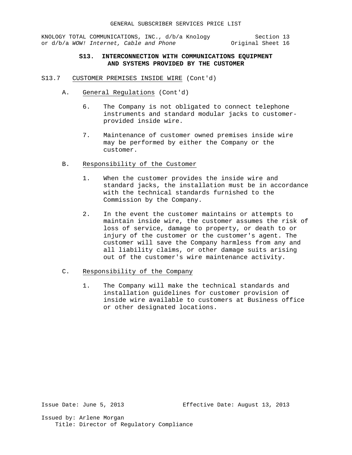KNOLOGY TOTAL COMMUNICATIONS, INC., d/b/a Knology Section 13 or d/b/a WOW! Internet, Cable and Phone

# **S13. INTERCONNECTION WITH COMMUNICATIONS EQUIPMENT AND SYSTEMS PROVIDED BY THE CUSTOMER**

- S13.7 CUSTOMER PREMISES INSIDE WIRE (Cont'd)
	- A. General Regulations (Cont'd)
		- 6. The Company is not obligated to connect telephone instruments and standard modular jacks to customerprovided inside wire.
		- 7. Maintenance of customer owned premises inside wire may be performed by either the Company or the customer.
	- B. Responsibility of the Customer
		- 1. When the customer provides the inside wire and standard jacks, the installation must be in accordance with the technical standards furnished to the Commission by the Company.
		- 2. In the event the customer maintains or attempts to maintain inside wire, the customer assumes the risk of loss of service, damage to property, or death to or injury of the customer or the customer's agent. The customer will save the Company harmless from any and all liability claims, or other damage suits arising out of the customer's wire maintenance activity.
	- C. Responsibility of the Company
		- 1. The Company will make the technical standards and installation guidelines for customer provision of inside wire available to customers at Business office or other designated locations.

Issue Date: June 5, 2013 Effective Date: August 13, 2013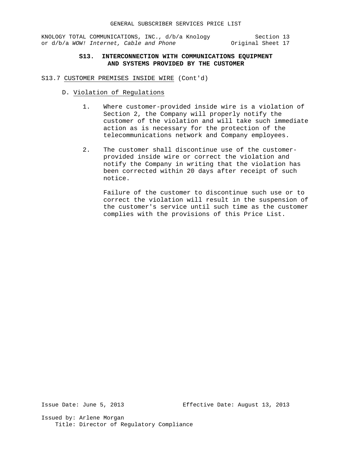KNOLOGY TOTAL COMMUNICATIONS, INC., d/b/a Knology Section 13<br>or d/b/a WOW! Internet, Cable and Phone original Sheet 17 or d/b/a WOW! Internet, Cable and Phone

# **S13. INTERCONNECTION WITH COMMUNICATIONS EQUIPMENT AND SYSTEMS PROVIDED BY THE CUSTOMER**

### S13.7 CUSTOMER PREMISES INSIDE WIRE (Cont'd)

- D. Violation of Regulations
	- 1. Where customer-provided inside wire is a violation of Section 2, the Company will properly notify the customer of the violation and will take such immediate action as is necessary for the protection of the telecommunications network and Company employees.
	- 2. The customer shall discontinue use of the customerprovided inside wire or correct the violation and notify the Company in writing that the violation has been corrected within 20 days after receipt of such notice.

Failure of the customer to discontinue such use or to correct the violation will result in the suspension of the customer's service until such time as the customer complies with the provisions of this Price List.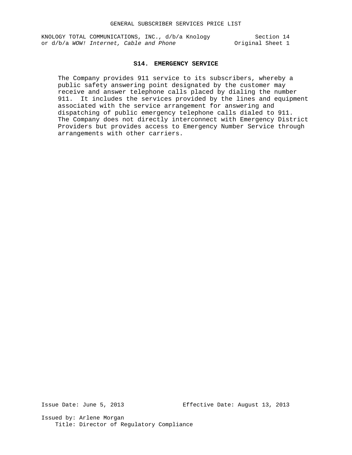KNOLOGY TOTAL COMMUNICATIONS, INC., d/b/a Knology Section 14 or d/b/a *WOW!* Internet, Cable and Phone **Original** Sheet 1

## **S14. EMERGENCY SERVICE**

The Company provides 911 service to its subscribers, whereby a public safety answering point designated by the customer may receive and answer telephone calls placed by dialing the number 911. It includes the services provided by the lines and equipment associated with the service arrangement for answering and dispatching of public emergency telephone calls dialed to 911. The Company does not directly interconnect with Emergency District Providers but provides access to Emergency Number Service through arrangements with other carriers.

Issue Date: June 5, 2013 Effective Date: August 13, 2013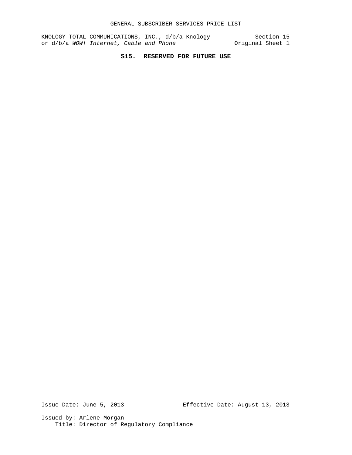KNOLOGY TOTAL COMMUNICATIONS, INC., d/b/a Knology Section 15 or d/b/a *WOW!* Internet, Cable and Phone **Original** Sheet 1

# **S15. RESERVED FOR FUTURE USE**

Issue Date: June 5, 2013 Effective Date: August 13, 2013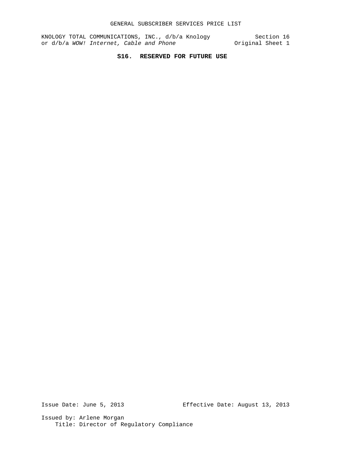KNOLOGY TOTAL COMMUNICATIONS, INC., d/b/a Knology Section 16 or d/b/a *WOW!* Internet, Cable and Phone **Original** Sheet 1

# **S16. RESERVED FOR FUTURE USE**

Issue Date: June 5, 2013 Effective Date: August 13, 2013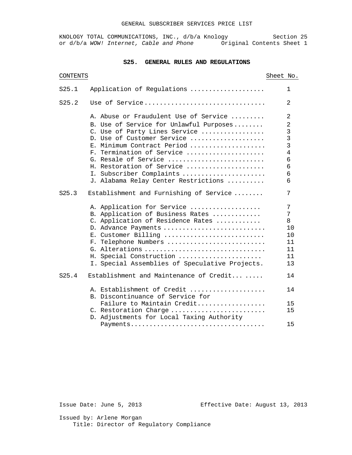### **S25. GENERAL RULES AND REGULATIONS**

| CONTENTS |                                                | Sheet No. |                |
|----------|------------------------------------------------|-----------|----------------|
| S25.1    | Application of Regulations                     |           | $\mathbf{1}$   |
| S25.2    | Use of Service                                 |           | 2              |
|          | A. Abuse or Fraudulent Use of Service          |           | 2              |
|          | B. Use of Service for Unlawful Purposes        |           | $\overline{2}$ |
|          | C. Use of Party Lines Service                  |           | 3              |
|          | D. Use of Customer Service                     |           | 3              |
|          | E. Minimum Contract Period                     |           | 3              |
|          | F. Termination of Service                      |           | $\overline{4}$ |
|          | G. Resale of Service                           |           | 6              |
|          | H. Restoration of Service                      |           | 6              |
|          | I. Subscriber Complaints                       |           | 6              |
|          | J. Alabama Relay Center Restrictions           |           | 6              |
| S25.3    | Establishment and Furnishing of Service        |           | 7              |
|          | A. Application for Service                     |           | 7              |
|          | B. Application of Business Rates               |           | 7              |
|          | C. Application of Residence Rates              |           | 8              |
|          | D. Advance Payments                            |           | 10             |
|          | E. Customer Billing                            |           | 10             |
|          | F. Telephone Numbers                           |           | 11             |
|          | G. Alterations                                 |           | 11             |
|          | H. Special Construction                        |           | 11             |
|          | I. Special Assemblies of Speculative Projects. |           | 13             |
| S25.4    | Establishment and Maintenance of Credit        |           | 14             |
|          | A. Establishment of Credit                     |           | 14             |
|          | B. Discontinuance of Service for               |           |                |
|          | Failure to Maintain Credit                     |           | 15             |
|          | C. Restoration Charge                          |           | 15             |
|          | D. Adjustments for Local Taxing Authority      |           |                |
|          |                                                |           | 15             |

Issue Date: June 5, 2013 Effective Date: August 13, 2013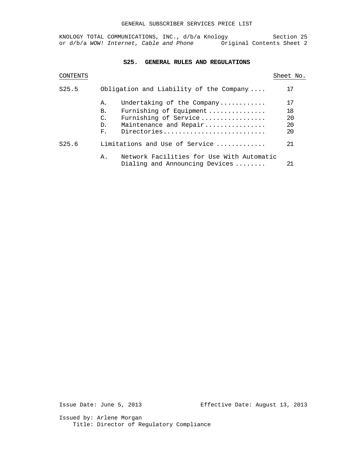### **S25. GENERAL RULES AND REGULATIONS**

|                   |                                                                                                                                                       | Sheet No.                  |
|-------------------|-------------------------------------------------------------------------------------------------------------------------------------------------------|----------------------------|
| S <sub>25.5</sub> | Obligation and Liability of the Company                                                                                                               | 17                         |
|                   | Undertaking of the Company<br>Α.<br>Furnishing of Equipment<br>В.<br>Furnishing of Service<br>C.<br>Maintenance and Repair<br>D.<br>Directories<br>F. | 17<br>18<br>20<br>20<br>20 |
| S25.6             | Limitations and Use of Service                                                                                                                        | 21                         |
|                   | Network Facilities for Use With Automatic<br>Α.<br>Dialing and Announcing Devices                                                                     | 21                         |

Issue Date: June 5, 2013 Effective Date: August 13, 2013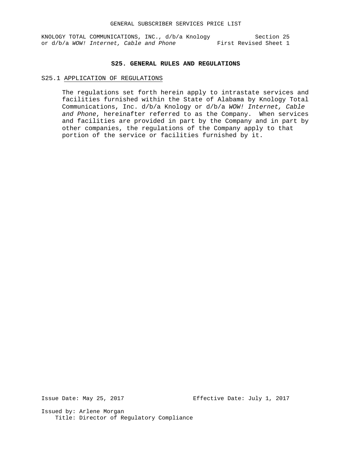### **S25. GENERAL RULES AND REGULATIONS**

### S25.1 APPLICATION OF REGULATIONS

The regulations set forth herein apply to intrastate services and facilities furnished within the State of Alabama by Knology Total Communications, Inc. d/b/a Knology or d/b/a *WOW! Internet, Cable and Phone*, hereinafter referred to as the Company. When services and facilities are provided in part by the Company and in part by other companies, the regulations of the Company apply to that portion of the service or facilities furnished by it.

Issue Date: May 25, 2017 Effective Date: July 1, 2017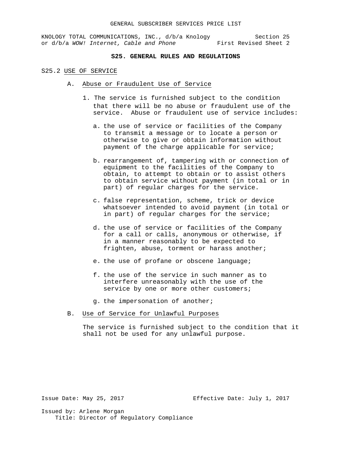### **S25. GENERAL RULES AND REGULATIONS**

### S25.2 USE OF SERVICE

- A. Abuse or Fraudulent Use of Service
	- 1. The service is furnished subject to the condition that there will be no abuse or fraudulent use of the service. Abuse or fraudulent use of service includes:
		- a. the use of service or facilities of the Company to transmit a message or to locate a person or otherwise to give or obtain information without payment of the charge applicable for service;
		- b. rearrangement of, tampering with or connection of equipment to the facilities of the Company to obtain, to attempt to obtain or to assist others to obtain service without payment (in total or in part) of regular charges for the service.
		- c. false representation, scheme, trick or device whatsoever intended to avoid payment (in total or in part) of regular charges for the service;
		- d. the use of service or facilities of the Company for a call or calls, anonymous or otherwise, if in a manner reasonably to be expected to frighten, abuse, torment or harass another;
		- e. the use of profane or obscene language;
		- f. the use of the service in such manner as to interfere unreasonably with the use of the service by one or more other customers;
		- g. the impersonation of another;
- B. Use of Service for Unlawful Purposes

The service is furnished subject to the condition that it shall not be used for any unlawful purpose.

Issue Date: May 25, 2017 Effective Date: July 1, 2017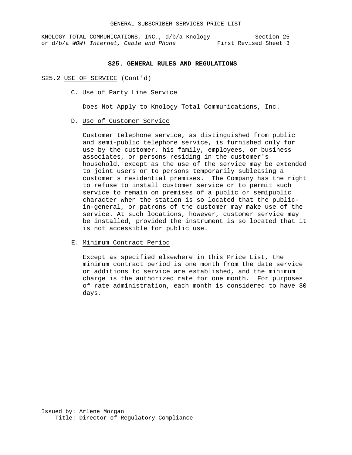KNOLOGY TOTAL COMMUNICATIONS, INC., d/b/a Knology Section 25<br>or d/b/a WOW! Internet, Cable and Phone First Revised Sheet 3 or d/b/a WOW! Internet, Cable and Phone

### **S25. GENERAL RULES AND REGULATIONS**

### S25.2 USE OF SERVICE (Cont'd)

C. Use of Party Line Service

Does Not Apply to Knology Total Communications, Inc.

D. Use of Customer Service

Customer telephone service, as distinguished from public and semi-public telephone service, is furnished only for use by the customer, his family, employees, or business associates, or persons residing in the customer's household, except as the use of the service may be extended to joint users or to persons temporarily subleasing a customer's residential premises. The Company has the right to refuse to install customer service or to permit such service to remain on premises of a public or semipublic character when the station is so located that the publicin-general, or patrons of the customer may make use of the service. At such locations, however, customer service may be installed, provided the instrument is so located that it is not accessible for public use.

E. Minimum Contract Period

Except as specified elsewhere in this Price List, the minimum contract period is one month from the date service or additions to service are established, and the minimum charge is the authorized rate for one month. For purposes of rate administration, each month is considered to have 30 days.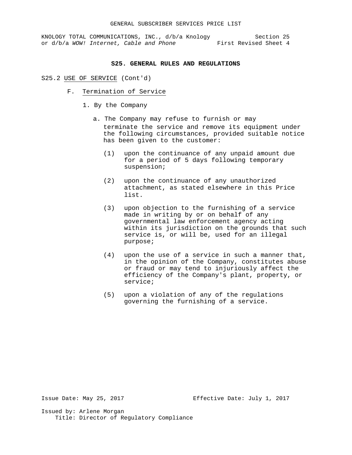### **S25. GENERAL RULES AND REGULATIONS**

### S25.2 USE OF SERVICE (Cont'd)

- F. Termination of Service
	- 1. By the Company
		- a. The Company may refuse to furnish or may terminate the service and remove its equipment under the following circumstances, provided suitable notice has been given to the customer:
			- (1) upon the continuance of any unpaid amount due for a period of 5 days following temporary suspension;
			- (2) upon the continuance of any unauthorized attachment, as stated elsewhere in this Price list.
			- (3) upon objection to the furnishing of a service made in writing by or on behalf of any governmental law enforcement agency acting within its jurisdiction on the grounds that such service is, or will be, used for an illegal purpose;
			- (4) upon the use of a service in such a manner that, in the opinion of the Company, constitutes abuse or fraud or may tend to injuriously affect the efficiency of the Company's plant, property, or service;
			- (5) upon a violation of any of the regulations governing the furnishing of a service.

Issue Date: May 25, 2017 Effective Date: July 1, 2017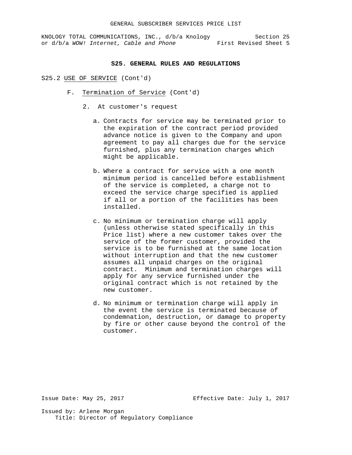### **S25. GENERAL RULES AND REGULATIONS**

### S25.2 USE OF SERVICE (Cont'd)

- F. Termination of Service (Cont'd)
	- 2. At customer's request
		- a. Contracts for service may be terminated prior to the expiration of the contract period provided advance notice is given to the Company and upon agreement to pay all charges due for the service furnished, plus any termination charges which might be applicable.
		- b. Where a contract for service with a one month minimum period is cancelled before establishment of the service is completed, a charge not to exceed the service charge specified is applied if all or a portion of the facilities has been installed.
		- c. No minimum or termination charge will apply (unless otherwise stated specifically in this Price list) where a new customer takes over the service of the former customer, provided the service is to be furnished at the same location without interruption and that the new customer assumes all unpaid charges on the original contract. Minimum and termination charges will apply for any service furnished under the original contract which is not retained by the new customer.
		- d. No minimum or termination charge will apply in the event the service is terminated because of condemnation, destruction, or damage to property by fire or other cause beyond the control of the customer.

Issue Date: May 25, 2017 Effective Date: July 1, 2017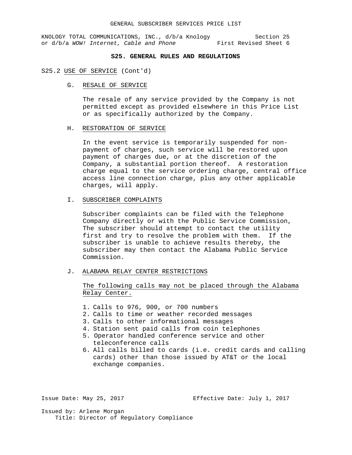# **S25. GENERAL RULES AND REGULATIONS**

### S25.2 USE OF SERVICE (Cont'd)

G. RESALE OF SERVICE

The resale of any service provided by the Company is not permitted except as provided elsewhere in this Price List or as specifically authorized by the Company.

### H. RESTORATION OF SERVICE

In the event service is temporarily suspended for nonpayment of charges, such service will be restored upon payment of charges due, or at the discretion of the Company, a substantial portion thereof. A restoration charge equal to the service ordering charge, central office access line connection charge, plus any other applicable charges, will apply.

### I. SUBSCRIBER COMPLAINTS

Subscriber complaints can be filed with the Telephone Company directly or with the Public Service Commission, The subscriber should attempt to contact the utility first and try to resolve the problem with them. If the subscriber is unable to achieve results thereby, the subscriber may then contact the Alabama Public Service Commission.

J. ALABAMA RELAY CENTER RESTRICTIONS

The following calls may not be placed through the Alabama Relay Center.

- 1. Calls to 976, 900, or 700 numbers
- 2. Calls to time or weather recorded messages
- 3. Calls to other informational messages
- 4. Station sent paid calls from coin telephones
- 5. Operator handled conference service and other teleconference calls
- 6. All calls billed to cards (i.e. credit cards and calling cards) other than those issued by AT&T or the local exchange companies.

Issue Date: May 25, 2017 Effective Date: July 1, 2017 Issued by: Arlene Morgan Title: Director of Regulatory Compliance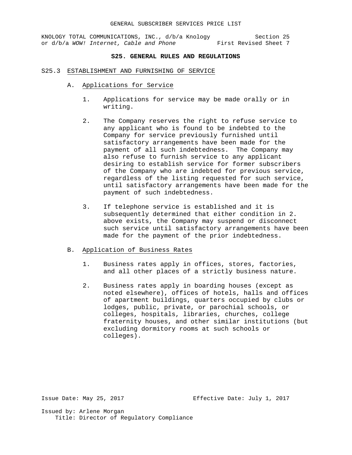# **S25. GENERAL RULES AND REGULATIONS**

### S25.3 ESTABLISHMENT AND FURNISHING OF SERVICE

- A. Applications for Service
	- 1. Applications for service may be made orally or in writing.
	- 2. The Company reserves the right to refuse service to any applicant who is found to be indebted to the Company for service previously furnished until satisfactory arrangements have been made for the payment of all such indebtedness. The Company may also refuse to furnish service to any applicant desiring to establish service for former subscribers of the Company who are indebted for previous service, regardless of the listing requested for such service, until satisfactory arrangements have been made for the payment of such indebtedness.
	- 3. If telephone service is established and it is subsequently determined that either condition in 2. above exists, the Company may suspend or disconnect such service until satisfactory arrangements have been made for the payment of the prior indebtedness.

### B. Application of Business Rates

- 1. Business rates apply in offices, stores, factories, and all other places of a strictly business nature.
- 2. Business rates apply in boarding houses (except as noted elsewhere), offices of hotels, halls and offices of apartment buildings, quarters occupied by clubs or lodges, public, private, or parochial schools, or colleges, hospitals, libraries, churches, college fraternity houses, and other similar institutions (but excluding dormitory rooms at such schools or colleges).

Issue Date: May 25, 2017 Effective Date: July 1, 2017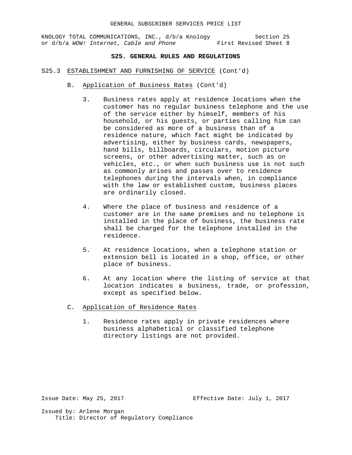# **S25. GENERAL RULES AND REGULATIONS**

- S25.3 ESTABLISHMENT AND FURNISHING OF SERVICE (Cont'd)
	- B. Application of Business Rates (Cont'd)
		- 3. Business rates apply at residence locations when the customer has no regular business telephone and the use of the service either by himself, members of his household, or his guests, or parties calling him can be considered as more of a business than of a residence nature, which fact might be indicated by advertising, either by business cards, newspapers, hand bills, billboards, circulars, motion picture screens, or other advertising matter, such as on vehicles, etc., or when such business use is not such as commonly arises and passes over to residence telephones during the intervals when, in compliance with the law or established custom, business places are ordinarily closed.
		- 4. Where the place of business and residence of a customer are in the same premises and no telephone is installed in the place of business, the business rate shall be charged for the telephone installed in the residence.
		- 5. At residence locations, when a telephone station or extension bell is located in a shop, office, or other place of business.
		- 6. At any location where the listing of service at that location indicates a business, trade, or profession, except as specified below.
	- C. Application of Residence Rates
		- 1. Residence rates apply in private residences where business alphabetical or classified telephone directory listings are not provided.

Issue Date: May 25, 2017 Effective Date: July 1, 2017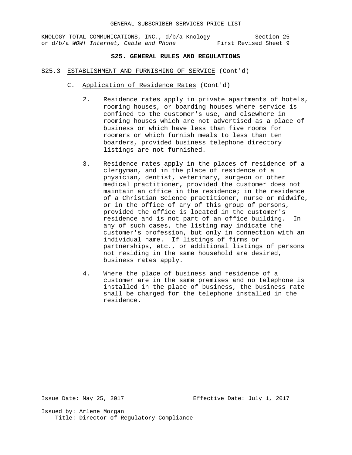# **S25. GENERAL RULES AND REGULATIONS**

### S25.3 ESTABLISHMENT AND FURNISHING OF SERVICE (Cont'd)

- C. Application of Residence Rates (Cont'd)
	- 2. Residence rates apply in private apartments of hotels, rooming houses, or boarding houses where service is confined to the customer's use, and elsewhere in rooming houses which are not advertised as a place of business or which have less than five rooms for roomers or which furnish meals to less than ten boarders, provided business telephone directory listings are not furnished.
	- 3. Residence rates apply in the places of residence of a clergyman, and in the place of residence of a physician, dentist, veterinary, surgeon or other medical practitioner, provided the customer does not maintain an office in the residence; in the residence of a Christian Science practitioner, nurse or midwife, or in the office of any of this group of persons, provided the office is located in the customer's<br>residence and is not part of an office building. In residence and is not part of an office building. any of such cases, the listing may indicate the customer's profession, but only in connection with an individual name. If listings of firms or partnerships, etc., or additional listings of persons not residing in the same household are desired, business rates apply.
	- 4. Where the place of business and residence of a customer are in the same premises and no telephone is installed in the place of business, the business rate shall be charged for the telephone installed in the residence.

Issue Date: May 25, 2017 Effective Date: July 1, 2017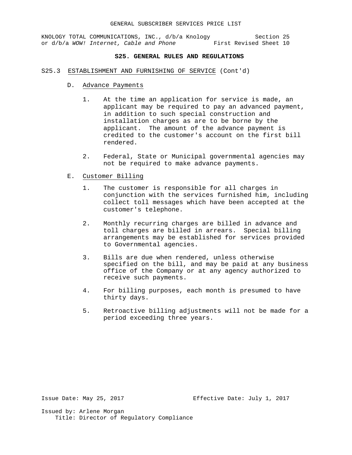### GENERAL SUBSCRIBER SERVICES PRICE LIST

KNOLOGY TOTAL COMMUNICATIONS, INC., d/b/a Knology Section 25 or d/b/a *WOW! Internet, Cable and Phone* First Revised Sheet 10

# **S25. GENERAL RULES AND REGULATIONS**

### S25.3 ESTABLISHMENT AND FURNISHING OF SERVICE (Cont'd)

- D. Advance Payments
	- 1. At the time an application for service is made, an applicant may be required to pay an advanced payment, in addition to such special construction and installation charges as are to be borne by the applicant. The amount of the advance payment is credited to the customer's account on the first bill rendered.
	- 2. Federal, State or Municipal governmental agencies may not be required to make advance payments.

### E. Customer Billing

- 1. The customer is responsible for all charges in conjunction with the services furnished him, including collect toll messages which have been accepted at the customer's telephone.
- 2. Monthly recurring charges are billed in advance and toll charges are billed in arrears. Special billing arrangements may be established for services provided to Governmental agencies.
- 3. Bills are due when rendered, unless otherwise specified on the bill, and may be paid at any business office of the Company or at any agency authorized to receive such payments.
- 4. For billing purposes, each month is presumed to have thirty days.
- 5. Retroactive billing adjustments will not be made for a period exceeding three years.

Issue Date: May 25, 2017 Effective Date: July 1, 2017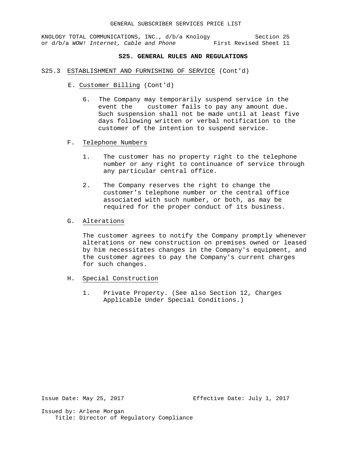### **S25. GENERAL RULES AND REGULATIONS**

### S25.3 ESTABLISHMENT AND FURNISHING OF SERVICE (Cont'd)

- E. Customer Billing (Cont'd)
	- 6. The Company may temporarily suspend service in the event the customer fails to pay any amount due. Such suspension shall not be made until at least five days following written or verbal notification to the customer of the intention to suspend service.
- F. Telephone Numbers
	- 1. The customer has no property right to the telephone number or any right to continuance of service through any particular central office.
	- 2. The Company reserves the right to change the customer's telephone number or the central office associated with such number, or both, as may be required for the proper conduct of its business.

# G. Alterations

The customer agrees to notify the Company promptly whenever alterations or new construction on premises owned or leased by him necessitates changes in the Company's equipment, and the customer agrees to pay the Company's current charges for such changes.

- H. Special Construction
	- 1. Private Property. (See also Section 12, Charges Applicable Under Special Conditions.)

Issue Date: May 25, 2017 Effective Date: July 1, 2017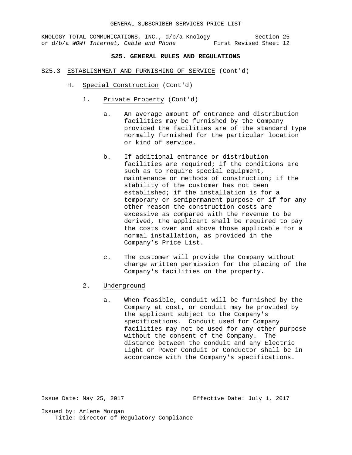# **S25. GENERAL RULES AND REGULATIONS**

### S25.3 ESTABLISHMENT AND FURNISHING OF SERVICE (Cont'd)

- H. Special Construction (Cont'd)
	- 1. Private Property (Cont'd)
		- a. An average amount of entrance and distribution facilities may be furnished by the Company provided the facilities are of the standard type normally furnished for the particular location or kind of service.
		- b. If additional entrance or distribution facilities are required; if the conditions are such as to require special equipment, maintenance or methods of construction; if the stability of the customer has not been established; if the installation is for a temporary or semipermanent purpose or if for any other reason the construction costs are excessive as compared with the revenue to be derived, the applicant shall be required to pay the costs over and above those applicable for a normal installation, as provided in the Company's Price List.
		- c. The customer will provide the Company without charge written permission for the placing of the Company's facilities on the property.
	- 2. Underground
		- a. When feasible, conduit will be furnished by the Company at cost, or conduit may be provided by the applicant subject to the Company's specifications. Conduit used for Company facilities may not be used for any other purpose without the consent of the Company. The distance between the conduit and any Electric Light or Power Conduit or Conductor shall be in accordance with the Company's specifications.

Issue Date: May 25, 2017 Effective Date: July 1, 2017 Issued by: Arlene Morgan Title: Director of Regulatory Compliance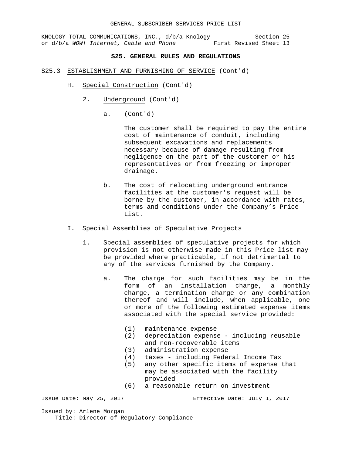# **S25. GENERAL RULES AND REGULATIONS**

### S25.3 ESTABLISHMENT AND FURNISHING OF SERVICE (Cont'd)

- H. Special Construction (Cont'd)
	- 2. Underground (Cont'd)
		- a. (Cont'd)

The customer shall be required to pay the entire cost of maintenance of conduit, including subsequent excavations and replacements necessary because of damage resulting from negligence on the part of the customer or his representatives or from freezing or improper drainage.

- b. The cost of relocating underground entrance facilities at the customer's request will be borne by the customer, in accordance with rates, terms and conditions under the Company's Price List.
- I. Special Assemblies of Speculative Projects
	- 1. Special assemblies of speculative projects for which provision is not otherwise made in this Price list may be provided where practicable, if not detrimental to any of the services furnished by the Company.
		- a. The charge for such facilities may be in the form of an installation charge, a monthly charge, a termination charge or any combination thereof and will include, when applicable, one or more of the following estimated expense items associated with the special service provided:
			- (1) maintenance expense
			- depreciation expense including reusable and non-recoverable items
			- (3) administration expense<br>(4) taxes including Fede:
			- (4) taxes including Federal Income Tax
			- any other specific items of expense that may be associated with the facility provided
			- (6) a reasonable return on investment

Issue Date: May 25, 2017 Effective Date: July 1, 2017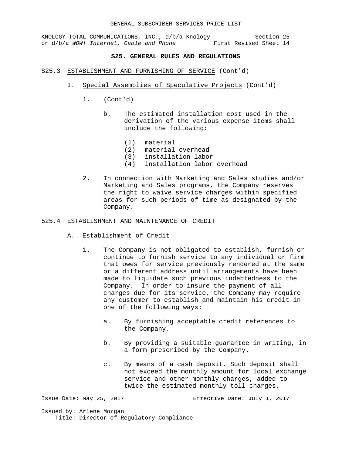# **S25. GENERAL RULES AND REGULATIONS**

### S25.3 ESTABLISHMENT AND FURNISHING OF SERVICE (Cont'd)

- I. Special Assemblies of Speculative Projects (Cont'd)
	- 1. (Cont'd)
		- b. The estimated installation cost used in the derivation of the various expense items shall include the following:
			- (1) material
			- (2) material overhead
			- (3) installation labor
			- (4) installation labor overhead
	- 2. In connection with Marketing and Sales studies and/or Marketing and Sales programs, the Company reserves the right to waive service charges within specified areas for such periods of time as designated by the Company.

# 525.4 ESTABLISHMENT AND MAINTENANCE OF CREDIT

- A. Establishment of Credit
	- 1. The Company is not obligated to establish, furnish or continue to furnish service to any individual or firm that owes for service previously rendered at the same or a different address until arrangements have been made to liquidate such previous indebtedness to the Company. In order to insure the payment of all charges due for its service, the Company may require any customer to establish and maintain his credit in one of the following ways:
		- a. By furnishing acceptable credit references to the Company.
		- b. By providing a suitable guarantee in writing, in a form prescribed by the Company.
		- c. By means of a cash deposit. Such deposit shall not exceed the monthly amount for local exchange service and other monthly charges, added to twice the estimated monthly toll charges.

Issue Date: May 25, 2017 Effective Date: July 1, 2017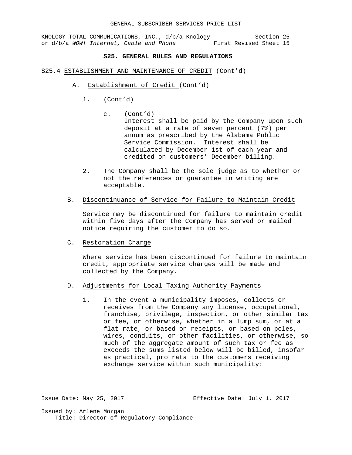# **S25. GENERAL RULES AND REGULATIONS**

### S25.4 ESTABLISHMENT AND MAINTENANCE OF CREDIT (Cont'd)

- A. Establishment of Credit (Cont'd)
	- 1. (Cont'd)
		- c. (Cont'd) Interest shall be paid by the Company upon such deposit at a rate of seven percent (7%) per annum as prescribed by the Alabama Public Service Commission. Interest shall be calculated by December 1st of each year and credited on customers' December billing.
	- 2. The Company shall be the sole judge as to whether or not the references or guarantee in writing are acceptable.
- B. Discontinuance of Service for Failure to Maintain Credit

Service may be discontinued for failure to maintain credit within five days after the Company has served or mailed notice requiring the customer to do so.

C. Restoration Charge

Where service has been discontinued for failure to maintain credit, appropriate service charges will be made and collected by the Company.

- D. Adjustments for Local Taxing Authority Payments
	- 1. In the event a municipality imposes, collects or receives from the Company any license, occupational, franchise, privilege, inspection, or other similar tax or fee, or otherwise, whether in a lump sum, or at a flat rate, or based on receipts, or based on poles, wires, conduits, or other facilities, or otherwise, so much of the aggregate amount of such tax or fee as exceeds the sums listed below will be billed, insofar as practical, pro rata to the customers receiving exchange service within such municipality:

Issue Date: May 25, 2017 Effective Date: July 1, 2017 Issued by: Arlene Morgan Title: Director of Regulatory Compliance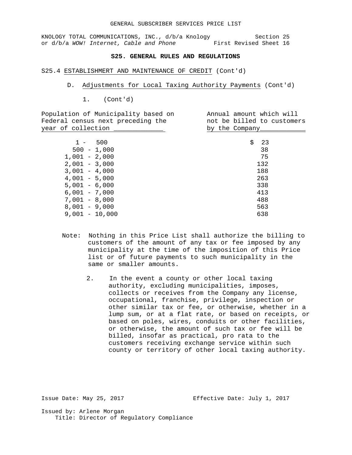# **S25. GENERAL RULES AND REGULATIONS**

#### S25.4 ESTABLISHMERT AND MAINTENANCE OF CREDIT (Cont'd)

- D. Adjustments for Local Taxing Authority Payments (Cont'd)
	- 1. (Cont'd)

| Population of Municipality based on | Annual amount which will   |
|-------------------------------------|----------------------------|
| Federal census next preceding the   | not be billed to customers |
| year of collection                  | by the Company             |
|                                     |                            |
| 500<br>$1 -$                        | \$<br>-23                  |
| $500 - 1,000$                       | 38                         |
| $1,001 - 2,000$                     | 75                         |
| $2,001 - 3,000$                     | 132                        |
| $3,001 - 4,000$                     | 188                        |
| $4,001 - 5,000$                     | 263                        |
| $5,001 - 6,000$                     | 338                        |
| $6,001 - 7,000$                     | 413                        |
| $7,001 - 8,000$                     | 488                        |
| $8,001 - 9,000$                     | 563                        |
| $9,001 - 10,000$                    | 638                        |
|                                     |                            |

- Note: Nothing in this Price List shall authorize the billing to customers of the amount of any tax or fee imposed by any municipality at the time of the imposition of this Price list or of future payments to such municipality in the same or smaller amounts.
	- 2. In the event a county or other local taxing authority, excluding municipalities, imposes, collects or receives from the Company any license, occupational, franchise, privilege, inspection or other similar tax or fee, or otherwise, whether in a lump sum, or at a flat rate, or based on receipts, or based on poles, wires, conduits or other facilities, or otherwise, the amount of such tax or fee will be billed, insofar as practical, pro rata to the customers receiving exchange service within such county or territory of other local taxing authority.

Issue Date: May 25, 2017 Effective Date: July 1, 2017 Issued by: Arlene Morgan Title: Director of Regulatory Compliance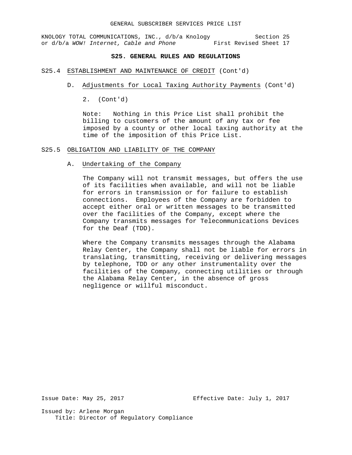#### **S25. GENERAL RULES AND REGULATIONS**

#### S25.4 ESTABLISHMENT AND MAINTENANCE OF CREDIT (Cont'd)

- D. Adjustments for Local Taxing Authority Payments (Cont'd)
	- 2. (Cont'd)

Note: Nothing in this Price List shall prohibit the billing to customers of the amount of any tax or fee imposed by a county or other local taxing authority at the time of the imposition of this Price List.

#### S25.5 OBLIGATION AND LIABILITY OF THE COMPANY

## A. Undertaking of the Company

The Company will not transmit messages, but offers the use of its facilities when available, and will not be liable for errors in transmission or for failure to establish connections. Employees of the Company are forbidden to accept either oral or written messages to be transmitted over the facilities of the Company, except where the Company transmits messages for Telecommunications Devices for the Deaf (TDD).

Where the Company transmits messages through the Alabama Relay Center, the Company shall not be liable for errors in translating, transmitting, receiving or delivering messages by telephone, TDD or any other instrumentality over the facilities of the Company, connecting utilities or through the Alabama Relay Center, in the absence of gross negligence or willful misconduct.

Issue Date: May 25, 2017 Effective Date: July 1, 2017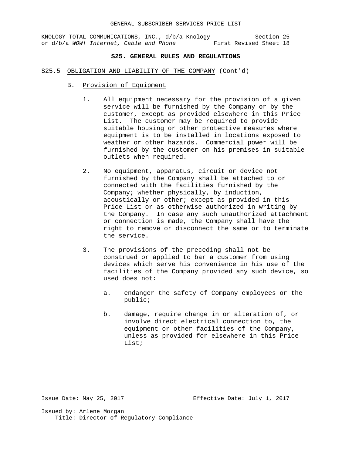# **S25. GENERAL RULES AND REGULATIONS**

- S25.5 OBLIGATION AND LIABILITY OF THE COMPANY (Cont'd)
	- B. Provision of Equipment
		- 1. All equipment necessary for the provision of a given service will be furnished by the Company or by the customer, except as provided elsewhere in this Price List. The customer may be required to provide suitable housing or other protective measures where equipment is to be installed in locations exposed to weather or other hazards. Commercial power will be furnished by the customer on his premises in suitable outlets when required.
		- 2. No equipment, apparatus, circuit or device not furnished by the Company shall be attached to or connected with the facilities furnished by the Company; whether physically, by induction, acoustically or other; except as provided in this Price List or as otherwise authorized in writing by the Company. In case any such unauthorized attachment or connection is made, the Company shall have the right to remove or disconnect the same or to terminate the service.
		- 3. The provisions of the preceding shall not be construed or applied to bar a customer from using devices which serve his convenience in his use of the facilities of the Company provided any such device, so used does not:
			- a. endanger the safety of Company employees or the public;
			- b. damage, require change in or alteration of, or involve direct electrical connection to, the equipment or other facilities of the Company, unless as provided for elsewhere in this Price List;

Issued by: Arlene Morgan

Issue Date: May 25, 2017 Effective Date: July 1, 2017

Title: Director of Regulatory Compliance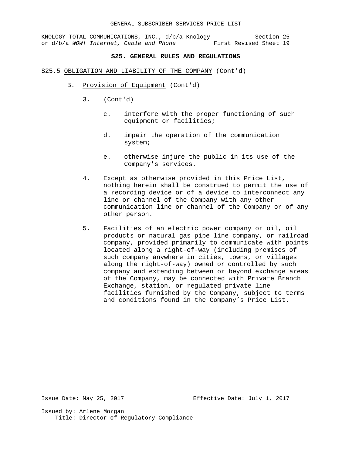# **S25. GENERAL RULES AND REGULATIONS**

#### S25.5 OBLIGATION AND LIABILITY OF THE COMPANY (Cont'd)

- B. Provision of Equipment (Cont'd)
	- 3. (Cont'd)
		- c. interfere with the proper functioning of such equipment or facilities;
		- d. impair the operation of the communication system;
		- e. otherwise injure the public in its use of the Company's services.
	- 4. Except as otherwise provided in this Price List, nothing herein shall be construed to permit the use of a recording device or of a device to interconnect any line or channel of the Company with any other communication line or channel of the Company or of any other person.
	- 5. Facilities of an electric power company or oil, oil products or natural gas pipe line company, or railroad company, provided primarily to communicate with points located along a right-of-way (including premises of such company anywhere in cities, towns, or villages along the right-of-way) owned or controlled by such company and extending between or beyond exchange areas of the Company, may be connected with Private Branch Exchange, station, or regulated private line facilities furnished by the Company, subject to terms and conditions found in the Company's Price List.

Issue Date: May 25, 2017 Effective Date: July 1, 2017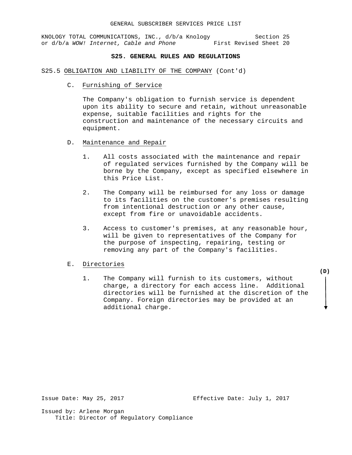## **S25. GENERAL RULES AND REGULATIONS**

#### S25.5 OBLIGATION AND LIABILITY OF THE COMPANY (Cont'd)

C. Furnishing of Service

The Company's obligation to furnish service is dependent upon its ability to secure and retain, without unreasonable expense, suitable facilities and rights for the construction and maintenance of the necessary circuits and equipment.

- D. Maintenance and Repair
	- 1. All costs associated with the maintenance and repair of regulated services furnished by the Company will be borne by the Company, except as specified elsewhere in this Price List.
	- 2. The Company will be reimbursed for any loss or damage to its facilities on the customer's premises resulting from intentional destruction or any other cause, except from fire or unavoidable accidents.
	- 3. Access to customer's premises, at any reasonable hour, will be given to representatives of the Company for the purpose of inspecting, repairing, testing or removing any part of the Company's facilities.

#### E. Directories

1. The Company will furnish to its customers, without charge, a directory for each access line. Additional directories will be furnished at the discretion of the Company. Foreign directories may be provided at an additional charge.

**(D)**

Issue Date: May 25, 2017 Effective Date: July 1, 2017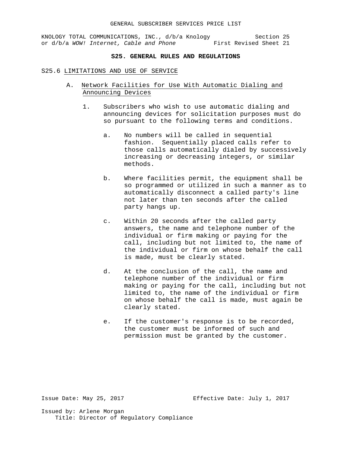# **S25. GENERAL RULES AND REGULATIONS**

#### S25.6 LIMITATIONS AND USE OF SERVICE

- A. Network Facilities for Use With Automatic Dialing and Announcing Devices
	- 1. Subscribers who wish to use automatic dialing and announcing devices for solicitation purposes must do so pursuant to the following terms and conditions.
		- a. No numbers will be called in sequential fashion. Sequentially placed calls refer to those calls automatically dialed by successively increasing or decreasing integers, or similar methods.
		- b. Where facilities permit, the equipment shall be so programmed or utilized in such a manner as to automatically disconnect a called party's line not later than ten seconds after the called party hangs up.
		- c. Within 20 seconds after the called party answers, the name and telephone number of the individual or firm making or paying for the call, including but not limited to, the name of the individual or firm on whose behalf the call is made, must be clearly stated.
		- d. At the conclusion of the call, the name and telephone number of the individual or firm making or paying for the call, including but not limited to, the name of the individual or firm on whose behalf the call is made, must again be clearly stated.
		- e. If the customer's response is to be recorded, the customer must be informed of such and permission must be granted by the customer.

Issue Date: May 25, 2017 Effective Date: July 1, 2017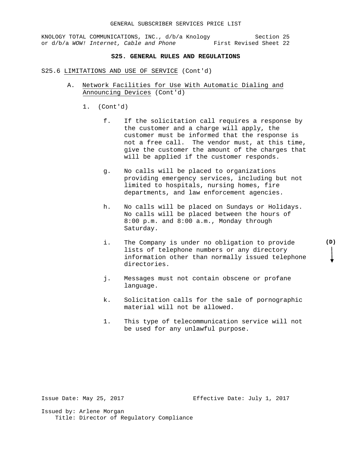# **S25. GENERAL RULES AND REGULATIONS**

#### S25.6 LIMITATIONS AND USE OF SERVICE (Cont'd)

- A. Network Facilities for Use With Automatic Dialing and Announcing Devices (Cont'd)
	- 1. (Cont'd)
		- f. If the solicitation call requires a response by the customer and a charge will apply, the customer must be informed that the response is not a free call. The vendor must, at this time, give the customer the amount of the charges that will be applied if the customer responds.
		- g. No calls will be placed to organizations providing emergency services, including but not limited to hospitals, nursing homes, fire departments, and law enforcement agencies.
		- h. No calls will be placed on Sundays or Holidays. No calls will be placed between the hours of 8:00 p.m. and 8:00 a.m., Monday through Saturday.
		- i. The Company is under no obligation to provide lists of telephone numbers or any directory information other than normally issued telephone directories.
		- j. Messages must not contain obscene or profane language.
		- k. Solicitation calls for the sale of pornographic material will not be allowed.
		- 1. This type of telecommunication service will not be used for any unlawful purpose.

Issue Date: May 25, 2017 Effective Date: July 1, 2017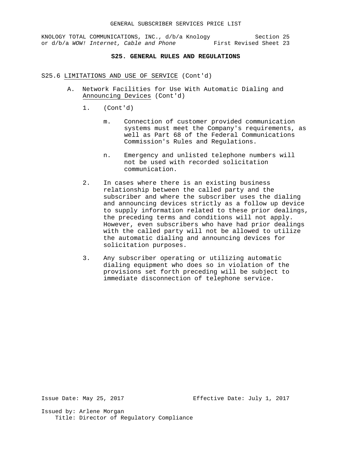## **S25. GENERAL RULES AND REGULATIONS**

## S25.6 LIMITATIONS AND USE OF SERVICE (Cont'd)

- A. Network Facilities for Use With Automatic Dialing and Announcing Devices (Cont'd)
	- 1. (Cont'd)
		- m. Connection of customer provided communication systems must meet the Company's requirements, as well as Part 68 of the Federal Communications Commission's Rules and Regulations.
		- n. Emergency and unlisted telephone numbers will not be used with recorded solicitation communication.
	- 2. In cases where there is an existing business relationship between the called party and the subscriber and where the subscriber uses the dialing and announcing devices strictly as a follow up device to supply information related to these prior dealings, the preceding terms and conditions will not apply. However, even subscribers who have had prior dealings with the called party will not be allowed to utilize the automatic dialing and announcing devices for solicitation purposes.
	- 3. Any subscriber operating or utilizing automatic dialing equipment who does so in violation of the provisions set forth preceding will be subject to immediate disconnection of telephone service.

Issue Date: May 25, 2017 Effective Date: July 1, 2017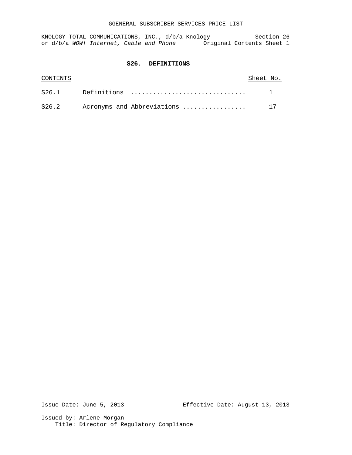## GGENERAL SUBSCRIBER SERVICES PRICE LIST

KNOLOGY TOTAL COMMUNICATIONS, INC., d/b/a Knology Section 26 or d/b/a WOW! Internet, Cable and Phone **Original Contents Sheet 1** 

# **S26. DEFINITIONS**

| CONTENTS |                                  | Sheet No. |    |
|----------|----------------------------------|-----------|----|
|          |                                  |           |    |
|          | S26.2 Acronyms and Abbreviations |           | 17 |

Issue Date: June 5, 2013 Effective Date: August 13, 2013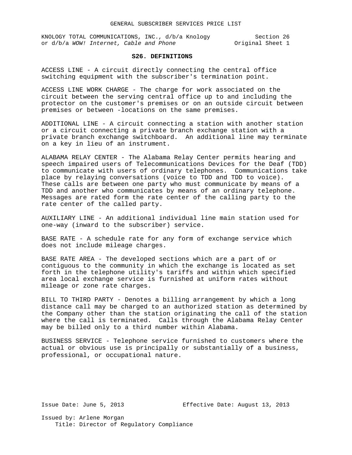## **S26. DEFINITIONS**

ACCESS LINE - A circuit directly connecting the central office switching equipment with the subscriber's termination point.

ACCESS LINE WORK CHARGE - The charge for work associated on the circuit between the serving central office up to and including the protector on the customer's premises or on an outside circuit between premises or between -locations on the same premises.

ADDITIONAL LINE - A circuit connecting a station with another station or a circuit connecting a private branch exchange station with a private branch exchange switchboard. An additional line may terminate on a key in lieu of an instrument.

ALABAMA RELAY CENTER - The Alabama Relay Center permits hearing and speech impaired users of Telecommunications Devices for the Deaf (TDD) to communicate with users of ordinary telephones. Communications take place by relaying conversations (voice to TDD and TDD to voice). These calls are between one party who must communicate by means of a TDD and another who communicates by means of an ordinary telephone. Messages are rated form the rate center of the calling party to the rate center of the called party.

AUXILIARY LINE - An additional individual line main station used for one-way (inward to the subscriber) service.

BASE RATE - A schedule rate for any form of exchange service which does not include mileage charges.

BASE RATE AREA - The developed sections which are a part of or contiguous to the community in which the exchange is located as set forth in the telephone utility's tariffs and within which specified area local exchange service is furnished at uniform rates without mileage or zone rate charges.

BILL TO THIRD PARTY - Denotes a billing arrangement by which a long distance call may be charged to an authorized station as determined by the Company other than the station originating the call of the station where the call is terminated. Calls through the Alabama Relay Center may be billed only to a third number within Alabama.

BUSINESS SERVICE - Telephone service furnished to customers where the actual or obvious use is principally or substantially of a business, professional, or occupational nature.

Issue Date: June 5, 2013 Effective Date: August 13, 2013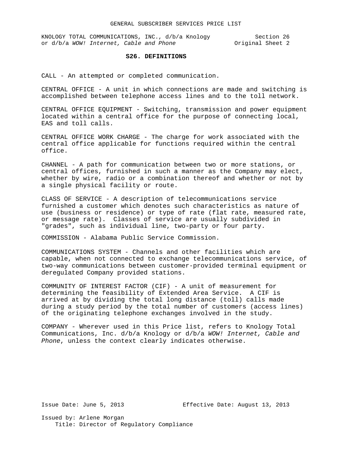## **S26. DEFINITIONS**

CALL - An attempted or completed communication.

CENTRAL OFFICE - A unit in which connections are made and switching is accomplished between telephone access lines and to the toll network.

CENTRAL OFFICE EQUIPMENT - Switching, transmission and power equipment located within a central office for the purpose of connecting local, EAS and toll calls.

CENTRAL OFFICE WORK CHARGE - The charge for work associated with the central office applicable for functions required within the central office.

CHANNEL - A path for communication between two or more stations, or central offices, furnished in such a manner as the Company may elect, whether by wire, radio or a combination thereof and whether or not by a single physical facility or route.

CLASS OF SERVICE - A description of telecommunications service furnished a customer which denotes such characteristics as nature of use (business or residence) or type of rate (flat rate, measured rate, or message rate). Classes of service are usually subdivided in "grades", such as individual line, two-party or four party.

COMMISSION - Alabama Public Service Commission.

COMMUNICATIONS SYSTEM - Channels and other facilities which are capable, when not connected to exchange telecommunications service, of two-way communications between customer-provided terminal equipment or deregulated Company provided stations.

COMMUNITY OF INTEREST FACTOR (CIF) - A unit of measurement for determining the feasibility of Extended Area Service. A CIF is arrived at by dividing the total long distance (toll) calls made during a study period by the total number of customers (access lines) of the originating telephone exchanges involved in the study.

COMPANY - Wherever used in this Price list, refers to Knology Total Communications, Inc. d/b/a Knology or d/b/a *WOW! Internet, Cable and Phone*, unless the context clearly indicates otherwise.

Issue Date: June 5, 2013 Effective Date: August 13, 2013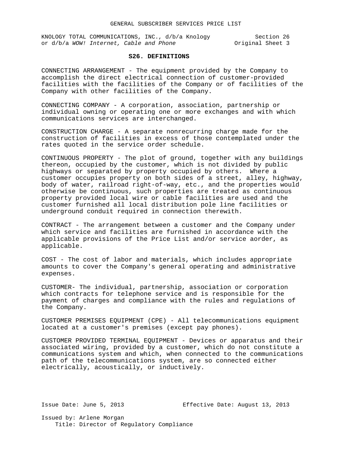#### **S26. DEFINITIONS**

CONNECTING ARRANGEMENT - The equipment provided by the Company to accomplish the direct electrical connection of customer-provided facilities with the facilities of the Company or of facilities of the Company with other facilities of the Company.

CONNECTING COMPANY - A corporation, association, partnership or individual owning or operating one or more exchanges and with which communications services are interchanged.

CONSTRUCTION CHARGE - A separate nonrecurring charge made for the construction of facilities in excess of those contemplated under the rates quoted in the service order schedule.

CONTINUOUS PROPERTY - The plot of ground, together with any buildings thereon, occupied by the customer, which is not divided by public highways or separated by property occupied by others. Where a customer occupies property on both sides of a street, alley, highway, body of water, railroad right-of-way, etc., and the properties would otherwise be continuous, such properties are treated as continuous property provided local wire or cable facilities are used and the customer furnished all local distribution pole line facilities or underground conduit required in connection therewith.

CONTRACT - The arrangement between a customer and the Company under which service and facilities are furnished in accordance with the applicable provisions of the Price List and/or service aorder, as applicable.

COST - The cost of labor and materials, which includes appropriate amounts to cover the Company's general operating and administrative expenses.

CUSTOMER- The individual, partnership, association or corporation which contracts for telephone service and is responsible for the payment of charges and compliance with the rules and regulations of the Company.

CUSTOMER PREMISES EQUIPMENT (CPE) - All telecommunications equipment located at a customer's premises (except pay phones).

CUSTOMER PROVIDED TERMINAL EQUIPMENT - Devices or apparatus and their associated wiring, provided by a customer, which do not constitute a communications system and which, when connected to the communications path of the telecommunications system, are so connected either electrically, acoustically, or inductively.

Issue Date: June 5, 2013 Effective Date: August 13, 2013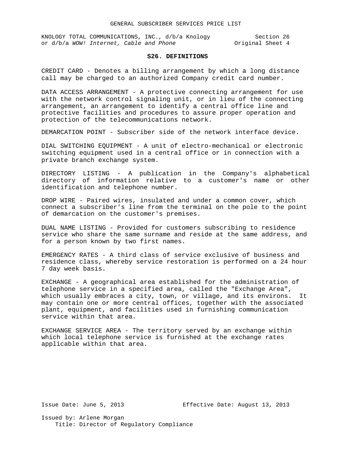## **S26. DEFINITIONS**

CREDIT CARD - Denotes a billing arrangement by which a long distance call may be charged to an authorized Company credit card number.

DATA ACCESS ARRANGEMENT - A protective connecting arrangement for use with the network control signaling unit, or in lieu of the connecting arrangement, an arrangement to identify a central office line and protective facilities and procedures to assure proper operation and protection of the telecommunications network.

DEMARCATION POINT - Subscriber side of the network interface device.

DIAL SWITCHING EQUIPMENT - A unit of electro-mechanical or electronic switching equipment used in a central office or in connection with a private branch exchange system.

DIRECTORY LISTING - A publication in the Company's alphabetical directory of information relative to a customer's name or other identification and telephone number.

DROP WIRE - Paired wires, insulated and under a common cover, which connect a subscriber's line from the terminal on the pole to the point of demarcation on the customer's premises.

DUAL NAME LISTING - Provided for customers subscribing to residence service who share the same surname and reside at the same address, and for a person known by two first names.

EMERGENCY RATES - A third class of service exclusive of business and residence class, whereby service restoration is performed on a 24 hour 7 day week basis.

EXCHANGE - A geographical area established for the administration of telephone service in a specified area, called the "Exchange Area", which usually embraces a city, town, or village, and its environs. It may contain one or more central offices, together with the associated plant, equipment, and facilities used in furnishing communication service within that area.

EXCHANGE SERVICE AREA - The territory served by an exchange within which local telephone service is furnished at the exchange rates applicable within that area.

Issue Date: June 5, 2013 Effective Date: August 13, 2013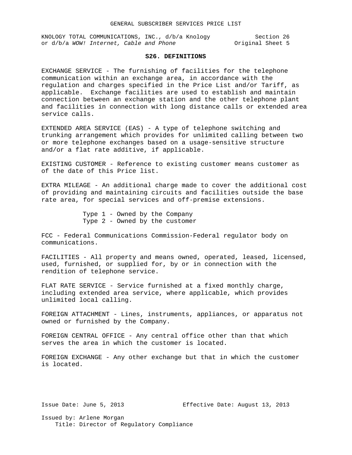## **S26. DEFINITIONS**

EXCHANGE SERVICE - The furnishing of facilities for the telephone communication within an exchange area, in accordance with the regulation and charges specified in the Price List and/or Tariff, as applicable. Exchange facilities are used to establish and maintain connection between an exchange station and the other telephone plant and facilities in connection with long distance calls or extended area service calls.

EXTENDED AREA SERVICE (EAS) - A type of telephone switching and trunking arrangement which provides for unlimited calling between two or more telephone exchanges based on a usage-sensitive structure and/or a flat rate additive, if applicable.

EXISTING CUSTOMER - Reference to existing customer means customer as of the date of this Price list.

EXTRA MILEAGE - An additional charge made to cover the additional cost of providing and maintaining circuits and facilities outside the base rate area, for special services and off-premise extensions.

> Type 1 - Owned by the Company Type 2 - Owned by the customer

FCC - Federal Communications Commission-Federal regulator body on communications.

FACILITIES - All property and means owned, operated, leased, licensed, used, furnished, or supplied for, by or in connection with the rendition of telephone service.

FLAT RATE SERVICE - Service furnished at a fixed monthly charge, including extended area service, where applicable, which provides unlimited local calling.

FOREIGN ATTACHMENT - Lines, instruments, appliances, or apparatus not owned or furnished by the Company.

FOREIGN CENTRAL OFFICE - Any central office other than that which serves the area in which the customer is located.

FOREIGN EXCHANGE - Any other exchange but that in which the customer is located.

Issue Date: June 5, 2013 Effective Date: August 13, 2013 Issued by: Arlene Morgan

Title: Director of Regulatory Compliance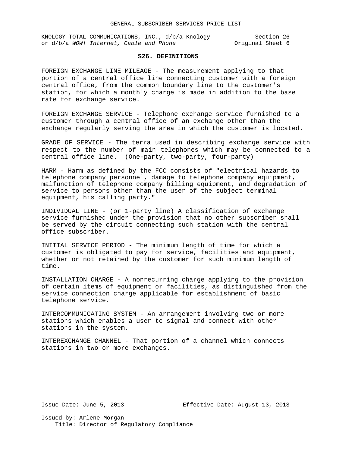# **S26. DEFINITIONS**

FOREIGN EXCHANGE LINE MILEAGE - The measurement applying to that portion of a central office line connecting customer with a foreign central office, from the common boundary line to the customer's station, for which a monthly charge is made in addition to the base rate for exchange service.

FOREIGN EXCHANGE SERVICE - Telephone exchange service furnished to a customer through a central office of an exchange other than the exchange regularly serving the area in which the customer is located.

GRADE OF SERVICE - The terra used in describing exchange service with respect to the number of main telephones which may be connected to a central office line. (One-party, two-party, four-party)

HARM - Harm as defined by the FCC consists of "electrical hazards to telephone company personnel, damage to telephone company equipment, malfunction of telephone company billing equipment, and degradation of service to persons other than the user of the subject terminal equipment, his calling party."

INDIVIDUAL LINE - (or 1-party line) A classification of exchange service furnished under the provision that no other subscriber shall be served by the circuit connecting such station with the central office subscriber.

INITIAL SERVICE PERIOD - The minimum length of time for which a customer is obligated to pay for service, facilities and equipment, whether or not retained by the customer for such minimum length of time.

INSTALLATION CHARGE - A nonrecurring charge applying to the provision of certain items of equipment or facilities, as distinguished from the service connection charge applicable for establishment of basic telephone service.

INTERCOMMUNICATING SYSTEM - An arrangement involving two or more stations which enables a user to signal and connect with other stations in the system.

INTEREXCHANGE CHANNEL - That portion of a channel which connects stations in two or more exchanges.

Issue Date: June 5, 2013 Effective Date: August 13, 2013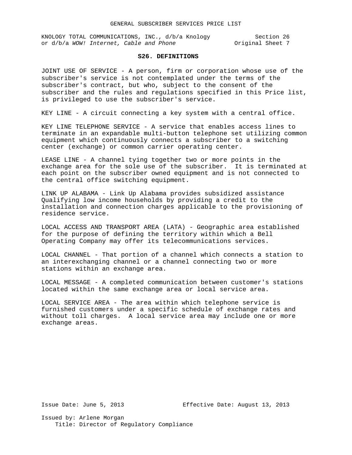# **S26. DEFINITIONS**

JOINT USE OF SERVICE - A person, firm or corporation whose use of the subscriber's service is not contemplated under the terms of the subscriber's contract, but who, subject to the consent of the subscriber and the rules and regulations specified in this Price list, is privileged to use the subscriber's service.

KEY LINE - A circuit connecting a key system with a central office.

KEY LINE TELEPHONE SERVICE - A service that enables access lines to terminate in an expandable multi-button telephone set utilizing common equipment which continuously connects a subscriber to a switching center (exchange) or common carrier operating center.

LEASE LINE - A channel tying together two or more points in the exchange area for the sole use of the subscriber. It is terminated at each point on the subscriber owned equipment and is not connected to the central office switching equipment.

LINK UP ALABAMA - Link Up Alabama provides subsidized assistance Qualifying low income households by providing a credit to the installation and connection charges applicable to the provisioning of residence service.

LOCAL ACCESS AND TRANSPORT AREA (LATA) - Geographic area established for the purpose of defining the territory within which a Bell Operating Company may offer its telecommunications services.

LOCAL CHANNEL - That portion of a channel which connects a station to an interexchanging channel or a channel connecting two or more stations within an exchange area.

LOCAL MESSAGE - A completed communication between customer's stations located within the same exchange area or local service area.

LOCAL SERVICE AREA - The area within which telephone service is furnished customers under a specific schedule of exchange rates and without toll charges. A local service area may include one or more exchange areas.

Issue Date: June 5, 2013 Effective Date: August 13, 2013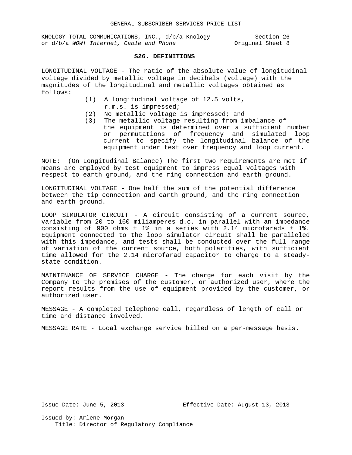## **S26. DEFINITIONS**

LONGITUDINAL VOLTAGE - The ratio of the absolute value of longitudinal voltage divided by metallic voltage in decibels (voltage) with the magnitudes of the longitudinal and metallic voltages obtained as follows:

- (1) A longitudinal voltage of 12.5 volts, r.m.s. is impressed;
- (2) No metallic voltage is impressed; and
- (3) The metallic voltage resulting from imbalance of the equipment is determined over a sufficient number or permutations of frequency and simulated loop current to specify the longitudinal balance of the equipment under test over frequency and loop current.

NOTE: (On Longitudinal Balance) The first two requirements are met if means are employed by test equipment to impress equal voltages with respect to earth ground, and the ring connection and earth ground.

LONGITUDINAL VOLTAGE - One half the sum of the potential difference between the tip connection and earth ground, and the ring connection and earth ground.

LOOP SIMULATOR CIRCUIT - A circuit consisting of a current source, variable from 20 to 160 miliamperes d.c. in parallel with an impedance consisting of 900 ohms  $\pm$  1% in a series with 2.14 microfarads  $\pm$  1%. Equipment connected to the loop simulator circuit shall be paralleled with this impedance, and tests shall be conducted over the full range of variation of the current source, both polarities, with sufficient time allowed for the 2.14 microfarad capacitor to charge to a steadystate condition.

MAINTENANCE OF SERVICE CHARGE - The charge for each visit by the Company to the premises of the customer, or authorized user, where the report results from the use of equipment provided by the customer, or authorized user.

MESSAGE - A completed telephone call, regardless of length of call or time and distance involved.

MESSAGE RATE - Local exchange service billed on a per-message basis.

Issue Date: June 5, 2013 Effective Date: August 13, 2013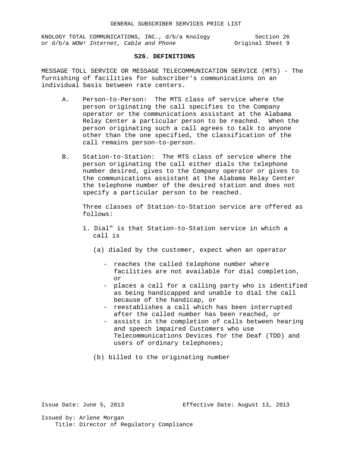## **S26. DEFINITIONS**

MESSAGE TOLL SERVICE OR MESSAGE TELECOMMUNICATION SERVICE (MTS) - The furnishing of facilities for subscriber's communications on an individual basis between rate centers.

- A. Person-to-Person: The MTS class of service where the person originating the call specifies to the Company operator or the communications assistant at the Alabama Relay Center a particular person to be reached. When the person originating such a call agrees to talk to anyone other than the one specified, the classification of the call remains person-to-person.
- B. Station-to-Station: The MTS class of service where the person originating the call either dials the telephone number desired, gives to the Company operator or gives to the communications assistant at the Alabama Relay Center the telephone number of the desired station and does not specify a particular person to be reached.

Three classes of Station-to-Station service are offered as follows:

- 1. Dial" is that Station-to-Station service in which a call is
	- (a) dialed by the customer, expect when an operator
		- reaches the called telephone number where facilities are not available for dial completion, or
		- places a call for a calling party who is identified as being handicapped and unable to dial the call because of the handicap, or
		- reestablishes a call which has been interrupted after the called number has been reached, or
		- assists in the completion of calls between hearing and speech impaired Customers who use Telecommunications Devices for the Deaf (TDD) and users of ordinary telephones;
	- (b) billed to the originating number

Issue Date: June 5, 2013 Effective Date: August 13, 2013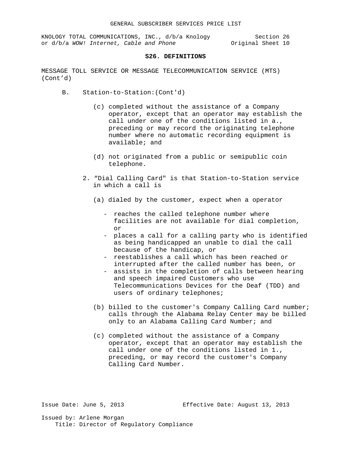#### **S26. DEFINITIONS**

MESSAGE TOLL SERVICE OR MESSAGE TELECOMMUNICATION SERVICE (MTS) (Cont'd)

- B. Station-to-Station:(Cont'd)
	- (c) completed without the assistance of a Company operator, except that an operator may establish the call under one of the conditions listed in a., preceding or may record the originating telephone number where no automatic recording equipment is available; and
	- (d) not originated from a public or semipublic coin telephone.
	- 2. "Dial Calling Card" is that Station-to-Station service in which a call is
		- (a) dialed by the customer, expect when a operator
			- reaches the called telephone number where facilities are not available for dial completion, or
			- places a call for a calling party who is identified as being handicapped an unable to dial the call because of the handicap, or
			- reestablishes a call which has been reached or interrupted after the called number has been, or
			- assists in the completion of calls between hearing and speech impaired Customers who use Telecommunications Devices for the Deaf (TDD) and users of ordinary telephones;
		- (b) billed to the customer's Company Calling Card number; calls through the Alabama Relay Center may be billed only to an Alabama Calling Card Number; and
		- (c) completed without the assistance of a Company operator, except that an operator may establish the call under one of the conditions listed in 1., preceding, or may record the customer's Company Calling Card Number.

Issue Date: June 5, 2013 Effective Date: August 13, 2013 Issued by: Arlene Morgan Title: Director of Regulatory Compliance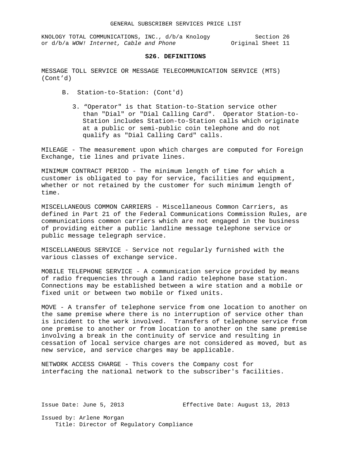#### **S26. DEFINITIONS**

MESSAGE TOLL SERVICE OR MESSAGE TELECOMMUNICATION SERVICE (MTS) (Cont'd)

- B. Station-to-Station: (Cont'd)
	- 3. "Operator" is that Station-to-Station service other than "Dial" or "Dial Calling Card". Operator Station-to-Station includes Station-to-Station calls which originate at a public or semi-public coin telephone and do not qualify as "Dial Calling Card" calls.

MILEAGE - The measurement upon which charges are computed for Foreign Exchange, tie lines and private lines.

MINIMUM CONTRACT PERIOD - The minimum length of time for which a customer is obligated to pay for service, facilities and equipment, whether or not retained by the customer for such minimum length of time.

MISCELLANEOUS COMMON CARRIERS - Miscellaneous Common Carriers, as defined in Part 21 of the Federal Communications Commission Rules, are communications common carriers which are not engaged in the business of providing either a public landline message telephone service or public message telegraph service.

MISCELLANEOUS SERVICE - Service not regularly furnished with the various classes of exchange service.

MOBILE TELEPHONE SERVICE - A communication service provided by means of radio frequencies through a land radio telephone base station. Connections may be established between a wire station and a mobile or fixed unit or between two mobile or fixed units.

MOVE - A transfer of telephone service from one location to another on the same premise where there is no interruption of service other than is incident to the work involved. Transfers of telephone service from one premise to another or from location to another on the same premise involving a break in the continuity of service and resulting in cessation of local service charges are not considered as moved, but as new service, and service charges may be applicable.

NETWORK ACCESS CHARGE - This covers the Company cost for interfacing the national network to the subscriber's facilities.

Issue Date: June 5, 2013 Effective Date: August 13, 2013 Issued by: Arlene Morgan Title: Director of Regulatory Compliance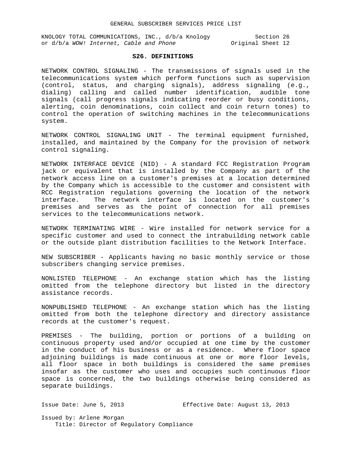## **S26. DEFINITIONS**

NETWORK CONTROL SIGNALING - The transmissions of signals used in the telecommunications system which perform functions such as supervision (control, status, and charging signals), address signaling (e.g., dialing) calling and called number identification, audible tone signals (call progress signals indicating reorder or busy conditions, alerting, coin denominations, coin collect and coin return tones) to control the operation of switching machines in the telecommunications system.

NETWORK CONTROL SIGNALING UNIT - The terminal equipment furnished, installed, and maintained by the Company for the provision of network control signaling.

NETWORK INTERFACE DEVICE (NID) - A standard FCC Registration Program jack or equivalent that is installed by the Company as part of the network access line on a customer's premises at a location determined by the Company which is accessible to the customer and consistent with RCC Registration regulations governing the location of the network interface. The network interface is located on the customer's premises and serves as the point of connection for all premises services to the telecommunications network.

NETWORK TERMINATING WIRE - Wire installed for network service for a specific customer and used to connect the intrabuilding network cable or the outside plant distribution facilities to the Network Interface.

NEW SUBSCRIBER - Applicants having no basic monthly service or those subscribers changing service premises.

NONLISTED TELEPHONE - An exchange station which has the listing omitted from the telephone directory but listed in the directory assistance records.

NONPUBLISHED TELEPHONE - An exchange station which has the listing omitted from both the telephone directory and directory assistance records at the customer's request.

PREMISES - The building, portion or portions of a building on continuous property used and/or occupied at one time by the customer in the conduct of his business or as a residence. Where floor space adjoining buildings is made continuous at one or more floor levels, all floor space in both buildings is considered the same premises insofar as the customer who uses and occupies such continuous floor space is concerned, the two buildings otherwise being considered as separate buildings.

Issue Date: June 5, 2013 Effective Date: August 13, 2013 Issued by: Arlene Morgan Title: Director of Regulatory Compliance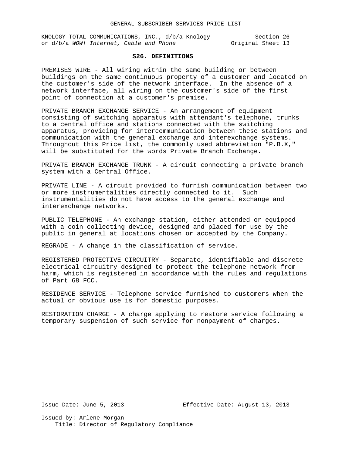#### **S26. DEFINITIONS**

PREMISES WIRE - All wiring within the same building or between buildings on the same continuous property of a customer and located on the customer's side of the network interface. In the absence of a network interface, all wiring on the customer's side of the first point of connection at a customer's premise.

PRIVATE BRANCH EXCHANGE SERVICE - An arrangement of equipment consisting of switching apparatus with attendant's telephone, trunks to a central office and stations connected with the switching apparatus, providing for intercommunication between these stations and communication with the general exchange and interexchange systems. Throughout this Price list, the commonly used abbreviation "P.B.X," will be substituted for the words Private Branch Exchange.

PRIVATE BRANCH EXCHANGE TRUNK - A circuit connecting a private branch system with a Central Office.

PRIVATE LINE - A circuit provided to furnish communication between two or more instrumentalities directly connected to it. Such instrumentalities do not have access to the general exchange and interexchange networks.

PUBLIC TELEPHONE - An exchange station, either attended or equipped with a coin collecting device, designed and placed for use by the public in general at locations chosen or accepted by the Company.

REGRADE - A change in the classification of service.

REGISTERED PROTECTIVE CIRCUITRY - Separate, identifiable and discrete electrical circuitry designed to protect the telephone network from harm, which is registered in accordance with the rules and regulations of Part 68 FCC.

RESIDENCE SERVICE - Telephone service furnished to customers when the actual or obvious use is for domestic purposes.

RESTORATION CHARGE - A charge applying to restore service following a temporary suspension of such service for nonpayment of charges.

Issue Date: June 5, 2013 Effective Date: August 13, 2013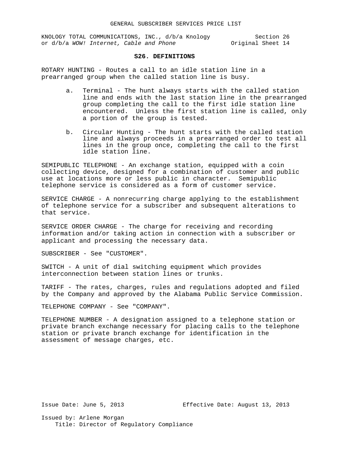#### **S26. DEFINITIONS**

ROTARY HUNTING - Routes a call to an idle station line in a prearranged group when the called station line is busy.

- a. Terminal The hunt always starts with the called station line and ends with the last station line in the prearranged group completing the call to the first idle station line encountered. Unless the first station line is called, only a portion of the group is tested.
- b. Circular Hunting The hunt starts with the called station line and always proceeds in a prearranged order to test all lines in the group once, completing the call to the first idle station line.

SEMIPUBLIC TELEPHONE - An exchange station, equipped with a coin collecting device, designed for a combination of customer and public use at locations more or less public in character. Semipublic telephone service is considered as a form of customer service.

SERVICE CHARGE - A nonrecurring charge applying to the establishment of telephone service for a subscriber and subsequent alterations to that service.

SERVICE ORDER CHARGE - The charge for receiving and recording information and/or taking action in connection with a subscriber or applicant and processing the necessary data.

SUBSCRIBER - See "CUSTOMER".

SWITCH - A unit of dial switching equipment which provides interconnection between station lines or trunks.

TARIFF - The rates, charges, rules and regulations adopted and filed by the Company and approved by the Alabama Public Service Commission.

TELEPHONE COMPANY - See "COMPANY".

TELEPHONE NUMBER - A designation assigned to a telephone station or private branch exchange necessary for placing calls to the telephone station or private branch exchange for identification in the assessment of message charges, etc.

Issue Date: June 5, 2013 Effective Date: August 13, 2013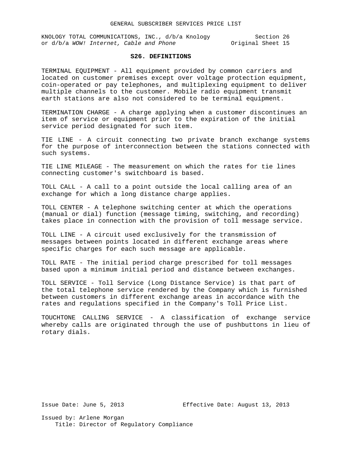## **S26. DEFINITIONS**

TERMINAL EQUIPMENT - All equipment provided by common carriers and located on customer premises except over voltage protection equipment, coin-operated or pay telephones, and multiplexing equipment to deliver multiple channels to the customer. Mobile radio equipment transmit earth stations are also not considered to be terminal equipment.

TERMINATION CHARGE - A charge applying when a customer discontinues an item of service or equipment prior to the expiration of the initial service period designated for such item.

TIE LINE - A circuit connecting two private branch exchange systems for the purpose of interconnection between the stations connected with such systems.

TIE LINE MILEAGE - The measurement on which the rates for tie lines connecting customer's switchboard is based.

TOLL CALL - A call to a point outside the local calling area of an exchange for which a long distance charge applies.

TOLL CENTER - A telephone switching center at which the operations (manual or dial) function (message timing, switching, and recording) takes place in connection with the provision of toll message service.

TOLL LINE - A circuit used exclusively for the transmission of messages between points located in different exchange areas where specific charges for each such message are applicable.

TOLL RATE - The initial period charge prescribed for toll messages based upon a minimum initial period and distance between exchanges.

TOLL SERVICE - Toll Service (Long Distance Service) is that part of the total telephone service rendered by the Company which is furnished between customers in different exchange areas in accordance with the rates and regulations specified in the Company's Toll Price List.

TOUCHTONE CALLING SERVICE - A classification of exchange service whereby calls are originated through the use of pushbuttons in lieu of rotary dials.

Issue Date: June 5, 2013 Effective Date: August 13, 2013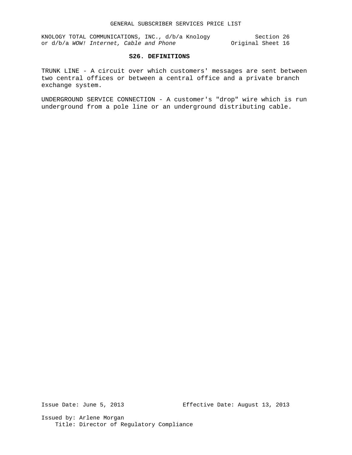# **S26. DEFINITIONS**

TRUNK LINE - A circuit over which customers' messages are sent between two central offices or between a central office and a private branch exchange system.

UNDERGROUND SERVICE CONNECTION - A customer's "drop" wire which is run underground from a pole line or an underground distributing cable.

Issue Date: June 5, 2013 Effective Date: August 13, 2013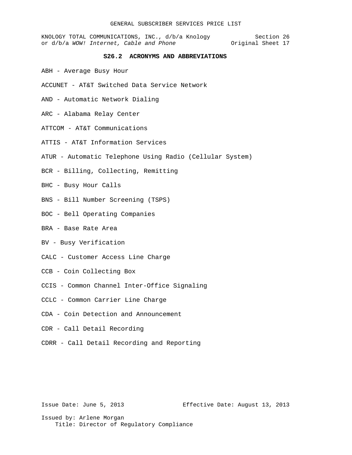KNOLOGY TOTAL COMMUNICATIONS, INC., d/b/a Knology Section 26<br>or d/b/a WOW! Internet, Cable and Phone (1994) Original Sheet 17 or d/b/a WOW! Internet, Cable and Phone

## **S26.2 ACRONYMS AND ABBREVIATIONS**

- ABH Average Busy Hour
- ACCUNET AT&T Switched Data Service Network
- AND Automatic Network Dialing
- ARC Alabama Relay Center
- ATTCOM AT&T Communications
- ATTIS AT&T Information Services
- ATUR Automatic Telephone Using Radio (Cellular System)
- BCR Billing, Collecting, Remitting
- BHC Busy Hour Calls
- BNS Bill Number Screening (TSPS)
- BOC Bell Operating Companies
- BRA Base Rate Area
- BV Busy Verification
- CALC Customer Access Line Charge
- CCB Coin Collecting Box
- CCIS Common Channel Inter-Office Signaling
- CCLC Common Carrier Line Charge
- CDA Coin Detection and Announcement
- CDR Call Detail Recording
- CDRR Call Detail Recording and Reporting

Issue Date: June 5, 2013 Effective Date: August 13, 2013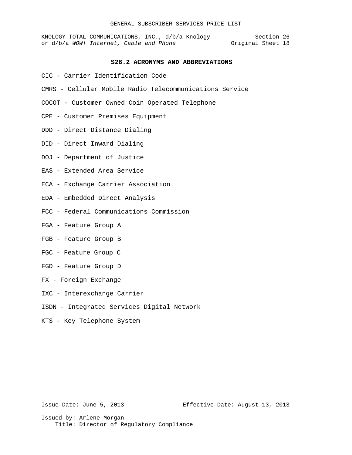#### **S26.2 ACRONYMS AND ABBREVIATIONS**

- CIC Carrier Identification Code
- CMRS Cellular Mobile Radio Telecommunications Service
- COCOT Customer Owned Coin Operated Telephone
- CPE Customer Premises Equipment
- DDD Direct Distance Dialing
- DID Direct Inward Dialing
- DOJ Department of Justice
- EAS Extended Area Service
- ECA Exchange Carrier Association
- EDA Embedded Direct Analysis
- FCC Federal Communications Commission
- FGA Feature Group A
- FGB Feature Group B
- FGC Feature Group C
- FGD Feature Group D
- FX Foreign Exchange
- IXC Interexchange Carrier
- ISDN Integrated Services Digital Network
- KTS Key Telephone System

Issue Date: June 5, 2013 Effective Date: August 13, 2013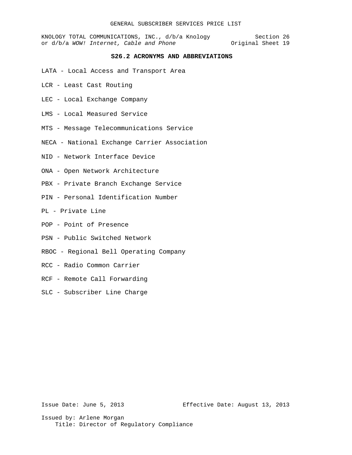KNOLOGY TOTAL COMMUNICATIONS, INC.,  $d/b/a$  Knology Section 26<br>or  $d/b/a$  WOW! Internet, Cable and Phone Original Sheet 19 or d/b/a WOW! Internet, Cable and Phone

# **S26.2 ACRONYMS AND ABBREVIATIONS**

- LATA Local Access and Transport Area
- LCR Least Cast Routing
- LEC Local Exchange Company
- LMS Local Measured Service
- MTS Message Telecommunications Service
- NECA National Exchange Carrier Association
- NID *-* Network Interface Device
- ONA Open Network Architecture
- PBX Private Branch Exchange Service
- PIN Personal Identification Number
- PL Private Line
- POP Point of Presence
- PSN Public Switched Network
- RBOC Regional Bell Operating Company
- RCC Radio Common Carrier
- RCF Remote Call Forwarding
- SLC Subscriber Line Charge

Issue Date: June 5, 2013 Effective Date: August 13, 2013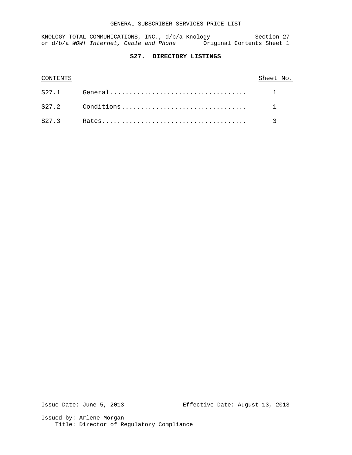## GENERAL SUBSCRIBER SERVICES PRICE LIST

KNOLOGY TOTAL COMMUNICATIONS, INC., d/b/a Knology Section 27 or d/b/a WOW! Internet, Cable and Phone **Original Contents Sheet 1** 

# **S27. DIRECTORY LISTINGS**

| CONTENTS | Sheet No. |
|----------|-----------|
|          |           |
|          |           |
|          |           |

Issue Date: June 5, 2013 Effective Date: August 13, 2013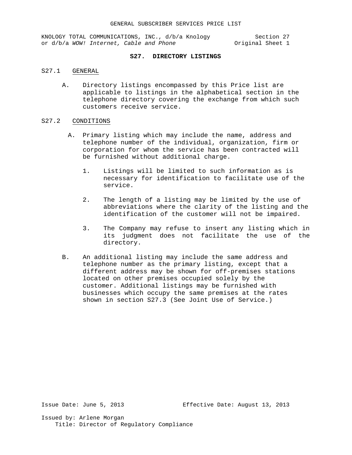KNOLOGY TOTAL COMMUNICATIONS, INC., d/b/a Knology Section 27<br>or d/b/a WOW! Internet, Cable and Phone (Original Sheet 1 or d/b/a WOW! Internet, Cable and Phone

## **S27. DIRECTORY LISTINGS**

#### S27.1 GENERAL

A. Directory listings encompassed by this Price list are applicable to listings in the alphabetical section in the telephone directory covering the exchange from which such customers receive service.

#### S27.2 CONDITIONS

- A. Primary listing which may include the name, address and telephone number of the individual, organization, firm or corporation for whom the service has been contracted will be furnished without additional charge.
	- 1. Listings will be limited to such information as is necessary for identification to facilitate use of the service.
	- 2. The length of a listing may be limited by the use of abbreviations where the clarity of the listing and the identification of the customer will not be impaired.
	- 3. The Company may refuse to insert any listing which in its judgment does not facilitate the use of the directory.
- B. An additional listing may include the same address and telephone number as the primary listing, except that a different address may be shown for off-premises stations located on other premises occupied solely by the customer. Additional listings may be furnished with businesses which occupy the same premises at the rates shown in section S27.3 (See Joint Use of Service.)

Issue Date: June 5, 2013 Effective Date: August 13, 2013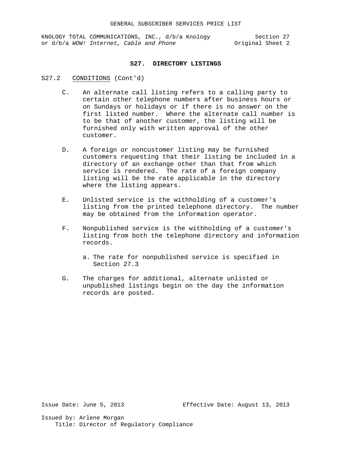KNOLOGY TOTAL COMMUNICATIONS, INC., d/b/a Knology Section 27<br>2 or d/b/a WOW! Internet, Cable and Phone Stiginal Sheet or d/b/a WOW! Internet, Cable and Phone

#### **S27. DIRECTORY LISTINGS**

#### S27.2 CONDITIONS (Cont'd)

- C. An alternate call listing refers to a calling party to certain other telephone numbers after business hours or on Sundays or holidays or if there is no answer on the first listed number. Where the alternate call number is to be that of another customer, the listing will be furnished only with written approval of the other customer.
- D. A foreign or noncustomer listing may be furnished customers requesting that their listing be included in a directory of an exchange other than that from which service is rendered. The rate of a foreign company listing will be the rate applicable in the directory where the listing appears.
- E. Unlisted service is the withholding of a customer's listing from the printed telephone directory. The number may be obtained from the information operator.
- F. Nonpublished service is the withholding of a customer's listing from both the telephone directory and information records.
	- a. The rate for nonpublished service is specified in Section 27.3
- G. The charges for additional, alternate unlisted or unpublished listings begin on the day the information records are posted.

Issue Date: June 5, 2013 Effective Date: August 13, 2013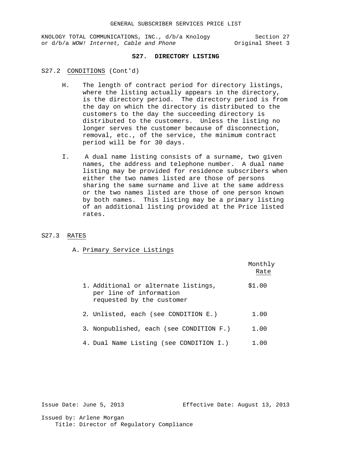KNOLOGY TOTAL COMMUNICATIONS, INC., d/b/a Knology Section 27<br>or d/b/a WOW! Internet, Cable and Phone (Original Sheet 3 or d/b/a WOW! Internet, Cable and Phone

## **S27. DIRECTORY LISTING**

#### S27.2 CONDITIONS (Cont'd)

- H. The length of contract period for directory listings, where the listing actually appears in the directory, is the directory period. The directory period is from the day on which the directory is distributed to the customers to the day the succeeding directory is distributed to the customers. Unless the listing no longer serves the customer because of disconnection, removal, etc., of the service, the minimum contract period will be for 30 days.
- I. A dual name listing consists of a surname, two given names, the address and telephone number. A dual name listing may be provided for residence subscribers when either the two names listed are those of persons sharing the same surname and live at the same address or the two names listed are those of one person known by both names. This listing may be a primary listing of an additional listing provided at the Price listed rates.

# S27.3 RATES

A. Primary Service Listings

|                                                                                              | Monthly<br>Rate |
|----------------------------------------------------------------------------------------------|-----------------|
| 1. Additional or alternate listings,<br>per line of information<br>requested by the customer | \$1.00          |
| 2. Unlisted, each (see CONDITION E.)                                                         | 1.00            |
| 3. Nonpublished, each (see CONDITION F.)                                                     | 1.00            |
| 4. Dual Name Listing (see CONDITION I.)                                                      | 1.00            |

Issue Date: June 5, 2013 Effective Date: August 13, 2013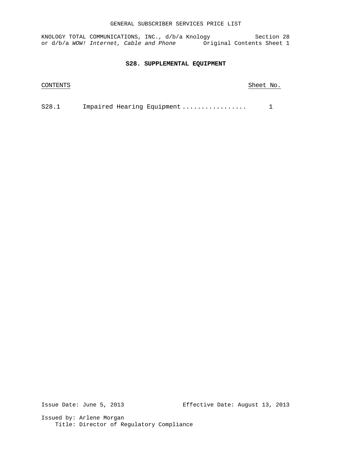## GENERAL SUBSCRIBER SERVICES PRICE LIST

KNOLOGY TOTAL COMMUNICATIONS, INC., d/b/a Knology Section 28 or d/b/a WOW! Internet, Cable and Phone **Original Contents Sheet 1** 

#### **S28. SUPPLEMENTAL EQUIPMENT**

CONTENTS Sheet No.

S28.1 Impaired Hearing Equipment ................. 1

Issue Date: June 5, 2013 Effective Date: August 13, 2013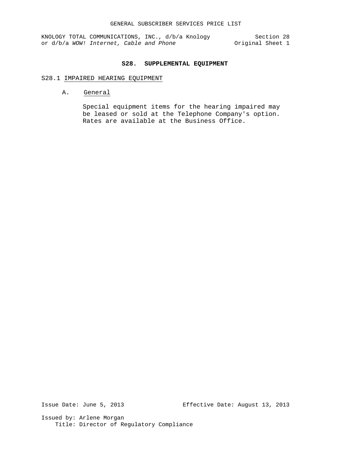## **S28. SUPPLEMENTAL EQUIPMENT**

## S28.1 IMPAIRED HEARING EQUIPMENT

A. General

Special equipment items for the hearing impaired may be leased or sold at the Telephone Company's option. Rates are available at the Business Office.

Issue Date: June 5, 2013 Effective Date: August 13, 2013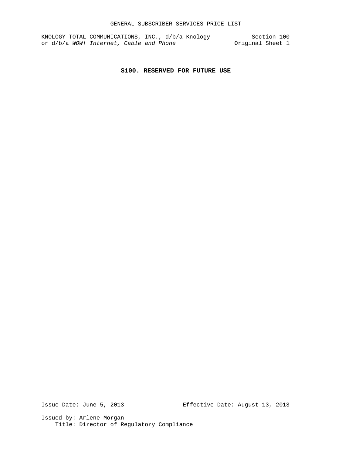## **S100. RESERVED FOR FUTURE USE**

Issue Date: June 5, 2013 Effective Date: August 13, 2013